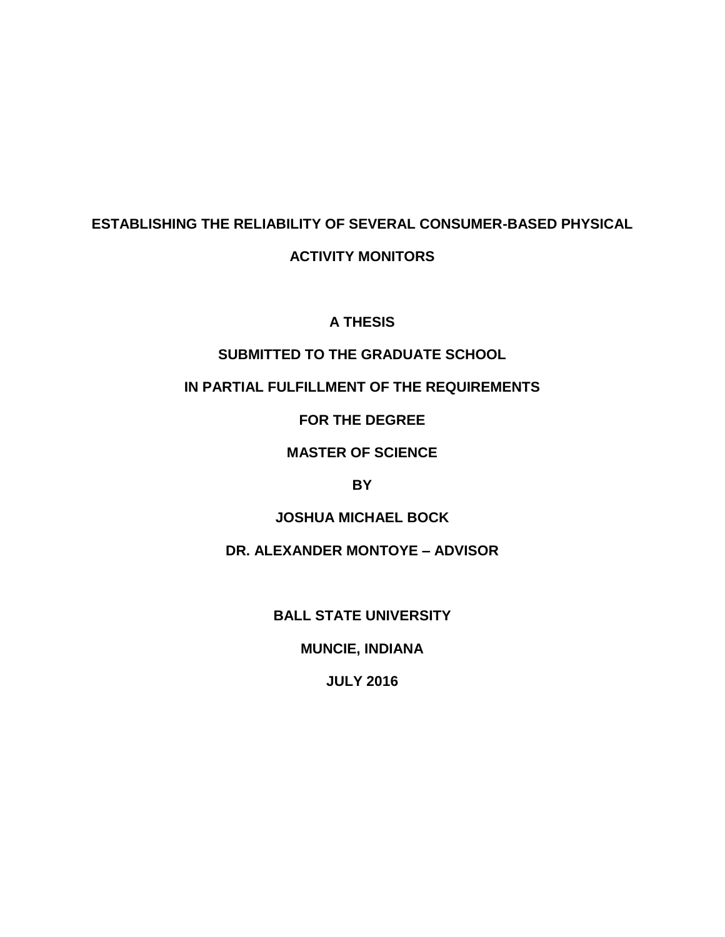# **ESTABLISHING THE RELIABILITY OF SEVERAL CONSUMER-BASED PHYSICAL**

### **ACTIVITY MONITORS**

### **A THESIS**

### **SUBMITTED TO THE GRADUATE SCHOOL**

### **IN PARTIAL FULFILLMENT OF THE REQUIREMENTS**

**FOR THE DEGREE**

### **MASTER OF SCIENCE**

### **BY**

### **JOSHUA MICHAEL BOCK**

### **DR. ALEXANDER MONTOYE – ADVISOR**

### **BALL STATE UNIVERSITY**

### **MUNCIE, INDIANA**

### **JULY 2016**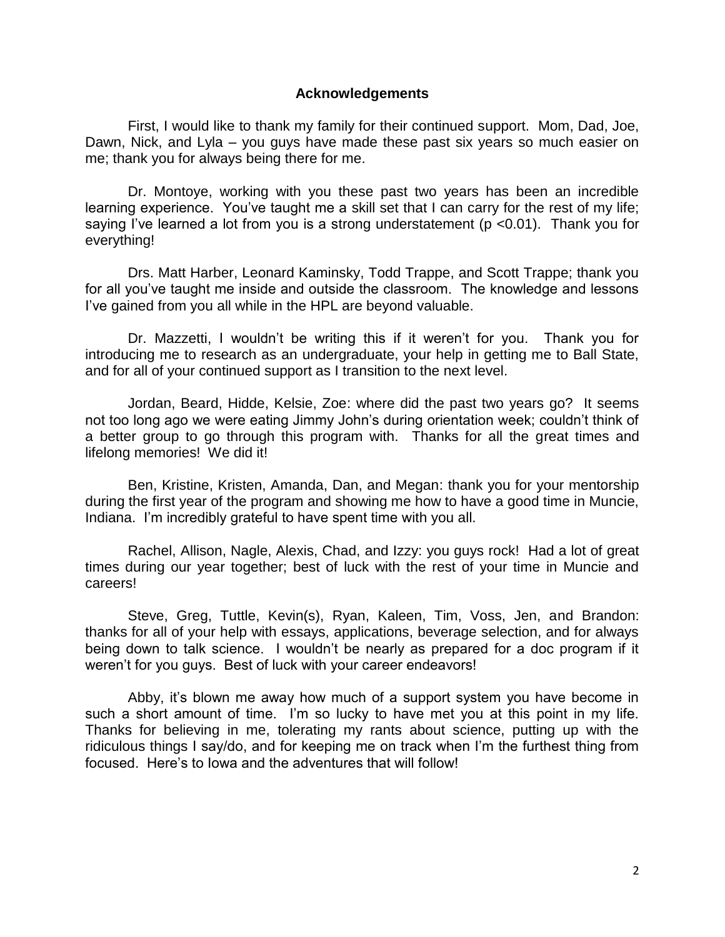#### **Acknowledgements**

First, I would like to thank my family for their continued support. Mom, Dad, Joe, Dawn, Nick, and Lyla – you guys have made these past six years so much easier on me; thank you for always being there for me.

Dr. Montoye, working with you these past two years has been an incredible learning experience. You've taught me a skill set that I can carry for the rest of my life; saying I've learned a lot from you is a strong understatement ( $p$  <0.01). Thank you for everything!

Drs. Matt Harber, Leonard Kaminsky, Todd Trappe, and Scott Trappe; thank you for all you've taught me inside and outside the classroom. The knowledge and lessons I've gained from you all while in the HPL are beyond valuable.

Dr. Mazzetti, I wouldn't be writing this if it weren't for you. Thank you for introducing me to research as an undergraduate, your help in getting me to Ball State, and for all of your continued support as I transition to the next level.

Jordan, Beard, Hidde, Kelsie, Zoe: where did the past two years go? It seems not too long ago we were eating Jimmy John's during orientation week; couldn't think of a better group to go through this program with. Thanks for all the great times and lifelong memories! We did it!

Ben, Kristine, Kristen, Amanda, Dan, and Megan: thank you for your mentorship during the first year of the program and showing me how to have a good time in Muncie, Indiana. I'm incredibly grateful to have spent time with you all.

Rachel, Allison, Nagle, Alexis, Chad, and Izzy: you guys rock! Had a lot of great times during our year together; best of luck with the rest of your time in Muncie and careers!

Steve, Greg, Tuttle, Kevin(s), Ryan, Kaleen, Tim, Voss, Jen, and Brandon: thanks for all of your help with essays, applications, beverage selection, and for always being down to talk science. I wouldn't be nearly as prepared for a doc program if it weren't for you guys. Best of luck with your career endeavors!

Abby, it's blown me away how much of a support system you have become in such a short amount of time. I'm so lucky to have met you at this point in my life. Thanks for believing in me, tolerating my rants about science, putting up with the ridiculous things I say/do, and for keeping me on track when I'm the furthest thing from focused. Here's to Iowa and the adventures that will follow!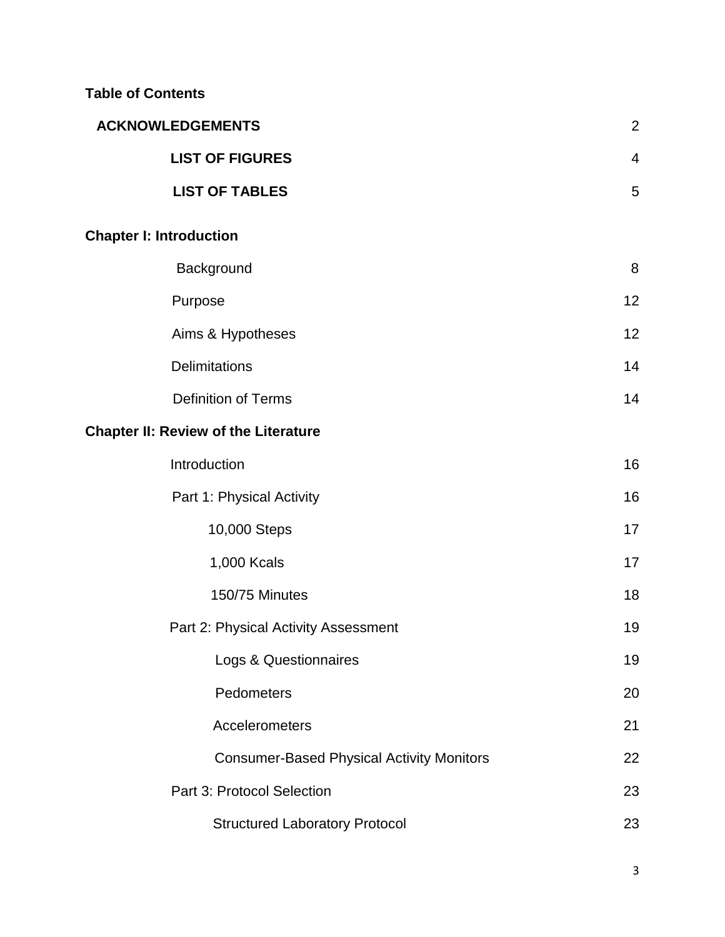### **Table of Contents**

| <b>ACKNOWLEDGEMENTS</b>                          | $\overline{2}$ |
|--------------------------------------------------|----------------|
| <b>LIST OF FIGURES</b>                           | $\overline{4}$ |
| <b>LIST OF TABLES</b>                            | 5              |
| <b>Chapter I: Introduction</b>                   |                |
| Background                                       | 8              |
| Purpose                                          | 12             |
| Aims & Hypotheses                                | 12             |
| <b>Delimitations</b>                             | 14             |
| <b>Definition of Terms</b>                       | 14             |
| <b>Chapter II: Review of the Literature</b>      |                |
| Introduction                                     | 16             |
| Part 1: Physical Activity                        | 16             |
| 10,000 Steps                                     | 17             |
| 1,000 Kcals                                      | 17             |
| 150/75 Minutes                                   | 18             |
| Part 2: Physical Activity Assessment             | 19             |
| Logs & Questionnaires                            | 19             |
| Pedometers                                       | 20             |
| Accelerometers                                   | 21             |
| <b>Consumer-Based Physical Activity Monitors</b> | 22             |
| Part 3: Protocol Selection                       | 23             |
| <b>Structured Laboratory Protocol</b>            | 23             |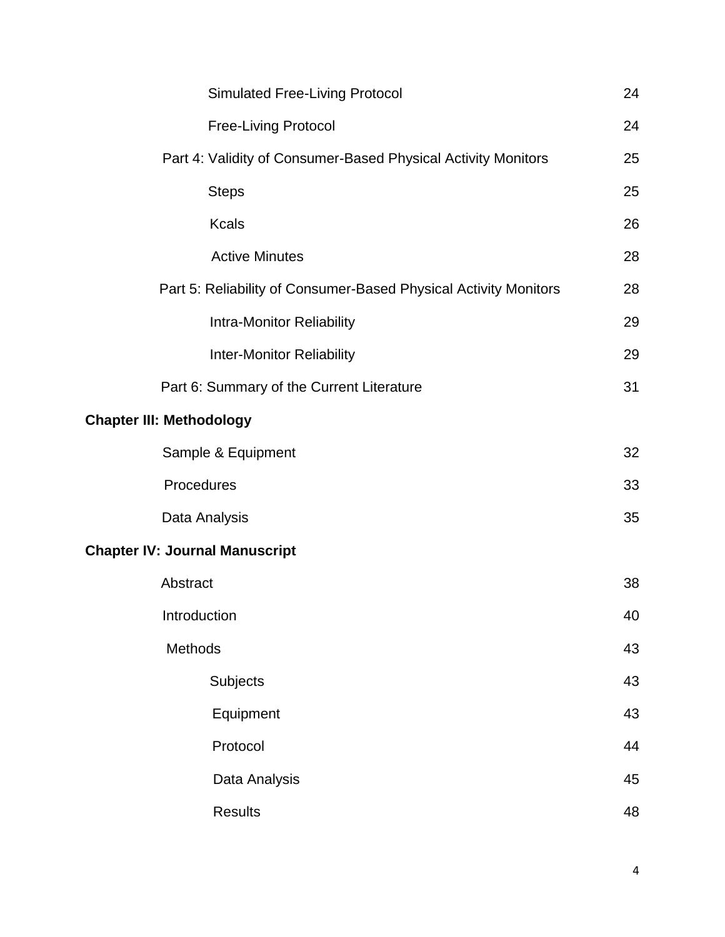| <b>Simulated Free-Living Protocol</b>                            | 24 |
|------------------------------------------------------------------|----|
| <b>Free-Living Protocol</b>                                      | 24 |
| Part 4: Validity of Consumer-Based Physical Activity Monitors    | 25 |
| <b>Steps</b>                                                     | 25 |
| <b>Kcals</b>                                                     | 26 |
| <b>Active Minutes</b>                                            | 28 |
| Part 5: Reliability of Consumer-Based Physical Activity Monitors | 28 |
| <b>Intra-Monitor Reliability</b>                                 | 29 |
| <b>Inter-Monitor Reliability</b>                                 | 29 |
| Part 6: Summary of the Current Literature                        | 31 |
| <b>Chapter III: Methodology</b>                                  |    |
| Sample & Equipment                                               | 32 |
| Procedures                                                       | 33 |
| Data Analysis                                                    | 35 |
| <b>Chapter IV: Journal Manuscript</b>                            |    |
| Abstract                                                         | 38 |
| Introduction                                                     | 40 |
| Methods                                                          | 43 |
| Subjects                                                         | 43 |
| Equipment                                                        | 43 |
| Protocol                                                         | 44 |
| Data Analysis                                                    | 45 |
| <b>Results</b>                                                   | 48 |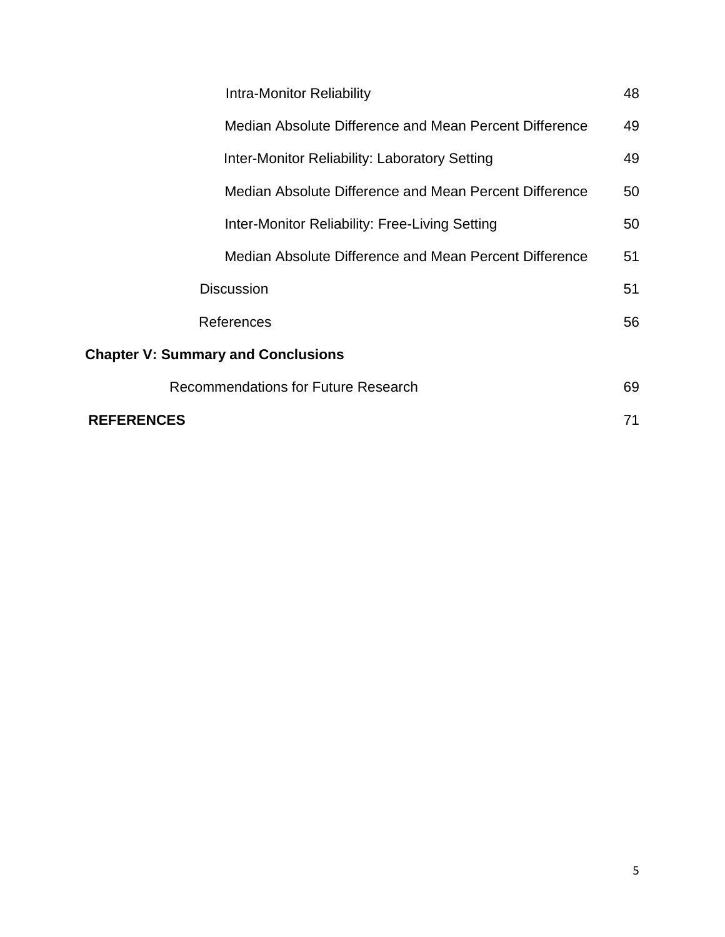| Intra-Monitor Reliability                              | 48 |  |  |
|--------------------------------------------------------|----|--|--|
| Median Absolute Difference and Mean Percent Difference | 49 |  |  |
| Inter-Monitor Reliability: Laboratory Setting          | 49 |  |  |
| Median Absolute Difference and Mean Percent Difference | 50 |  |  |
| Inter-Monitor Reliability: Free-Living Setting         | 50 |  |  |
| Median Absolute Difference and Mean Percent Difference | 51 |  |  |
| <b>Discussion</b>                                      | 51 |  |  |
| References                                             | 56 |  |  |
| <b>Chapter V: Summary and Conclusions</b>              |    |  |  |
| <b>Recommendations for Future Research</b>             | 69 |  |  |
| <b>REFERENCES</b>                                      | 71 |  |  |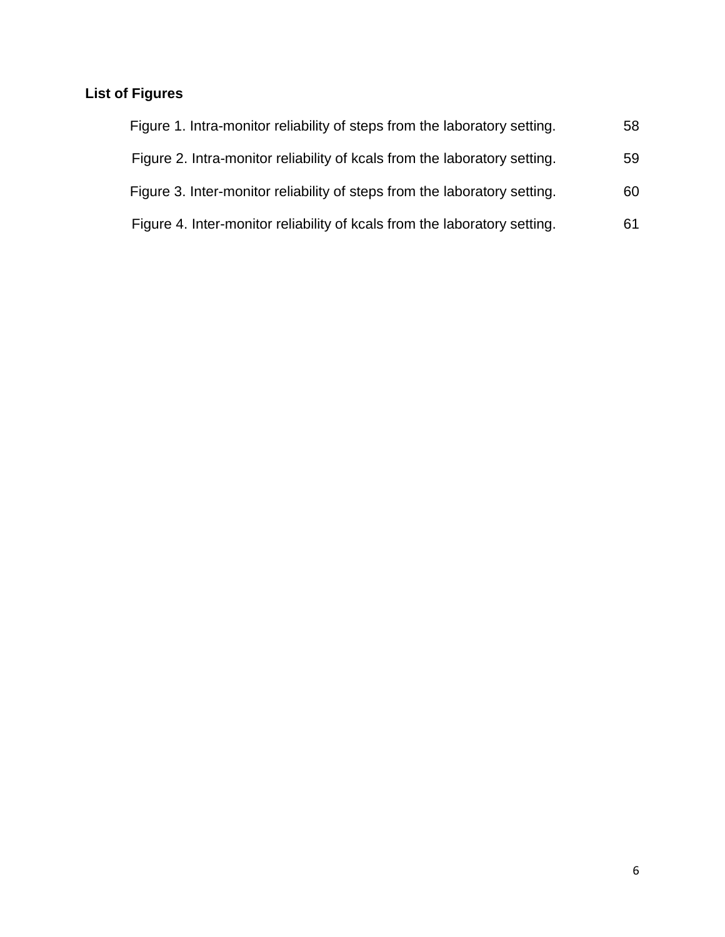## **List of Figures**

| Figure 1. Intra-monitor reliability of steps from the laboratory setting. | 58 |
|---------------------------------------------------------------------------|----|
| Figure 2. Intra-monitor reliability of kcals from the laboratory setting. | 59 |
| Figure 3. Inter-monitor reliability of steps from the laboratory setting. | 60 |
| Figure 4. Inter-monitor reliability of kcals from the laboratory setting. | 61 |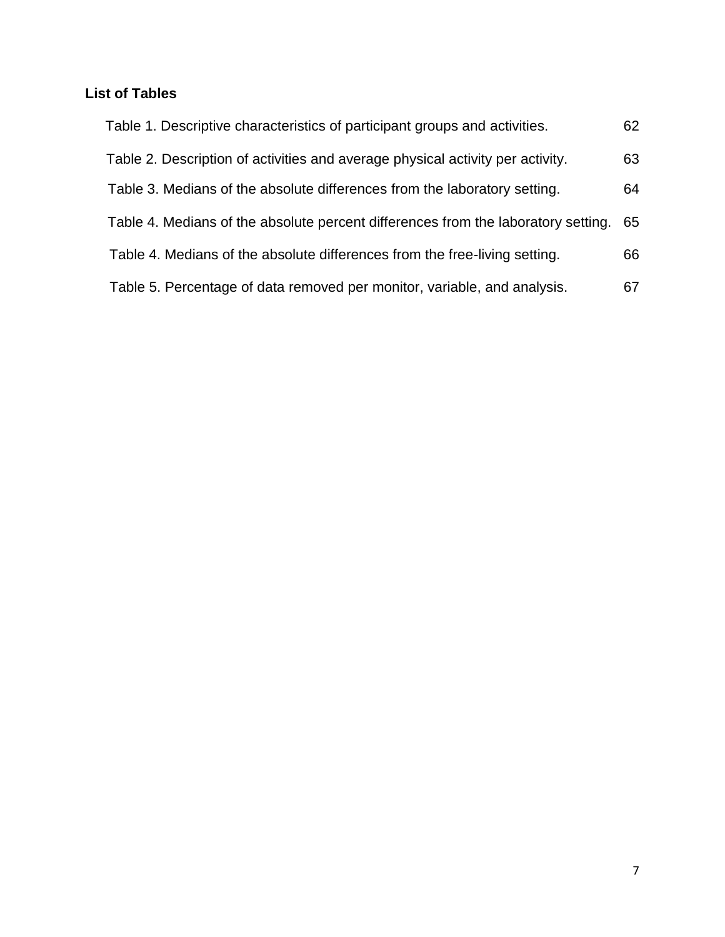### **List of Tables**

| Table 1. Descriptive characteristics of participant groups and activities.        | 62 |
|-----------------------------------------------------------------------------------|----|
| Table 2. Description of activities and average physical activity per activity.    | 63 |
| Table 3. Medians of the absolute differences from the laboratory setting.         | 64 |
| Table 4. Medians of the absolute percent differences from the laboratory setting. | 65 |
| Table 4. Medians of the absolute differences from the free-living setting.        | 66 |
| Table 5. Percentage of data removed per monitor, variable, and analysis.          | 67 |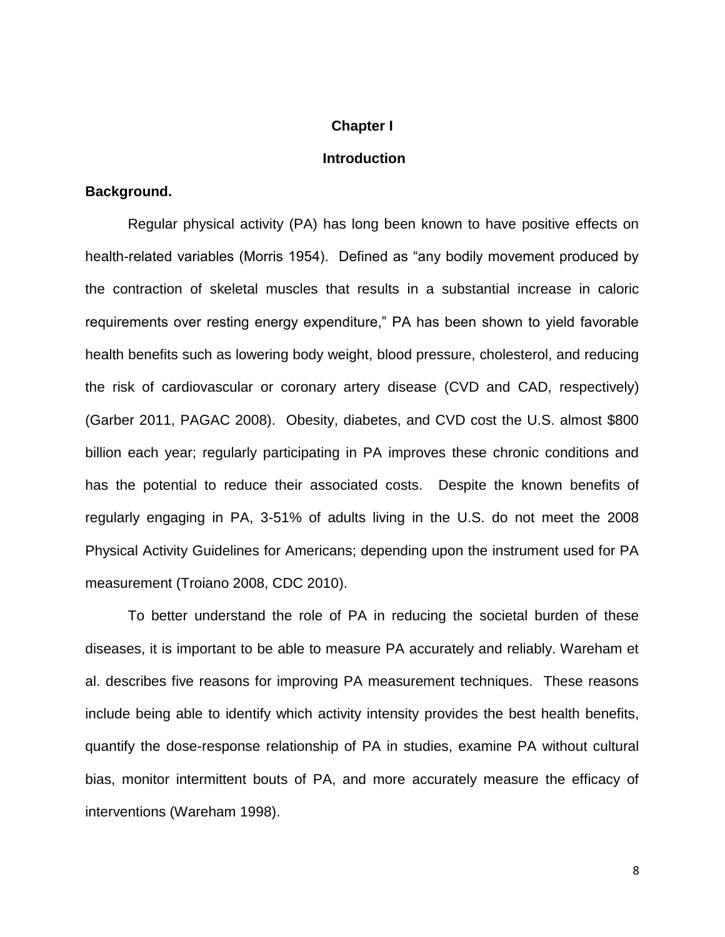#### **Chapter I**

#### **Introduction**

#### **Background.**

Regular physical activity (PA) has long been known to have positive effects on health-related variables (Morris 1954). Defined as "any bodily movement produced by the contraction of skeletal muscles that results in a substantial increase in caloric requirements over resting energy expenditure," PA has been shown to yield favorable health benefits such as lowering body weight, blood pressure, cholesterol, and reducing the risk of cardiovascular or coronary artery disease (CVD and CAD, respectively) (Garber 2011, PAGAC 2008). Obesity, diabetes, and CVD cost the U.S. almost \$800 billion each year; regularly participating in PA improves these chronic conditions and has the potential to reduce their associated costs. Despite the known benefits of regularly engaging in PA, 3-51% of adults living in the U.S. do not meet the 2008 Physical Activity Guidelines for Americans; depending upon the instrument used for PA measurement (Troiano 2008, CDC 2010).

To better understand the role of PA in reducing the societal burden of these diseases, it is important to be able to measure PA accurately and reliably. Wareham et al. describes five reasons for improving PA measurement techniques. These reasons include being able to identify which activity intensity provides the best health benefits, quantify the dose-response relationship of PA in studies, examine PA without cultural bias, monitor intermittent bouts of PA, and more accurately measure the efficacy of interventions (Wareham 1998).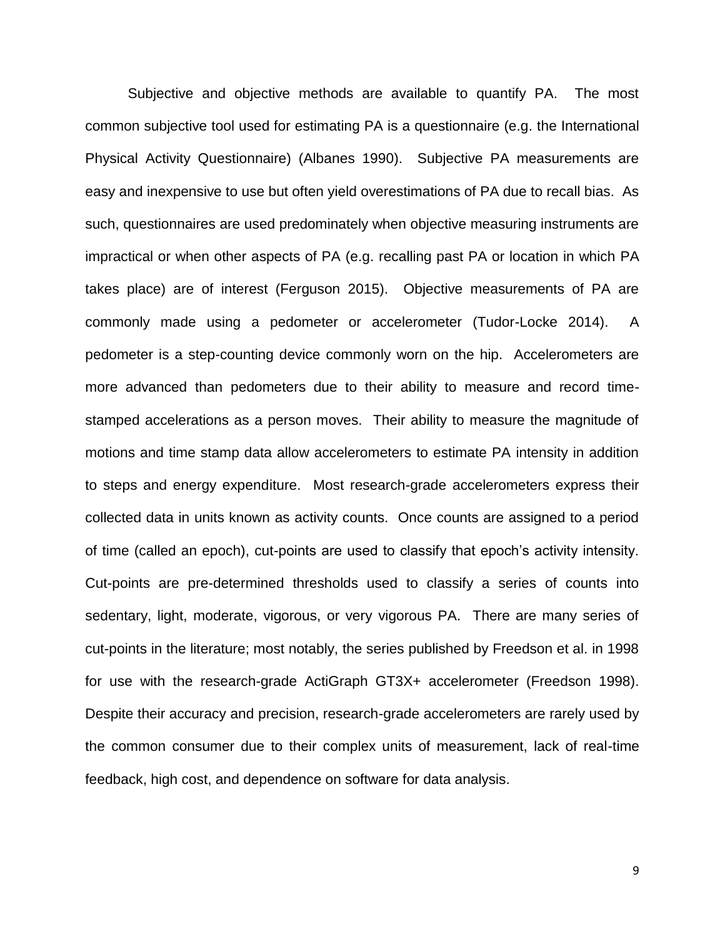Subjective and objective methods are available to quantify PA. The most common subjective tool used for estimating PA is a questionnaire (e.g. the International Physical Activity Questionnaire) (Albanes 1990). Subjective PA measurements are easy and inexpensive to use but often yield overestimations of PA due to recall bias. As such, questionnaires are used predominately when objective measuring instruments are impractical or when other aspects of PA (e.g. recalling past PA or location in which PA takes place) are of interest (Ferguson 2015). Objective measurements of PA are commonly made using a pedometer or accelerometer (Tudor-Locke 2014). A pedometer is a step-counting device commonly worn on the hip. Accelerometers are more advanced than pedometers due to their ability to measure and record timestamped accelerations as a person moves. Their ability to measure the magnitude of motions and time stamp data allow accelerometers to estimate PA intensity in addition to steps and energy expenditure. Most research-grade accelerometers express their collected data in units known as activity counts. Once counts are assigned to a period of time (called an epoch), cut-points are used to classify that epoch's activity intensity. Cut-points are pre-determined thresholds used to classify a series of counts into sedentary, light, moderate, vigorous, or very vigorous PA. There are many series of cut-points in the literature; most notably, the series published by Freedson et al. in 1998 for use with the research-grade ActiGraph GT3X+ accelerometer (Freedson 1998). Despite their accuracy and precision, research-grade accelerometers are rarely used by the common consumer due to their complex units of measurement, lack of real-time feedback, high cost, and dependence on software for data analysis.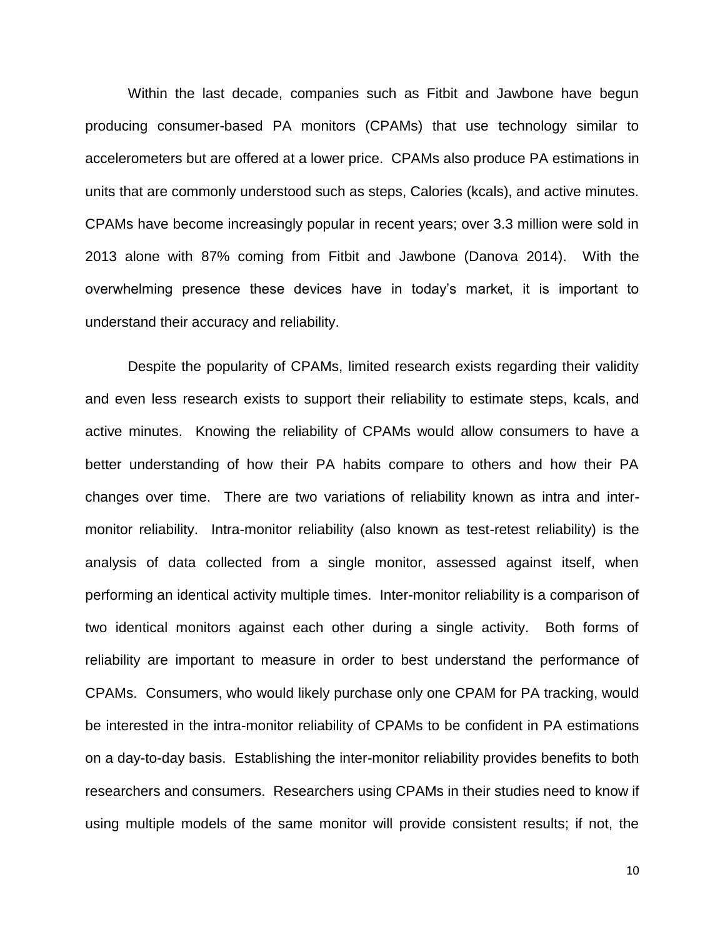Within the last decade, companies such as Fitbit and Jawbone have begun producing consumer-based PA monitors (CPAMs) that use technology similar to accelerometers but are offered at a lower price. CPAMs also produce PA estimations in units that are commonly understood such as steps, Calories (kcals), and active minutes. CPAMs have become increasingly popular in recent years; over 3.3 million were sold in 2013 alone with 87% coming from Fitbit and Jawbone (Danova 2014). With the overwhelming presence these devices have in today's market, it is important to understand their accuracy and reliability.

Despite the popularity of CPAMs, limited research exists regarding their validity and even less research exists to support their reliability to estimate steps, kcals, and active minutes. Knowing the reliability of CPAMs would allow consumers to have a better understanding of how their PA habits compare to others and how their PA changes over time. There are two variations of reliability known as intra and intermonitor reliability. Intra-monitor reliability (also known as test-retest reliability) is the analysis of data collected from a single monitor, assessed against itself, when performing an identical activity multiple times. Inter-monitor reliability is a comparison of two identical monitors against each other during a single activity. Both forms of reliability are important to measure in order to best understand the performance of CPAMs. Consumers, who would likely purchase only one CPAM for PA tracking, would be interested in the intra-monitor reliability of CPAMs to be confident in PA estimations on a day-to-day basis. Establishing the inter-monitor reliability provides benefits to both researchers and consumers. Researchers using CPAMs in their studies need to know if using multiple models of the same monitor will provide consistent results; if not, the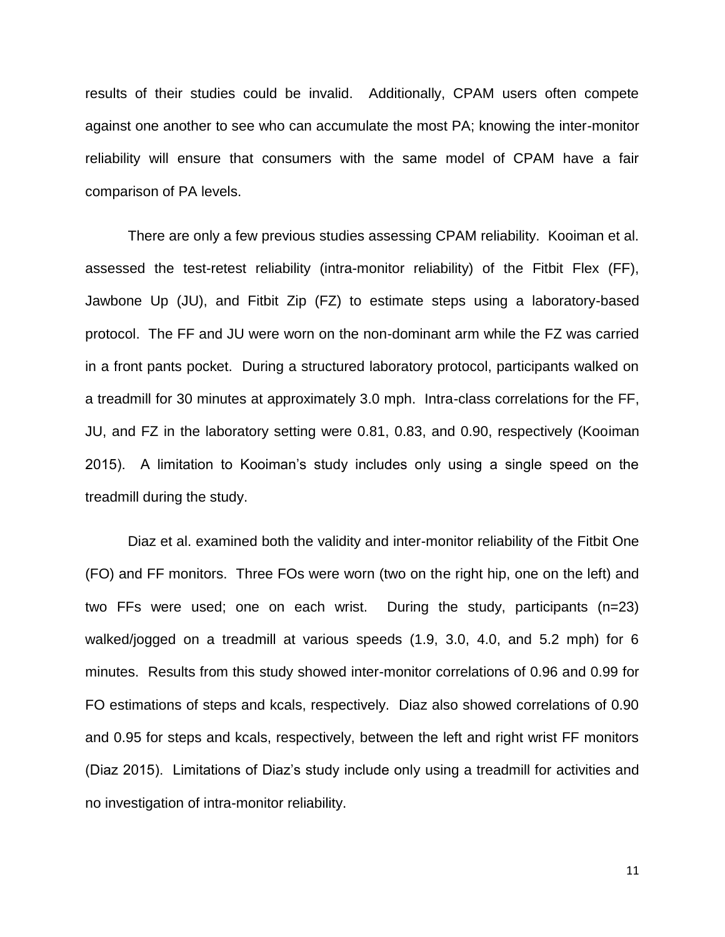results of their studies could be invalid. Additionally, CPAM users often compete against one another to see who can accumulate the most PA; knowing the inter-monitor reliability will ensure that consumers with the same model of CPAM have a fair comparison of PA levels.

There are only a few previous studies assessing CPAM reliability. Kooiman et al. assessed the test-retest reliability (intra-monitor reliability) of the Fitbit Flex (FF), Jawbone Up (JU), and Fitbit Zip (FZ) to estimate steps using a laboratory-based protocol. The FF and JU were worn on the non-dominant arm while the FZ was carried in a front pants pocket. During a structured laboratory protocol, participants walked on a treadmill for 30 minutes at approximately 3.0 mph. Intra-class correlations for the FF, JU, and FZ in the laboratory setting were 0.81, 0.83, and 0.90, respectively (Kooiman 2015). A limitation to Kooiman's study includes only using a single speed on the treadmill during the study.

Diaz et al. examined both the validity and inter-monitor reliability of the Fitbit One (FO) and FF monitors. Three FOs were worn (two on the right hip, one on the left) and two FFs were used; one on each wrist. During the study, participants (n=23) walked/jogged on a treadmill at various speeds (1.9, 3.0, 4.0, and 5.2 mph) for 6 minutes. Results from this study showed inter-monitor correlations of 0.96 and 0.99 for FO estimations of steps and kcals, respectively. Diaz also showed correlations of 0.90 and 0.95 for steps and kcals, respectively, between the left and right wrist FF monitors (Diaz 2015). Limitations of Diaz's study include only using a treadmill for activities and no investigation of intra-monitor reliability.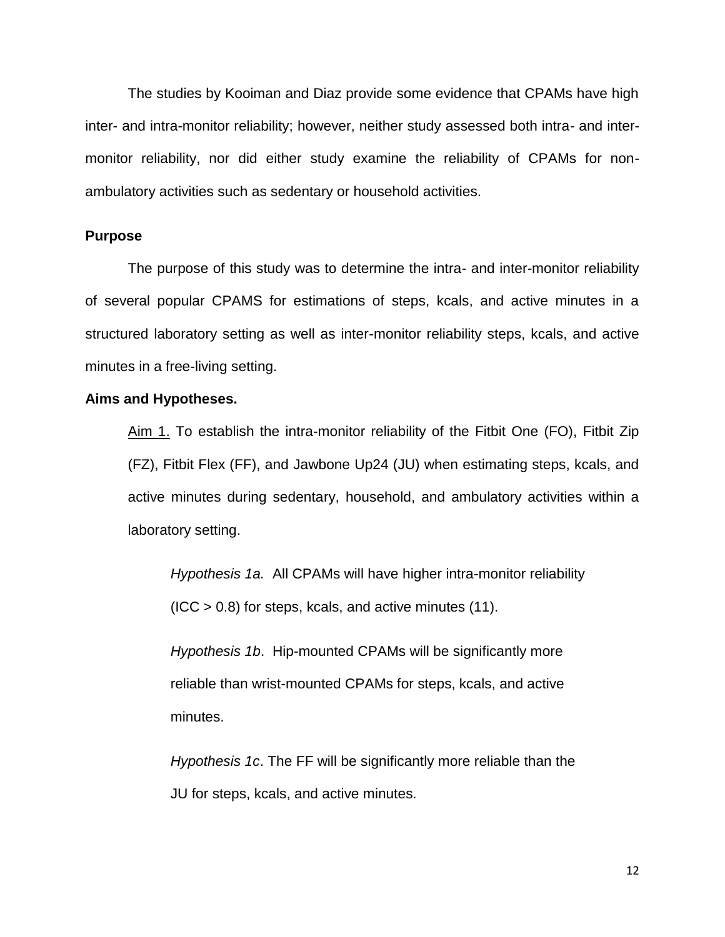The studies by Kooiman and Diaz provide some evidence that CPAMs have high inter- and intra-monitor reliability; however, neither study assessed both intra- and intermonitor reliability, nor did either study examine the reliability of CPAMs for nonambulatory activities such as sedentary or household activities.

#### **Purpose**

The purpose of this study was to determine the intra- and inter-monitor reliability of several popular CPAMS for estimations of steps, kcals, and active minutes in a structured laboratory setting as well as inter-monitor reliability steps, kcals, and active minutes in a free-living setting.

#### **Aims and Hypotheses.**

Aim 1. To establish the intra-monitor reliability of the Fitbit One (FO), Fitbit Zip (FZ), Fitbit Flex (FF), and Jawbone Up24 (JU) when estimating steps, kcals, and active minutes during sedentary, household, and ambulatory activities within a laboratory setting.

*Hypothesis 1a.* All CPAMs will have higher intra-monitor reliability  $(ICC > 0.8)$  for steps, kcals, and active minutes  $(11)$ .

*Hypothesis 1b*. Hip-mounted CPAMs will be significantly more reliable than wrist-mounted CPAMs for steps, kcals, and active minutes.

*Hypothesis 1c*. The FF will be significantly more reliable than the JU for steps, kcals, and active minutes.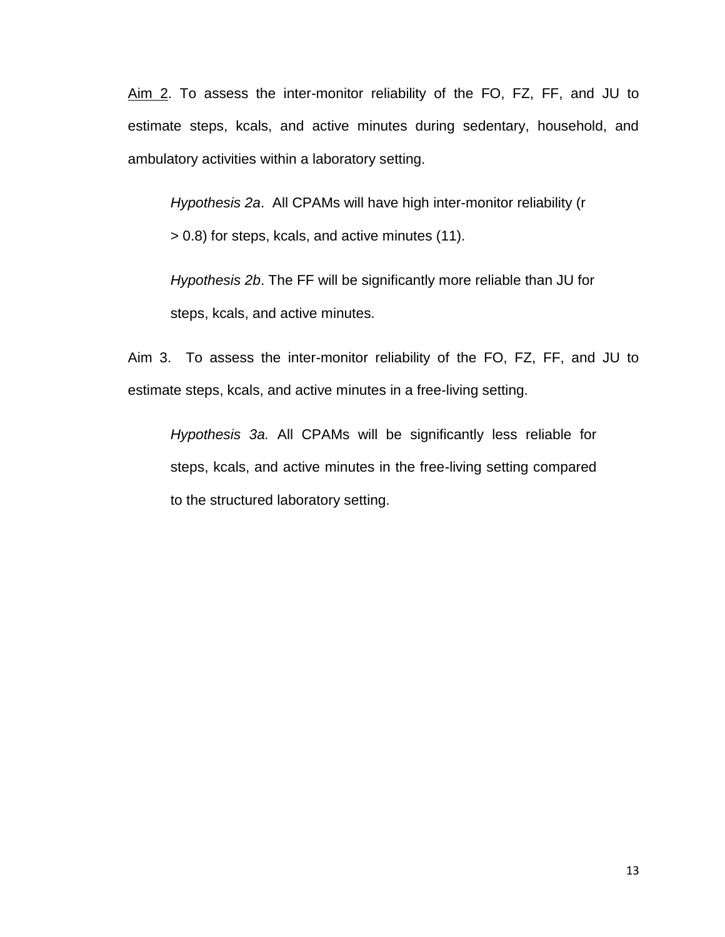Aim 2. To assess the inter-monitor reliability of the FO, FZ, FF, and JU to estimate steps, kcals, and active minutes during sedentary, household, and ambulatory activities within a laboratory setting.

*Hypothesis 2a*. All CPAMs will have high inter-monitor reliability (r

> 0.8) for steps, kcals, and active minutes (11).

*Hypothesis 2b*. The FF will be significantly more reliable than JU for steps, kcals, and active minutes.

Aim 3. To assess the inter-monitor reliability of the FO, FZ, FF, and JU to estimate steps, kcals, and active minutes in a free-living setting.

*Hypothesis 3a.* All CPAMs will be significantly less reliable for steps, kcals, and active minutes in the free-living setting compared to the structured laboratory setting.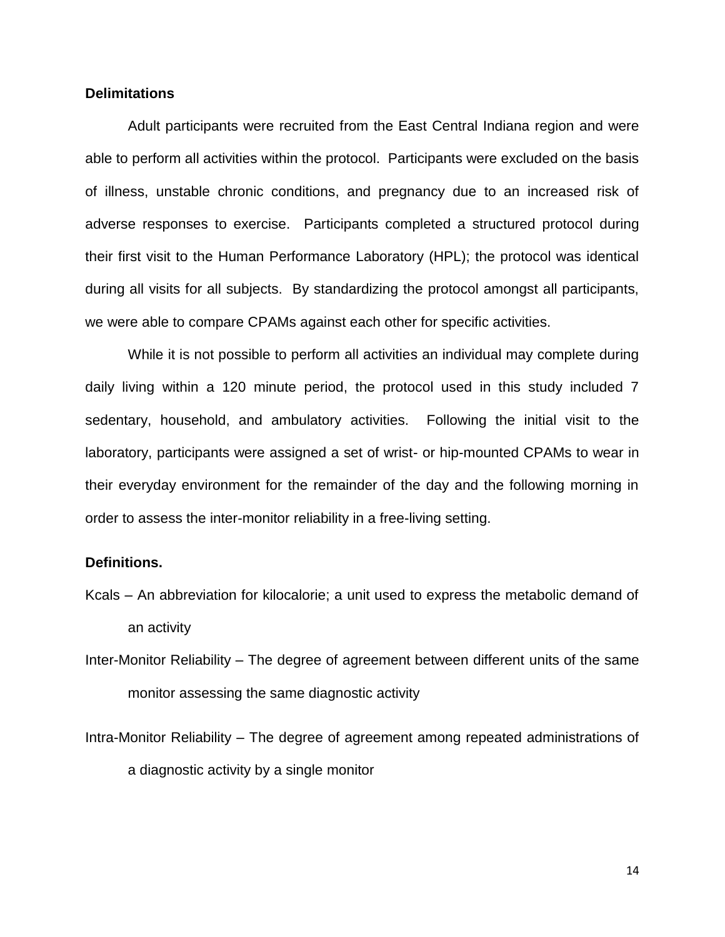#### **Delimitations**

Adult participants were recruited from the East Central Indiana region and were able to perform all activities within the protocol. Participants were excluded on the basis of illness, unstable chronic conditions, and pregnancy due to an increased risk of adverse responses to exercise. Participants completed a structured protocol during their first visit to the Human Performance Laboratory (HPL); the protocol was identical during all visits for all subjects. By standardizing the protocol amongst all participants, we were able to compare CPAMs against each other for specific activities.

While it is not possible to perform all activities an individual may complete during daily living within a 120 minute period, the protocol used in this study included 7 sedentary, household, and ambulatory activities. Following the initial visit to the laboratory, participants were assigned a set of wrist- or hip-mounted CPAMs to wear in their everyday environment for the remainder of the day and the following morning in order to assess the inter-monitor reliability in a free-living setting.

#### **Definitions.**

- Kcals An abbreviation for kilocalorie; a unit used to express the metabolic demand of an activity
- Inter-Monitor Reliability The degree of agreement between different units of the same monitor assessing the same diagnostic activity
- Intra-Monitor Reliability The degree of agreement among repeated administrations of a diagnostic activity by a single monitor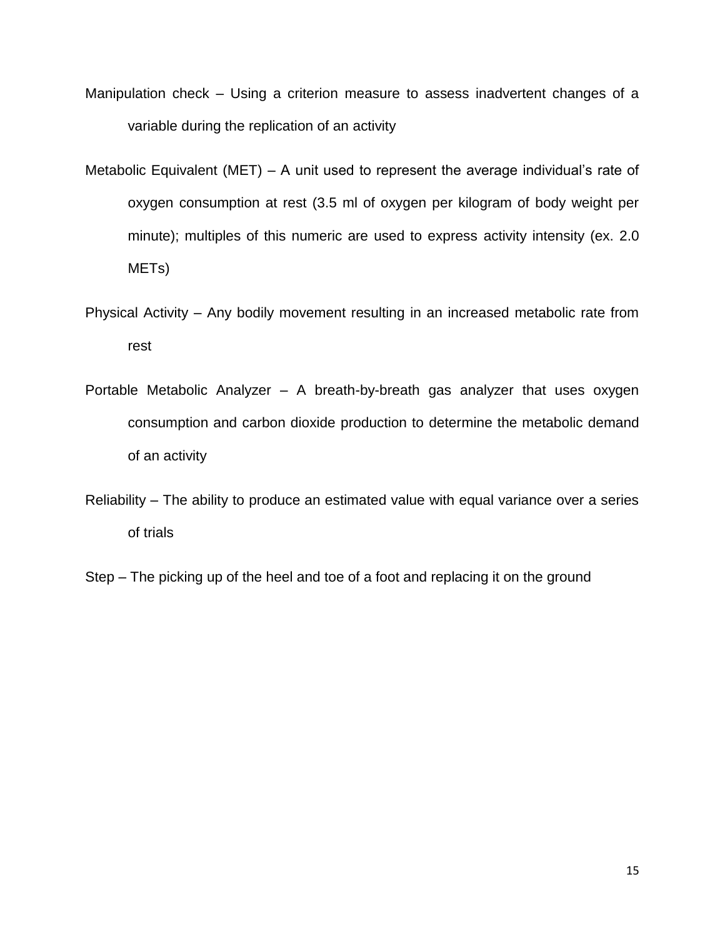- Manipulation check Using a criterion measure to assess inadvertent changes of a variable during the replication of an activity
- Metabolic Equivalent (MET) A unit used to represent the average individual's rate of oxygen consumption at rest (3.5 ml of oxygen per kilogram of body weight per minute); multiples of this numeric are used to express activity intensity (ex. 2.0 METs)
- Physical Activity Any bodily movement resulting in an increased metabolic rate from rest
- Portable Metabolic Analyzer A breath-by-breath gas analyzer that uses oxygen consumption and carbon dioxide production to determine the metabolic demand of an activity
- Reliability The ability to produce an estimated value with equal variance over a series of trials
- Step The picking up of the heel and toe of a foot and replacing it on the ground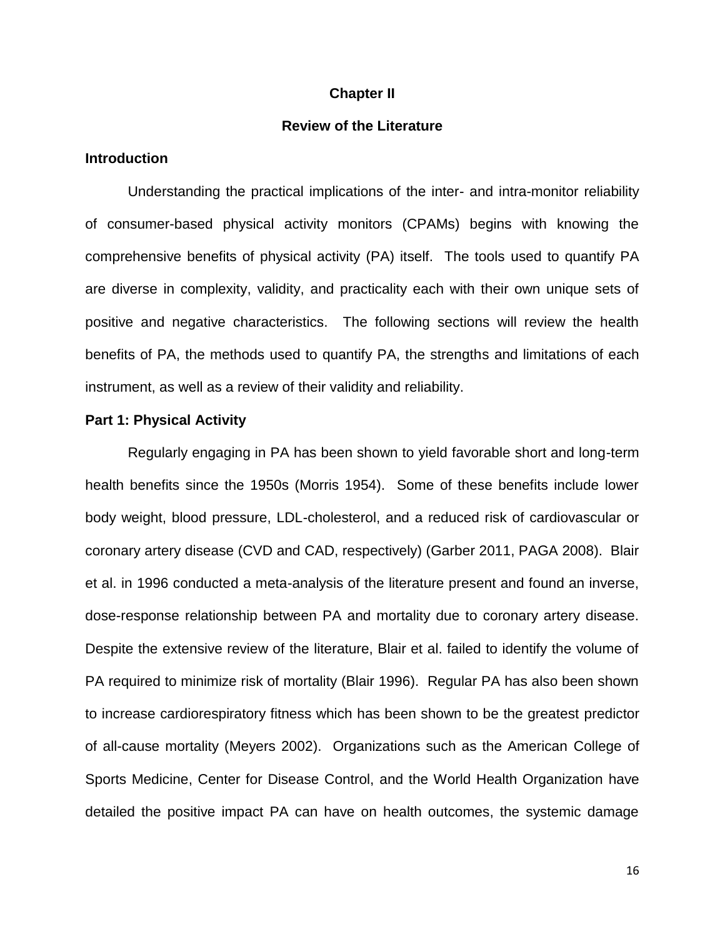#### **Chapter II**

#### **Review of the Literature**

#### **Introduction**

Understanding the practical implications of the inter- and intra-monitor reliability of consumer-based physical activity monitors (CPAMs) begins with knowing the comprehensive benefits of physical activity (PA) itself. The tools used to quantify PA are diverse in complexity, validity, and practicality each with their own unique sets of positive and negative characteristics. The following sections will review the health benefits of PA, the methods used to quantify PA, the strengths and limitations of each instrument, as well as a review of their validity and reliability.

#### **Part 1: Physical Activity**

Regularly engaging in PA has been shown to yield favorable short and long-term health benefits since the 1950s (Morris 1954). Some of these benefits include lower body weight, blood pressure, LDL-cholesterol, and a reduced risk of cardiovascular or coronary artery disease (CVD and CAD, respectively) (Garber 2011, PAGA 2008). Blair et al. in 1996 conducted a meta-analysis of the literature present and found an inverse, dose-response relationship between PA and mortality due to coronary artery disease. Despite the extensive review of the literature, Blair et al. failed to identify the volume of PA required to minimize risk of mortality (Blair 1996). Regular PA has also been shown to increase cardiorespiratory fitness which has been shown to be the greatest predictor of all-cause mortality (Meyers 2002). Organizations such as the American College of Sports Medicine, Center for Disease Control, and the World Health Organization have detailed the positive impact PA can have on health outcomes, the systemic damage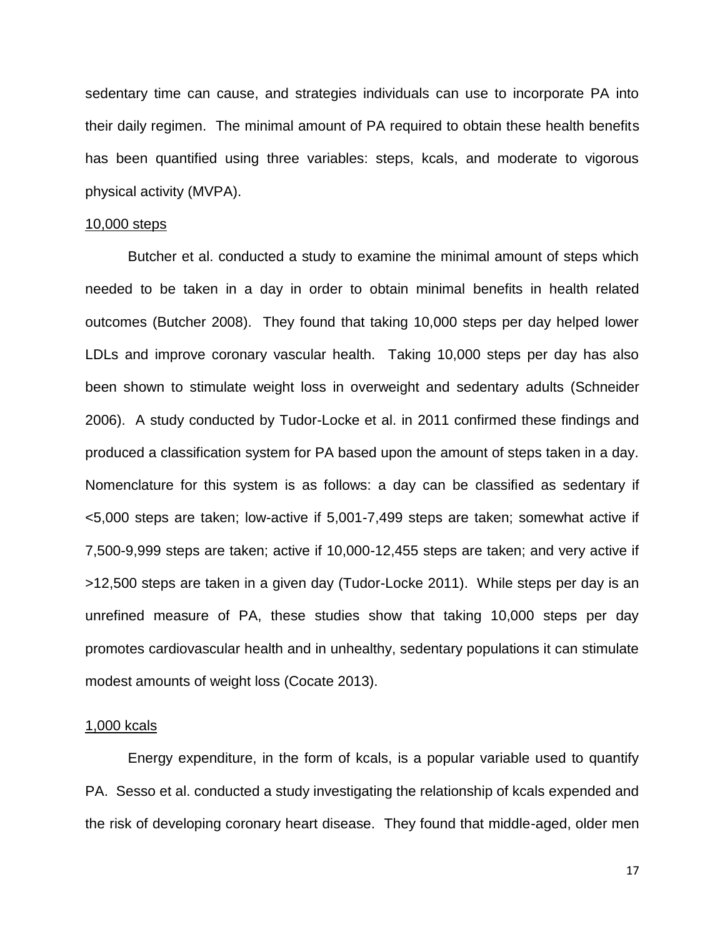sedentary time can cause, and strategies individuals can use to incorporate PA into their daily regimen. The minimal amount of PA required to obtain these health benefits has been quantified using three variables: steps, kcals, and moderate to vigorous physical activity (MVPA).

#### 10,000 steps

Butcher et al. conducted a study to examine the minimal amount of steps which needed to be taken in a day in order to obtain minimal benefits in health related outcomes (Butcher 2008). They found that taking 10,000 steps per day helped lower LDLs and improve coronary vascular health. Taking 10,000 steps per day has also been shown to stimulate weight loss in overweight and sedentary adults (Schneider 2006). A study conducted by Tudor-Locke et al. in 2011 confirmed these findings and produced a classification system for PA based upon the amount of steps taken in a day. Nomenclature for this system is as follows: a day can be classified as sedentary if <5,000 steps are taken; low-active if 5,001-7,499 steps are taken; somewhat active if 7,500-9,999 steps are taken; active if 10,000-12,455 steps are taken; and very active if >12,500 steps are taken in a given day (Tudor-Locke 2011). While steps per day is an unrefined measure of PA, these studies show that taking 10,000 steps per day promotes cardiovascular health and in unhealthy, sedentary populations it can stimulate modest amounts of weight loss (Cocate 2013).

#### 1,000 kcals

Energy expenditure, in the form of kcals, is a popular variable used to quantify PA. Sesso et al. conducted a study investigating the relationship of kcals expended and the risk of developing coronary heart disease. They found that middle-aged, older men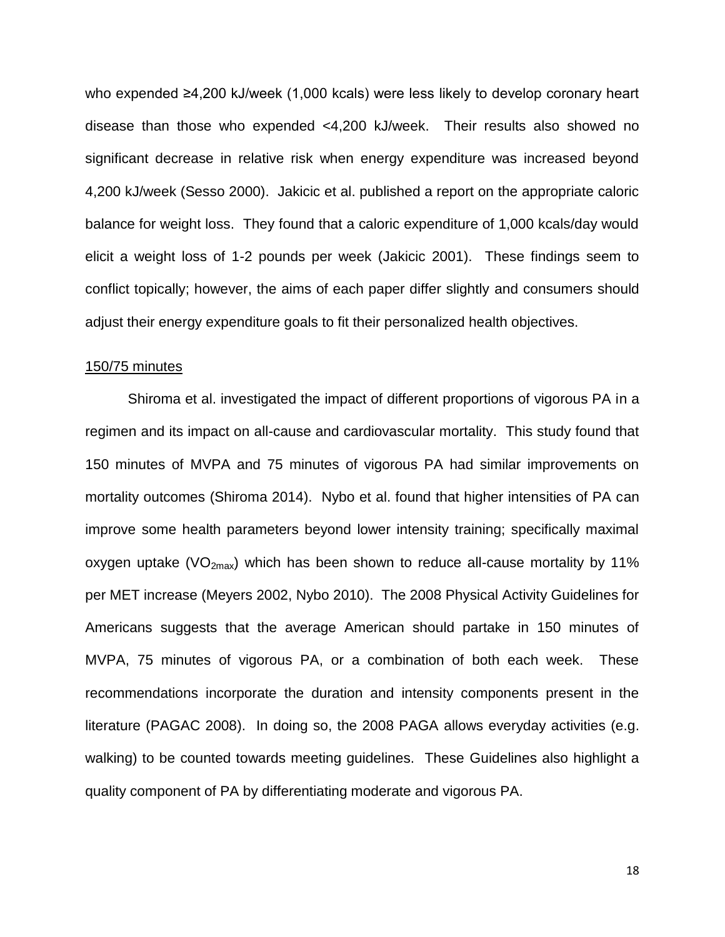who expended ≥4,200 kJ/week (1,000 kcals) were less likely to develop coronary heart disease than those who expended <4,200 kJ/week. Their results also showed no significant decrease in relative risk when energy expenditure was increased beyond 4,200 kJ/week (Sesso 2000). Jakicic et al. published a report on the appropriate caloric balance for weight loss. They found that a caloric expenditure of 1,000 kcals/day would elicit a weight loss of 1-2 pounds per week (Jakicic 2001). These findings seem to conflict topically; however, the aims of each paper differ slightly and consumers should adjust their energy expenditure goals to fit their personalized health objectives.

#### 150/75 minutes

Shiroma et al. investigated the impact of different proportions of vigorous PA in a regimen and its impact on all-cause and cardiovascular mortality. This study found that 150 minutes of MVPA and 75 minutes of vigorous PA had similar improvements on mortality outcomes (Shiroma 2014). Nybo et al. found that higher intensities of PA can improve some health parameters beyond lower intensity training; specifically maximal oxygen uptake (VO<sub>2max</sub>) which has been shown to reduce all-cause mortality by 11% per MET increase (Meyers 2002, Nybo 2010). The 2008 Physical Activity Guidelines for Americans suggests that the average American should partake in 150 minutes of MVPA, 75 minutes of vigorous PA, or a combination of both each week. These recommendations incorporate the duration and intensity components present in the literature (PAGAC 2008). In doing so, the 2008 PAGA allows everyday activities (e.g. walking) to be counted towards meeting guidelines. These Guidelines also highlight a quality component of PA by differentiating moderate and vigorous PA.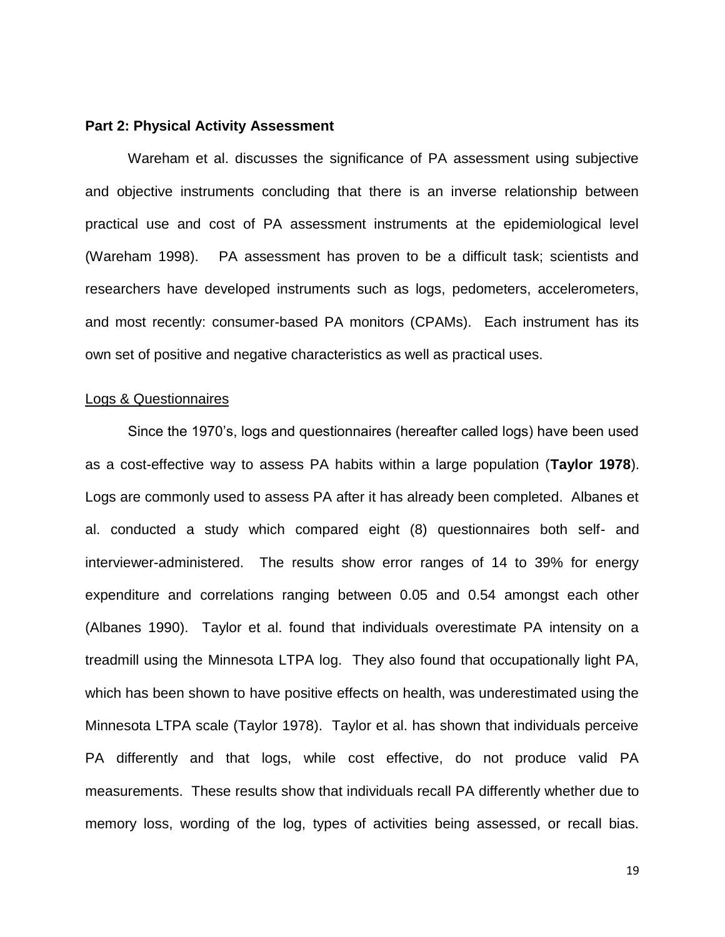#### **Part 2: Physical Activity Assessment**

Wareham et al. discusses the significance of PA assessment using subjective and objective instruments concluding that there is an inverse relationship between practical use and cost of PA assessment instruments at the epidemiological level (Wareham 1998). PA assessment has proven to be a difficult task; scientists and researchers have developed instruments such as logs, pedometers, accelerometers, and most recently: consumer-based PA monitors (CPAMs). Each instrument has its own set of positive and negative characteristics as well as practical uses.

#### Logs & Questionnaires

Since the 1970's, logs and questionnaires (hereafter called logs) have been used as a cost-effective way to assess PA habits within a large population (**Taylor 1978**). Logs are commonly used to assess PA after it has already been completed. Albanes et al. conducted a study which compared eight (8) questionnaires both self- and interviewer-administered. The results show error ranges of 14 to 39% for energy expenditure and correlations ranging between 0.05 and 0.54 amongst each other (Albanes 1990). Taylor et al. found that individuals overestimate PA intensity on a treadmill using the Minnesota LTPA log. They also found that occupationally light PA, which has been shown to have positive effects on health, was underestimated using the Minnesota LTPA scale (Taylor 1978). Taylor et al. has shown that individuals perceive PA differently and that logs, while cost effective, do not produce valid PA measurements. These results show that individuals recall PA differently whether due to memory loss, wording of the log, types of activities being assessed, or recall bias.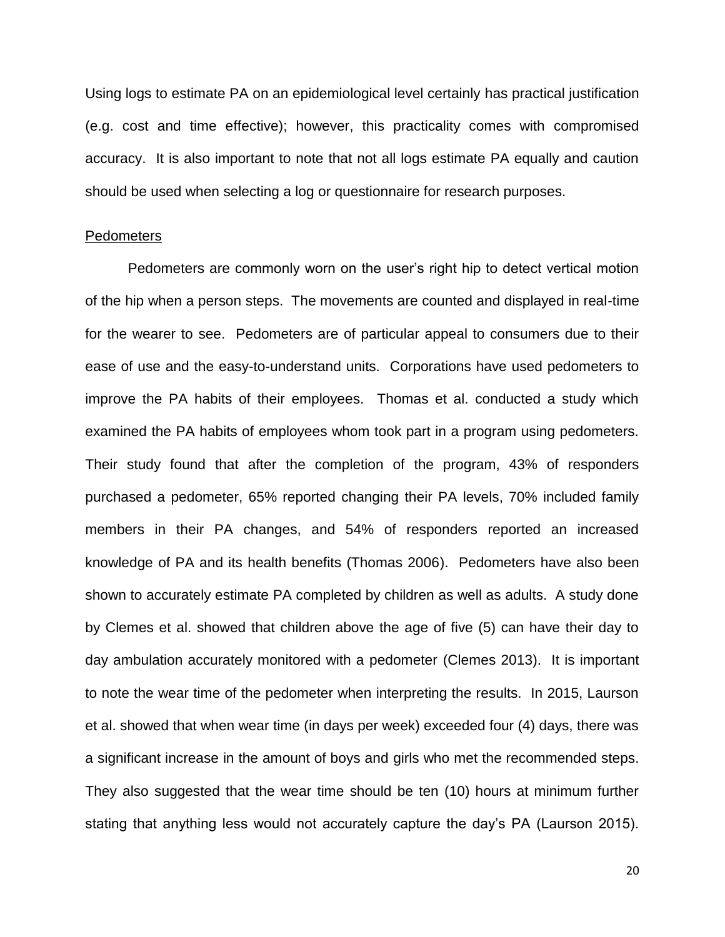Using logs to estimate PA on an epidemiological level certainly has practical justification (e.g. cost and time effective); however, this practicality comes with compromised accuracy. It is also important to note that not all logs estimate PA equally and caution should be used when selecting a log or questionnaire for research purposes.

#### Pedometers

Pedometers are commonly worn on the user's right hip to detect vertical motion of the hip when a person steps. The movements are counted and displayed in real-time for the wearer to see. Pedometers are of particular appeal to consumers due to their ease of use and the easy-to-understand units. Corporations have used pedometers to improve the PA habits of their employees. Thomas et al. conducted a study which examined the PA habits of employees whom took part in a program using pedometers. Their study found that after the completion of the program, 43% of responders purchased a pedometer, 65% reported changing their PA levels, 70% included family members in their PA changes, and 54% of responders reported an increased knowledge of PA and its health benefits (Thomas 2006). Pedometers have also been shown to accurately estimate PA completed by children as well as adults. A study done by Clemes et al. showed that children above the age of five (5) can have their day to day ambulation accurately monitored with a pedometer (Clemes 2013). It is important to note the wear time of the pedometer when interpreting the results. In 2015, Laurson et al. showed that when wear time (in days per week) exceeded four (4) days, there was a significant increase in the amount of boys and girls who met the recommended steps. They also suggested that the wear time should be ten (10) hours at minimum further stating that anything less would not accurately capture the day's PA (Laurson 2015).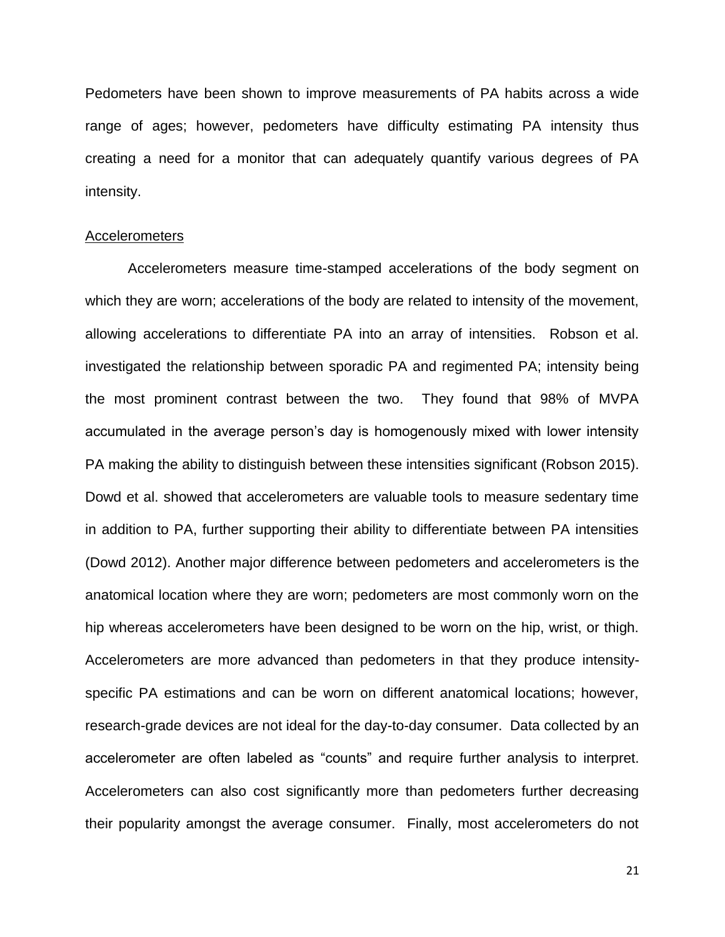Pedometers have been shown to improve measurements of PA habits across a wide range of ages; however, pedometers have difficulty estimating PA intensity thus creating a need for a monitor that can adequately quantify various degrees of PA intensity.

#### Accelerometers

Accelerometers measure time-stamped accelerations of the body segment on which they are worn; accelerations of the body are related to intensity of the movement, allowing accelerations to differentiate PA into an array of intensities. Robson et al. investigated the relationship between sporadic PA and regimented PA; intensity being the most prominent contrast between the two. They found that 98% of MVPA accumulated in the average person's day is homogenously mixed with lower intensity PA making the ability to distinguish between these intensities significant (Robson 2015). Dowd et al. showed that accelerometers are valuable tools to measure sedentary time in addition to PA, further supporting their ability to differentiate between PA intensities (Dowd 2012). Another major difference between pedometers and accelerometers is the anatomical location where they are worn; pedometers are most commonly worn on the hip whereas accelerometers have been designed to be worn on the hip, wrist, or thigh. Accelerometers are more advanced than pedometers in that they produce intensityspecific PA estimations and can be worn on different anatomical locations; however, research-grade devices are not ideal for the day-to-day consumer. Data collected by an accelerometer are often labeled as "counts" and require further analysis to interpret. Accelerometers can also cost significantly more than pedometers further decreasing their popularity amongst the average consumer. Finally, most accelerometers do not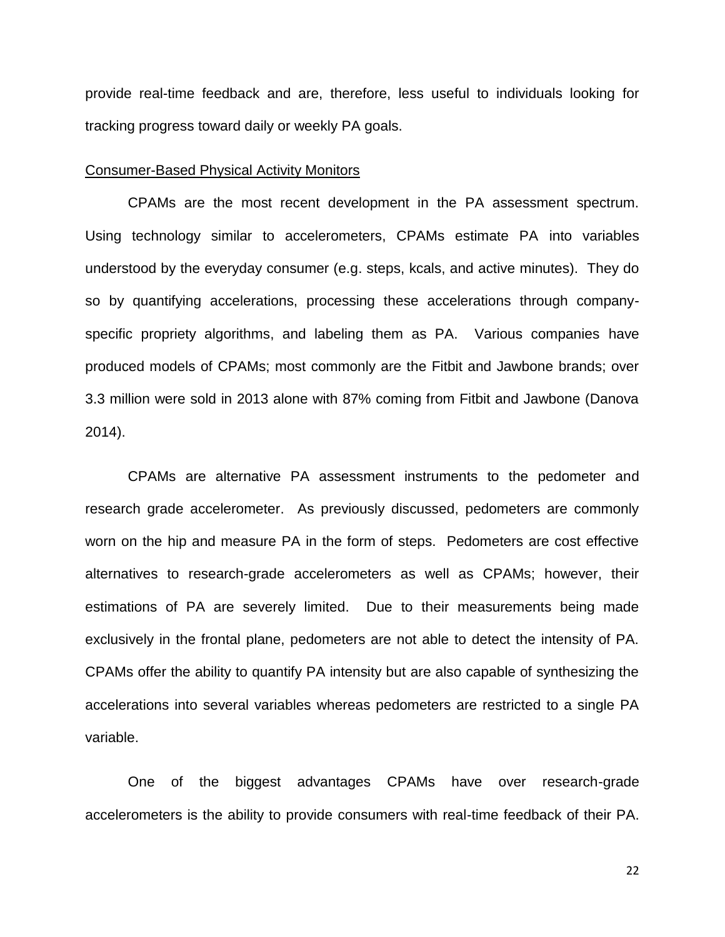provide real-time feedback and are, therefore, less useful to individuals looking for tracking progress toward daily or weekly PA goals.

#### Consumer-Based Physical Activity Monitors

CPAMs are the most recent development in the PA assessment spectrum. Using technology similar to accelerometers, CPAMs estimate PA into variables understood by the everyday consumer (e.g. steps, kcals, and active minutes). They do so by quantifying accelerations, processing these accelerations through companyspecific propriety algorithms, and labeling them as PA. Various companies have produced models of CPAMs; most commonly are the Fitbit and Jawbone brands; over 3.3 million were sold in 2013 alone with 87% coming from Fitbit and Jawbone (Danova 2014).

CPAMs are alternative PA assessment instruments to the pedometer and research grade accelerometer. As previously discussed, pedometers are commonly worn on the hip and measure PA in the form of steps. Pedometers are cost effective alternatives to research-grade accelerometers as well as CPAMs; however, their estimations of PA are severely limited. Due to their measurements being made exclusively in the frontal plane, pedometers are not able to detect the intensity of PA. CPAMs offer the ability to quantify PA intensity but are also capable of synthesizing the accelerations into several variables whereas pedometers are restricted to a single PA variable.

One of the biggest advantages CPAMs have over research-grade accelerometers is the ability to provide consumers with real-time feedback of their PA.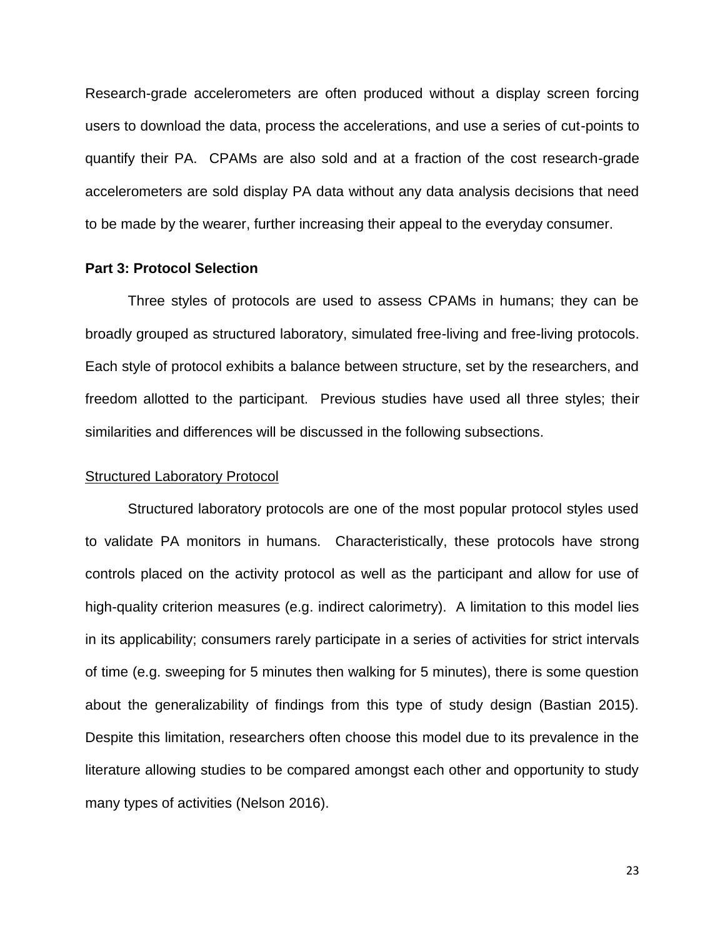Research-grade accelerometers are often produced without a display screen forcing users to download the data, process the accelerations, and use a series of cut-points to quantify their PA. CPAMs are also sold and at a fraction of the cost research-grade accelerometers are sold display PA data without any data analysis decisions that need to be made by the wearer, further increasing their appeal to the everyday consumer.

#### **Part 3: Protocol Selection**

Three styles of protocols are used to assess CPAMs in humans; they can be broadly grouped as structured laboratory, simulated free-living and free-living protocols. Each style of protocol exhibits a balance between structure, set by the researchers, and freedom allotted to the participant. Previous studies have used all three styles; their similarities and differences will be discussed in the following subsections.

#### Structured Laboratory Protocol

Structured laboratory protocols are one of the most popular protocol styles used to validate PA monitors in humans. Characteristically, these protocols have strong controls placed on the activity protocol as well as the participant and allow for use of high-quality criterion measures (e.g. indirect calorimetry). A limitation to this model lies in its applicability; consumers rarely participate in a series of activities for strict intervals of time (e.g. sweeping for 5 minutes then walking for 5 minutes), there is some question about the generalizability of findings from this type of study design (Bastian 2015). Despite this limitation, researchers often choose this model due to its prevalence in the literature allowing studies to be compared amongst each other and opportunity to study many types of activities (Nelson 2016).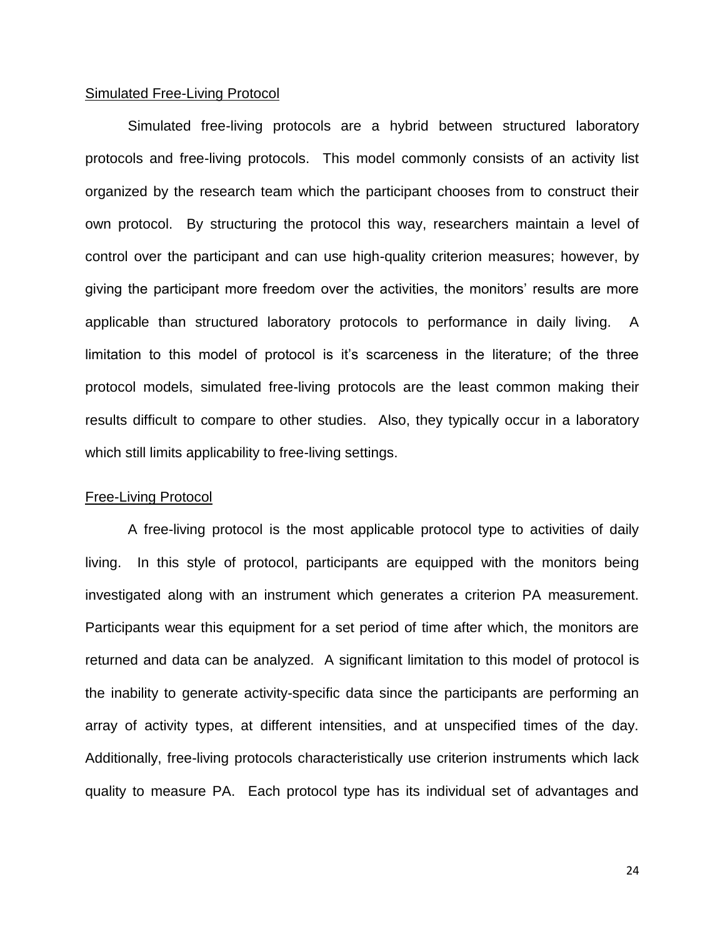#### Simulated Free-Living Protocol

Simulated free-living protocols are a hybrid between structured laboratory protocols and free-living protocols. This model commonly consists of an activity list organized by the research team which the participant chooses from to construct their own protocol. By structuring the protocol this way, researchers maintain a level of control over the participant and can use high-quality criterion measures; however, by giving the participant more freedom over the activities, the monitors' results are more applicable than structured laboratory protocols to performance in daily living. A limitation to this model of protocol is it's scarceness in the literature; of the three protocol models, simulated free-living protocols are the least common making their results difficult to compare to other studies. Also, they typically occur in a laboratory which still limits applicability to free-living settings.

#### Free-Living Protocol

A free-living protocol is the most applicable protocol type to activities of daily living. In this style of protocol, participants are equipped with the monitors being investigated along with an instrument which generates a criterion PA measurement. Participants wear this equipment for a set period of time after which, the monitors are returned and data can be analyzed. A significant limitation to this model of protocol is the inability to generate activity-specific data since the participants are performing an array of activity types, at different intensities, and at unspecified times of the day. Additionally, free-living protocols characteristically use criterion instruments which lack quality to measure PA. Each protocol type has its individual set of advantages and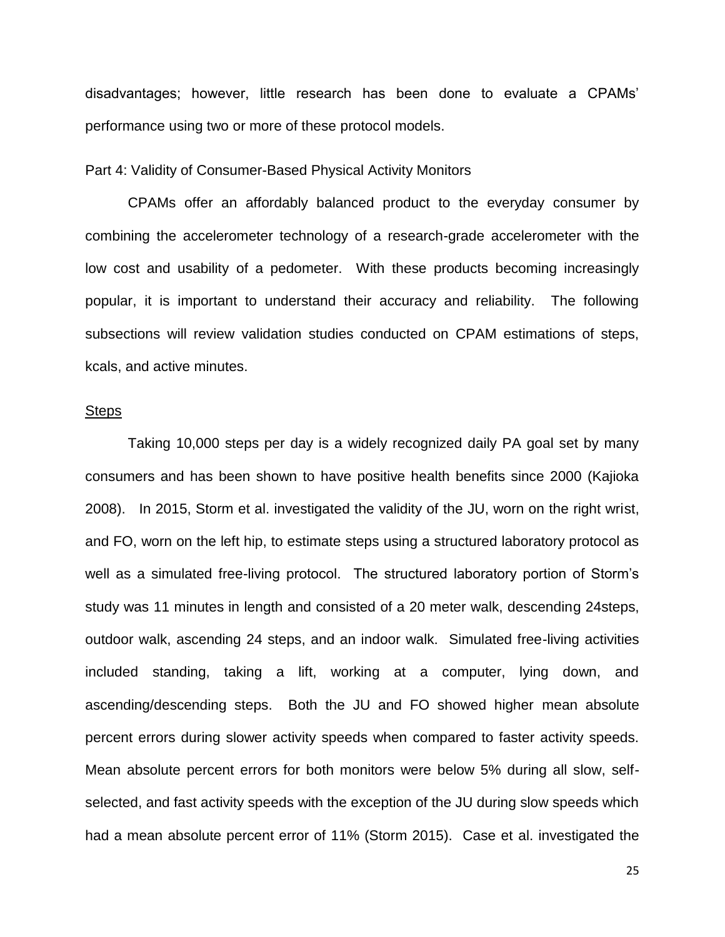disadvantages; however, little research has been done to evaluate a CPAMs' performance using two or more of these protocol models.

#### Part 4: Validity of Consumer-Based Physical Activity Monitors

CPAMs offer an affordably balanced product to the everyday consumer by combining the accelerometer technology of a research-grade accelerometer with the low cost and usability of a pedometer. With these products becoming increasingly popular, it is important to understand their accuracy and reliability. The following subsections will review validation studies conducted on CPAM estimations of steps, kcals, and active minutes.

#### **Steps**

Taking 10,000 steps per day is a widely recognized daily PA goal set by many consumers and has been shown to have positive health benefits since 2000 (Kajioka 2008). In 2015, Storm et al. investigated the validity of the JU, worn on the right wrist, and FO, worn on the left hip, to estimate steps using a structured laboratory protocol as well as a simulated free-living protocol. The structured laboratory portion of Storm's study was 11 minutes in length and consisted of a 20 meter walk, descending 24steps, outdoor walk, ascending 24 steps, and an indoor walk. Simulated free-living activities included standing, taking a lift, working at a computer, lying down, and ascending/descending steps. Both the JU and FO showed higher mean absolute percent errors during slower activity speeds when compared to faster activity speeds. Mean absolute percent errors for both monitors were below 5% during all slow, selfselected, and fast activity speeds with the exception of the JU during slow speeds which had a mean absolute percent error of 11% (Storm 2015). Case et al. investigated the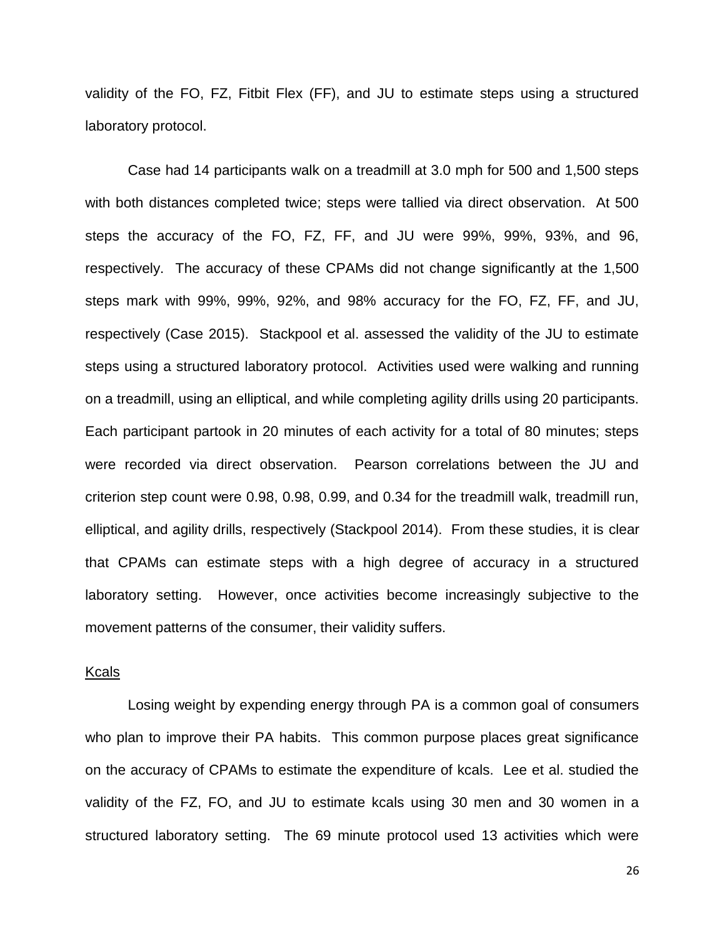validity of the FO, FZ, Fitbit Flex (FF), and JU to estimate steps using a structured laboratory protocol.

Case had 14 participants walk on a treadmill at 3.0 mph for 500 and 1,500 steps with both distances completed twice; steps were tallied via direct observation. At 500 steps the accuracy of the FO, FZ, FF, and JU were 99%, 99%, 93%, and 96, respectively. The accuracy of these CPAMs did not change significantly at the 1,500 steps mark with 99%, 99%, 92%, and 98% accuracy for the FO, FZ, FF, and JU, respectively (Case 2015). Stackpool et al. assessed the validity of the JU to estimate steps using a structured laboratory protocol. Activities used were walking and running on a treadmill, using an elliptical, and while completing agility drills using 20 participants. Each participant partook in 20 minutes of each activity for a total of 80 minutes; steps were recorded via direct observation. Pearson correlations between the JU and criterion step count were 0.98, 0.98, 0.99, and 0.34 for the treadmill walk, treadmill run, elliptical, and agility drills, respectively (Stackpool 2014). From these studies, it is clear that CPAMs can estimate steps with a high degree of accuracy in a structured laboratory setting. However, once activities become increasingly subjective to the movement patterns of the consumer, their validity suffers.

#### Kcals

Losing weight by expending energy through PA is a common goal of consumers who plan to improve their PA habits. This common purpose places great significance on the accuracy of CPAMs to estimate the expenditure of kcals. Lee et al. studied the validity of the FZ, FO, and JU to estimate kcals using 30 men and 30 women in a structured laboratory setting. The 69 minute protocol used 13 activities which were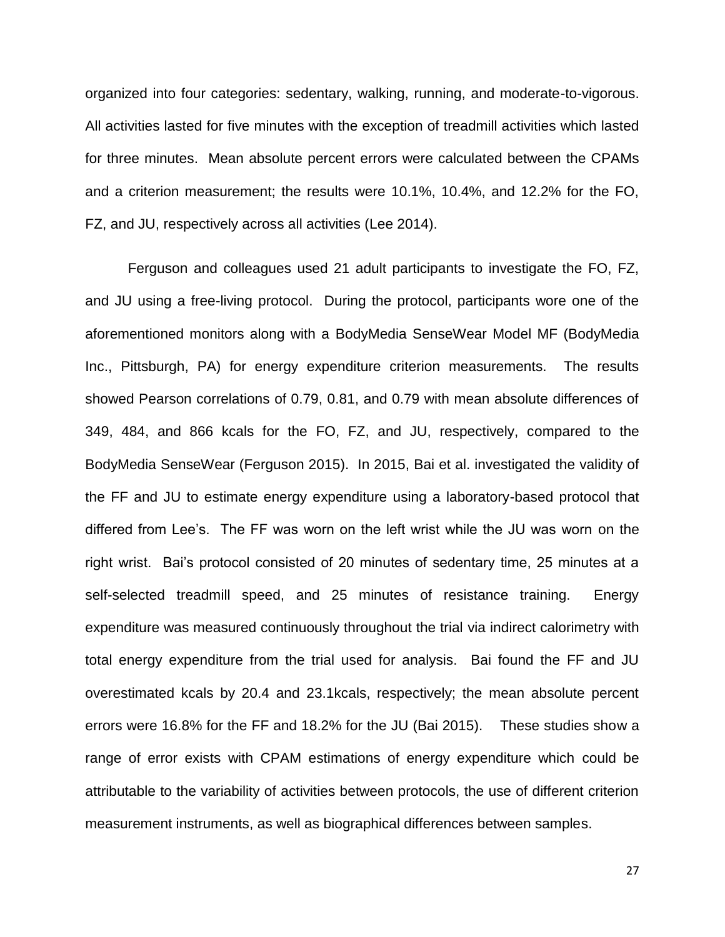organized into four categories: sedentary, walking, running, and moderate-to-vigorous. All activities lasted for five minutes with the exception of treadmill activities which lasted for three minutes. Mean absolute percent errors were calculated between the CPAMs and a criterion measurement; the results were 10.1%, 10.4%, and 12.2% for the FO, FZ, and JU, respectively across all activities (Lee 2014).

Ferguson and colleagues used 21 adult participants to investigate the FO, FZ, and JU using a free-living protocol. During the protocol, participants wore one of the aforementioned monitors along with a BodyMedia SenseWear Model MF (BodyMedia Inc., Pittsburgh, PA) for energy expenditure criterion measurements. The results showed Pearson correlations of 0.79, 0.81, and 0.79 with mean absolute differences of 349, 484, and 866 kcals for the FO, FZ, and JU, respectively, compared to the BodyMedia SenseWear (Ferguson 2015). In 2015, Bai et al. investigated the validity of the FF and JU to estimate energy expenditure using a laboratory-based protocol that differed from Lee's. The FF was worn on the left wrist while the JU was worn on the right wrist. Bai's protocol consisted of 20 minutes of sedentary time, 25 minutes at a self-selected treadmill speed, and 25 minutes of resistance training. Energy expenditure was measured continuously throughout the trial via indirect calorimetry with total energy expenditure from the trial used for analysis. Bai found the FF and JU overestimated kcals by 20.4 and 23.1kcals, respectively; the mean absolute percent errors were 16.8% for the FF and 18.2% for the JU (Bai 2015). These studies show a range of error exists with CPAM estimations of energy expenditure which could be attributable to the variability of activities between protocols, the use of different criterion measurement instruments, as well as biographical differences between samples.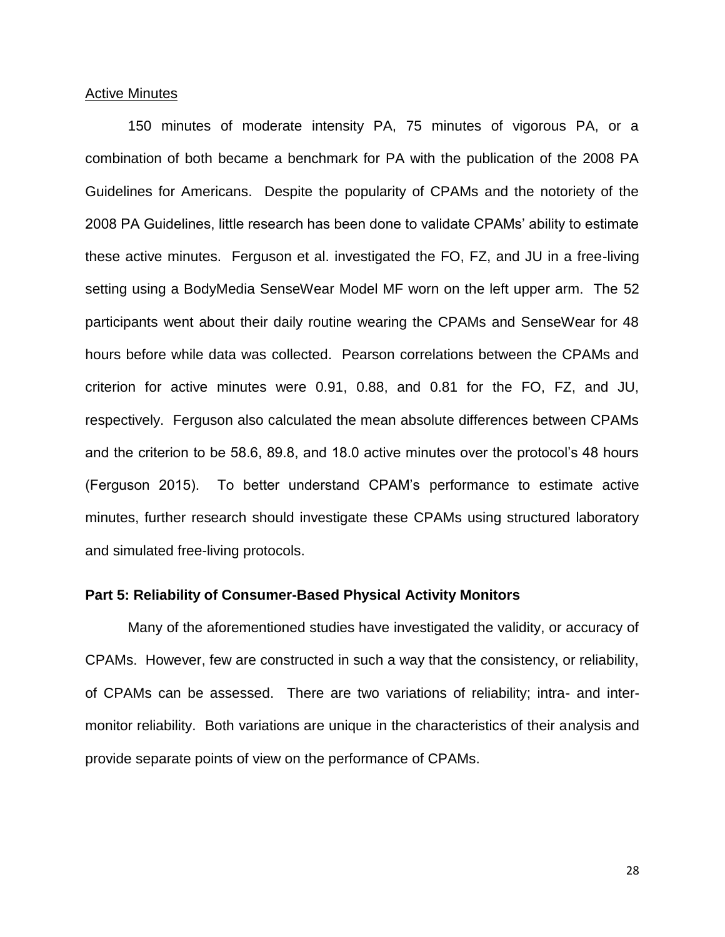#### Active Minutes

150 minutes of moderate intensity PA, 75 minutes of vigorous PA, or a combination of both became a benchmark for PA with the publication of the 2008 PA Guidelines for Americans. Despite the popularity of CPAMs and the notoriety of the 2008 PA Guidelines, little research has been done to validate CPAMs' ability to estimate these active minutes. Ferguson et al. investigated the FO, FZ, and JU in a free-living setting using a BodyMedia SenseWear Model MF worn on the left upper arm. The 52 participants went about their daily routine wearing the CPAMs and SenseWear for 48 hours before while data was collected. Pearson correlations between the CPAMs and criterion for active minutes were 0.91, 0.88, and 0.81 for the FO, FZ, and JU, respectively. Ferguson also calculated the mean absolute differences between CPAMs and the criterion to be 58.6, 89.8, and 18.0 active minutes over the protocol's 48 hours (Ferguson 2015). To better understand CPAM's performance to estimate active minutes, further research should investigate these CPAMs using structured laboratory and simulated free-living protocols.

#### **Part 5: Reliability of Consumer-Based Physical Activity Monitors**

Many of the aforementioned studies have investigated the validity, or accuracy of CPAMs. However, few are constructed in such a way that the consistency, or reliability, of CPAMs can be assessed. There are two variations of reliability; intra- and intermonitor reliability. Both variations are unique in the characteristics of their analysis and provide separate points of view on the performance of CPAMs.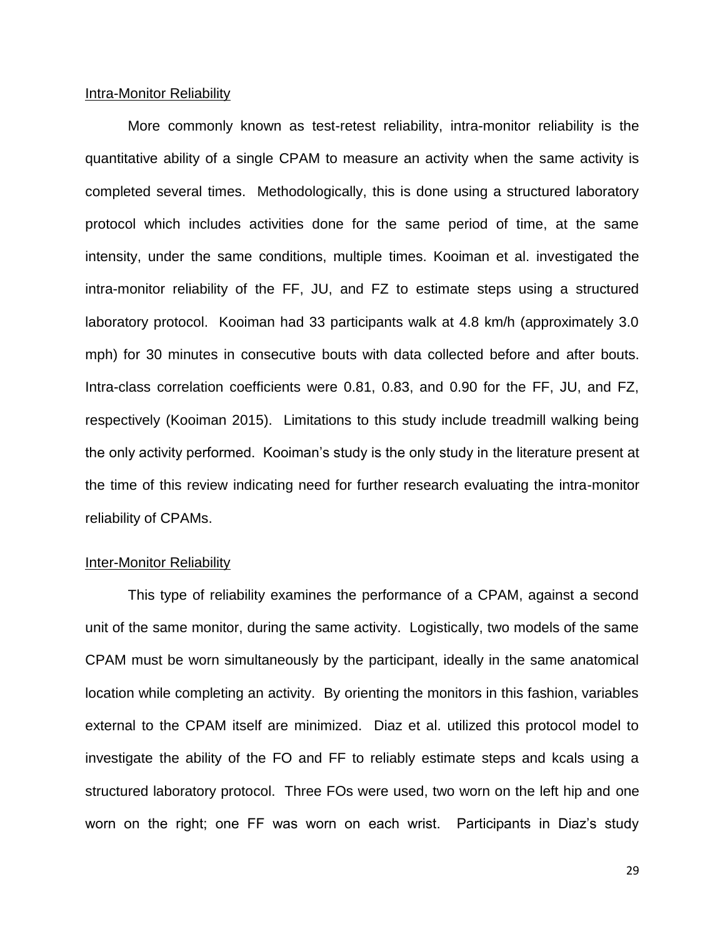#### Intra-Monitor Reliability

More commonly known as test-retest reliability, intra-monitor reliability is the quantitative ability of a single CPAM to measure an activity when the same activity is completed several times. Methodologically, this is done using a structured laboratory protocol which includes activities done for the same period of time, at the same intensity, under the same conditions, multiple times. Kooiman et al. investigated the intra-monitor reliability of the FF, JU, and FZ to estimate steps using a structured laboratory protocol. Kooiman had 33 participants walk at 4.8 km/h (approximately 3.0 mph) for 30 minutes in consecutive bouts with data collected before and after bouts. Intra-class correlation coefficients were 0.81, 0.83, and 0.90 for the FF, JU, and FZ, respectively (Kooiman 2015). Limitations to this study include treadmill walking being the only activity performed. Kooiman's study is the only study in the literature present at the time of this review indicating need for further research evaluating the intra-monitor reliability of CPAMs.

#### Inter-Monitor Reliability

This type of reliability examines the performance of a CPAM, against a second unit of the same monitor, during the same activity. Logistically, two models of the same CPAM must be worn simultaneously by the participant, ideally in the same anatomical location while completing an activity. By orienting the monitors in this fashion, variables external to the CPAM itself are minimized. Diaz et al. utilized this protocol model to investigate the ability of the FO and FF to reliably estimate steps and kcals using a structured laboratory protocol. Three FOs were used, two worn on the left hip and one worn on the right; one FF was worn on each wrist. Participants in Diaz's study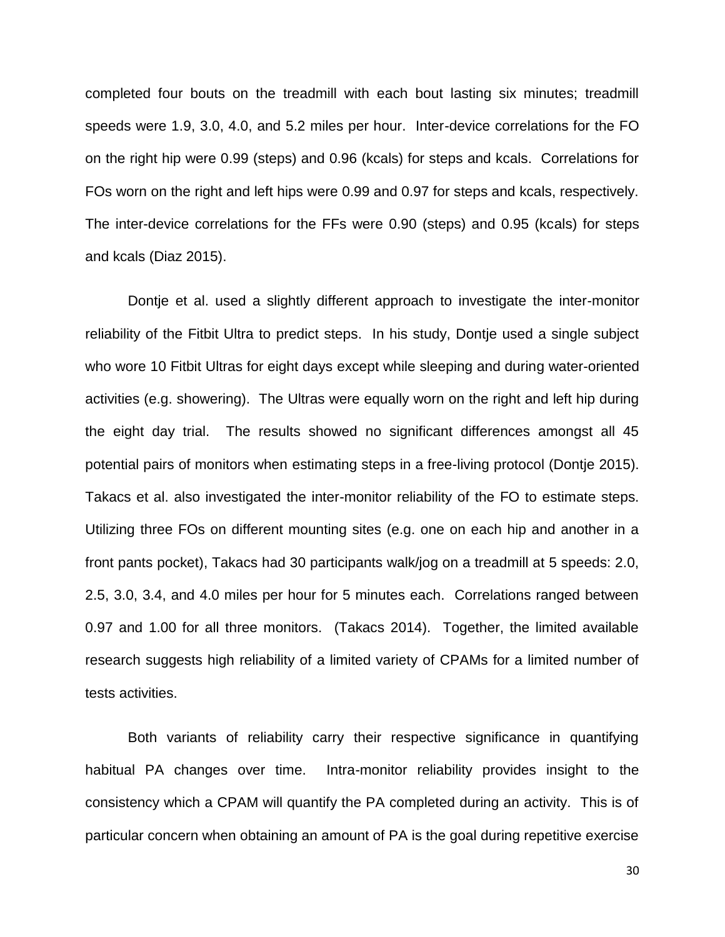completed four bouts on the treadmill with each bout lasting six minutes; treadmill speeds were 1.9, 3.0, 4.0, and 5.2 miles per hour. Inter-device correlations for the FO on the right hip were 0.99 (steps) and 0.96 (kcals) for steps and kcals. Correlations for FOs worn on the right and left hips were 0.99 and 0.97 for steps and kcals, respectively. The inter-device correlations for the FFs were 0.90 (steps) and 0.95 (kcals) for steps and kcals (Diaz 2015).

Dontje et al. used a slightly different approach to investigate the inter-monitor reliability of the Fitbit Ultra to predict steps. In his study, Dontje used a single subject who wore 10 Fitbit Ultras for eight days except while sleeping and during water-oriented activities (e.g. showering). The Ultras were equally worn on the right and left hip during the eight day trial. The results showed no significant differences amongst all 45 potential pairs of monitors when estimating steps in a free-living protocol (Dontje 2015). Takacs et al. also investigated the inter-monitor reliability of the FO to estimate steps. Utilizing three FOs on different mounting sites (e.g. one on each hip and another in a front pants pocket), Takacs had 30 participants walk/jog on a treadmill at 5 speeds: 2.0, 2.5, 3.0, 3.4, and 4.0 miles per hour for 5 minutes each. Correlations ranged between 0.97 and 1.00 for all three monitors. (Takacs 2014). Together, the limited available research suggests high reliability of a limited variety of CPAMs for a limited number of tests activities.

Both variants of reliability carry their respective significance in quantifying habitual PA changes over time. Intra-monitor reliability provides insight to the consistency which a CPAM will quantify the PA completed during an activity. This is of particular concern when obtaining an amount of PA is the goal during repetitive exercise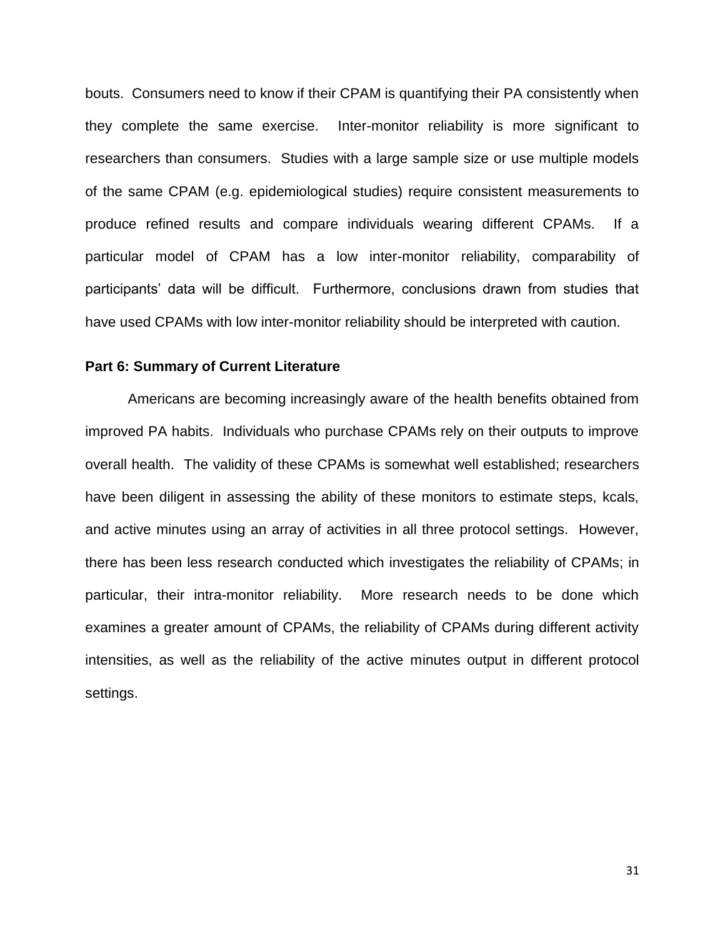bouts. Consumers need to know if their CPAM is quantifying their PA consistently when they complete the same exercise. Inter-monitor reliability is more significant to researchers than consumers. Studies with a large sample size or use multiple models of the same CPAM (e.g. epidemiological studies) require consistent measurements to produce refined results and compare individuals wearing different CPAMs. If a particular model of CPAM has a low inter-monitor reliability, comparability of participants' data will be difficult. Furthermore, conclusions drawn from studies that have used CPAMs with low inter-monitor reliability should be interpreted with caution.

#### **Part 6: Summary of Current Literature**

Americans are becoming increasingly aware of the health benefits obtained from improved PA habits. Individuals who purchase CPAMs rely on their outputs to improve overall health. The validity of these CPAMs is somewhat well established; researchers have been diligent in assessing the ability of these monitors to estimate steps, kcals, and active minutes using an array of activities in all three protocol settings. However, there has been less research conducted which investigates the reliability of CPAMs; in particular, their intra-monitor reliability. More research needs to be done which examines a greater amount of CPAMs, the reliability of CPAMs during different activity intensities, as well as the reliability of the active minutes output in different protocol settings.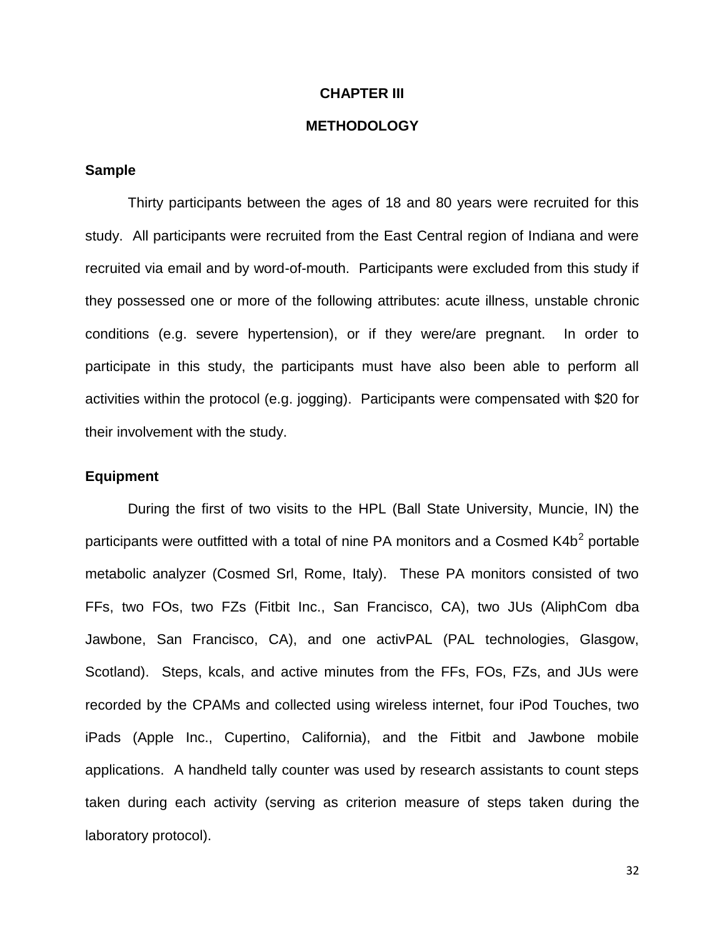#### **CHAPTER III**

#### **METHODOLOGY**

#### **Sample**

Thirty participants between the ages of 18 and 80 years were recruited for this study. All participants were recruited from the East Central region of Indiana and were recruited via email and by word-of-mouth. Participants were excluded from this study if they possessed one or more of the following attributes: acute illness, unstable chronic conditions (e.g. severe hypertension), or if they were/are pregnant. In order to participate in this study, the participants must have also been able to perform all activities within the protocol (e.g. jogging). Participants were compensated with \$20 for their involvement with the study.

#### **Equipment**

During the first of two visits to the HPL (Ball State University, Muncie, IN) the participants were outfitted with a total of nine PA monitors and a Cosmed K4b<sup>2</sup> portable metabolic analyzer (Cosmed Srl, Rome, Italy). These PA monitors consisted of two FFs, two FOs, two FZs (Fitbit Inc., San Francisco, CA), two JUs (AliphCom dba Jawbone, San Francisco, CA), and one activPAL (PAL technologies, Glasgow, Scotland). Steps, kcals, and active minutes from the FFs, FOs, FZs, and JUs were recorded by the CPAMs and collected using wireless internet, four iPod Touches, two iPads (Apple Inc., Cupertino, California), and the Fitbit and Jawbone mobile applications. A handheld tally counter was used by research assistants to count steps taken during each activity (serving as criterion measure of steps taken during the laboratory protocol).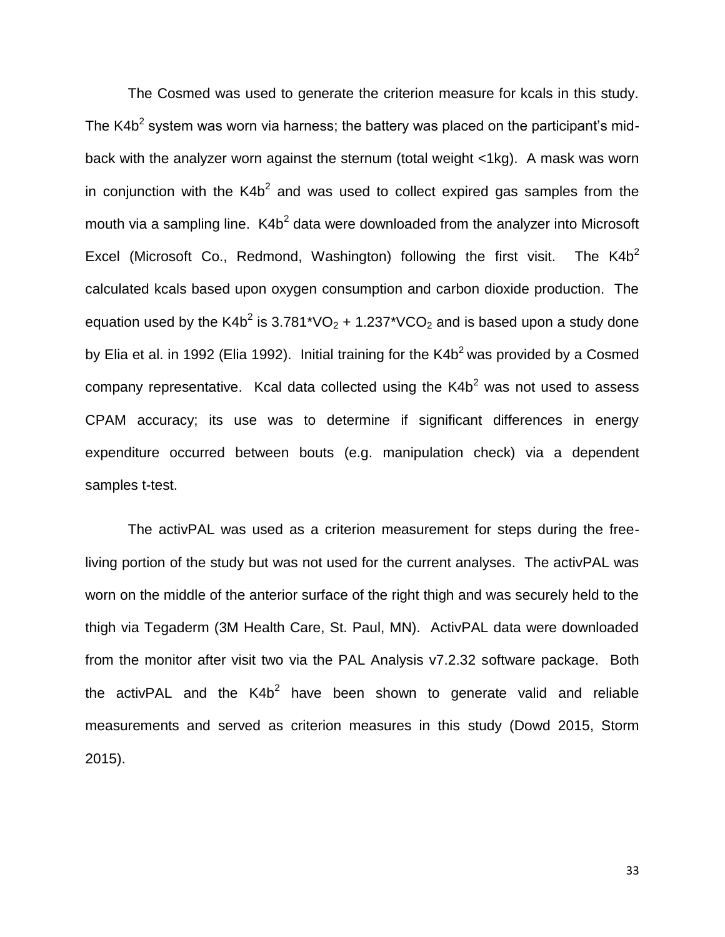The Cosmed was used to generate the criterion measure for kcals in this study. The K4b<sup>2</sup> system was worn via harness; the battery was placed on the participant's midback with the analyzer worn against the sternum (total weight <1kg). A mask was worn in conjunction with the K4b<sup>2</sup> and was used to collect expired gas samples from the mouth via a sampling line.  $K4b^2$  data were downloaded from the analyzer into Microsoft Excel (Microsoft Co., Redmond, Washington) following the first visit. The  $K4b<sup>2</sup>$ calculated kcals based upon oxygen consumption and carbon dioxide production. The equation used by the K4b<sup>2</sup> is 3.781\*VO<sub>2</sub> + 1.237\*VCO<sub>2</sub> and is based upon a study done by Elia et al. in 1992 (Elia 1992). Initial training for the  $K4b<sup>2</sup>$  was provided by a Cosmed company representative. Kcal data collected using the  $K4b<sup>2</sup>$  was not used to assess CPAM accuracy; its use was to determine if significant differences in energy expenditure occurred between bouts (e.g. manipulation check) via a dependent samples t-test.

The activPAL was used as a criterion measurement for steps during the freeliving portion of the study but was not used for the current analyses. The activPAL was worn on the middle of the anterior surface of the right thigh and was securely held to the thigh via Tegaderm (3M Health Care, St. Paul, MN). ActivPAL data were downloaded from the monitor after visit two via the PAL Analysis v7.2.32 software package. Both the activPAL and the K4b<sup>2</sup> have been shown to generate valid and reliable measurements and served as criterion measures in this study (Dowd 2015, Storm 2015).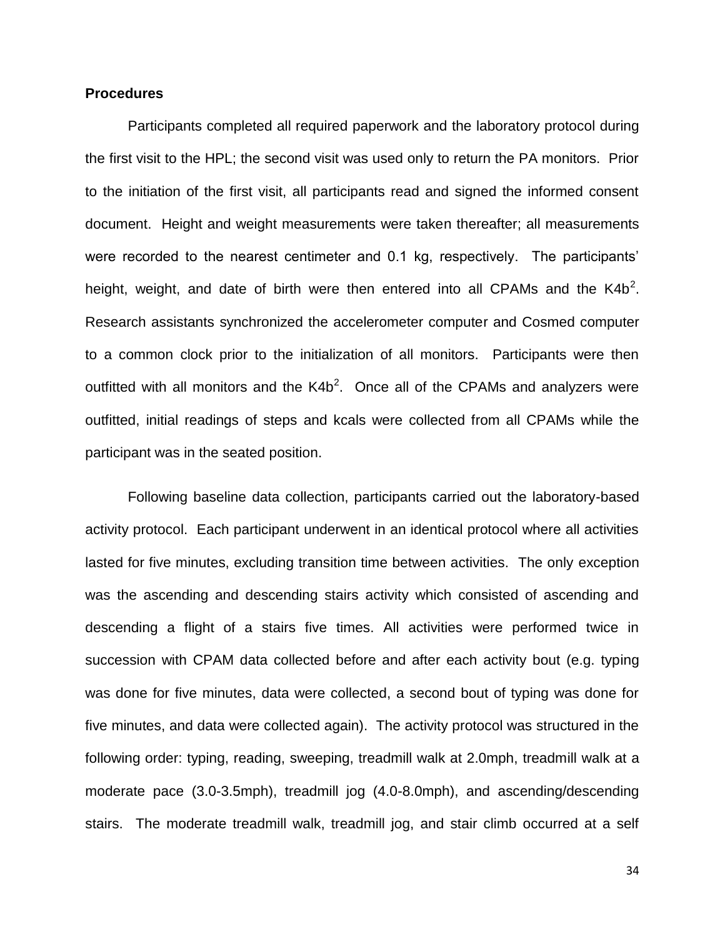#### **Procedures**

Participants completed all required paperwork and the laboratory protocol during the first visit to the HPL; the second visit was used only to return the PA monitors. Prior to the initiation of the first visit, all participants read and signed the informed consent document. Height and weight measurements were taken thereafter; all measurements were recorded to the nearest centimeter and 0.1 kg, respectively. The participants' height, weight, and date of birth were then entered into all CPAMs and the K4b<sup>2</sup>. Research assistants synchronized the accelerometer computer and Cosmed computer to a common clock prior to the initialization of all monitors. Participants were then outfitted with all monitors and the  $K4b^2$ . Once all of the CPAMs and analyzers were outfitted, initial readings of steps and kcals were collected from all CPAMs while the participant was in the seated position.

Following baseline data collection, participants carried out the laboratory-based activity protocol. Each participant underwent in an identical protocol where all activities lasted for five minutes, excluding transition time between activities. The only exception was the ascending and descending stairs activity which consisted of ascending and descending a flight of a stairs five times. All activities were performed twice in succession with CPAM data collected before and after each activity bout (e.g. typing was done for five minutes, data were collected, a second bout of typing was done for five minutes, and data were collected again). The activity protocol was structured in the following order: typing, reading, sweeping, treadmill walk at 2.0mph, treadmill walk at a moderate pace (3.0-3.5mph), treadmill jog (4.0-8.0mph), and ascending/descending stairs. The moderate treadmill walk, treadmill jog, and stair climb occurred at a self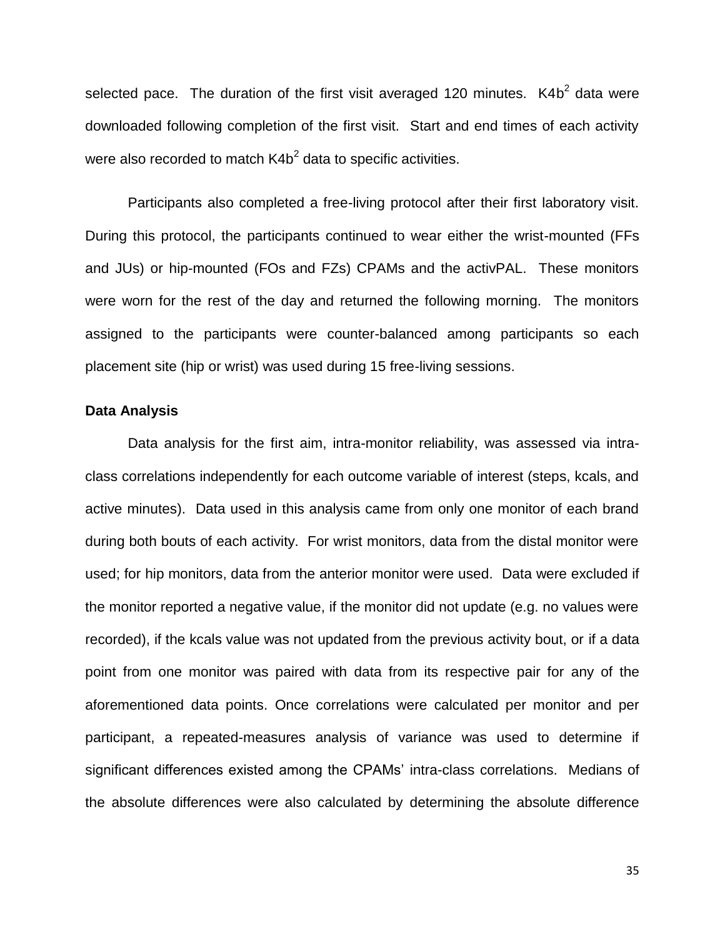selected pace. The duration of the first visit averaged 120 minutes.  $K4b<sup>2</sup>$  data were downloaded following completion of the first visit. Start and end times of each activity were also recorded to match K4b<sup>2</sup> data to specific activities.

Participants also completed a free-living protocol after their first laboratory visit. During this protocol, the participants continued to wear either the wrist-mounted (FFs and JUs) or hip-mounted (FOs and FZs) CPAMs and the activPAL. These monitors were worn for the rest of the day and returned the following morning. The monitors assigned to the participants were counter-balanced among participants so each placement site (hip or wrist) was used during 15 free-living sessions.

#### **Data Analysis**

Data analysis for the first aim, intra-monitor reliability, was assessed via intraclass correlations independently for each outcome variable of interest (steps, kcals, and active minutes). Data used in this analysis came from only one monitor of each brand during both bouts of each activity. For wrist monitors, data from the distal monitor were used; for hip monitors, data from the anterior monitor were used. Data were excluded if the monitor reported a negative value, if the monitor did not update (e.g. no values were recorded), if the kcals value was not updated from the previous activity bout, or if a data point from one monitor was paired with data from its respective pair for any of the aforementioned data points. Once correlations were calculated per monitor and per participant, a repeated-measures analysis of variance was used to determine if significant differences existed among the CPAMs' intra-class correlations. Medians of the absolute differences were also calculated by determining the absolute difference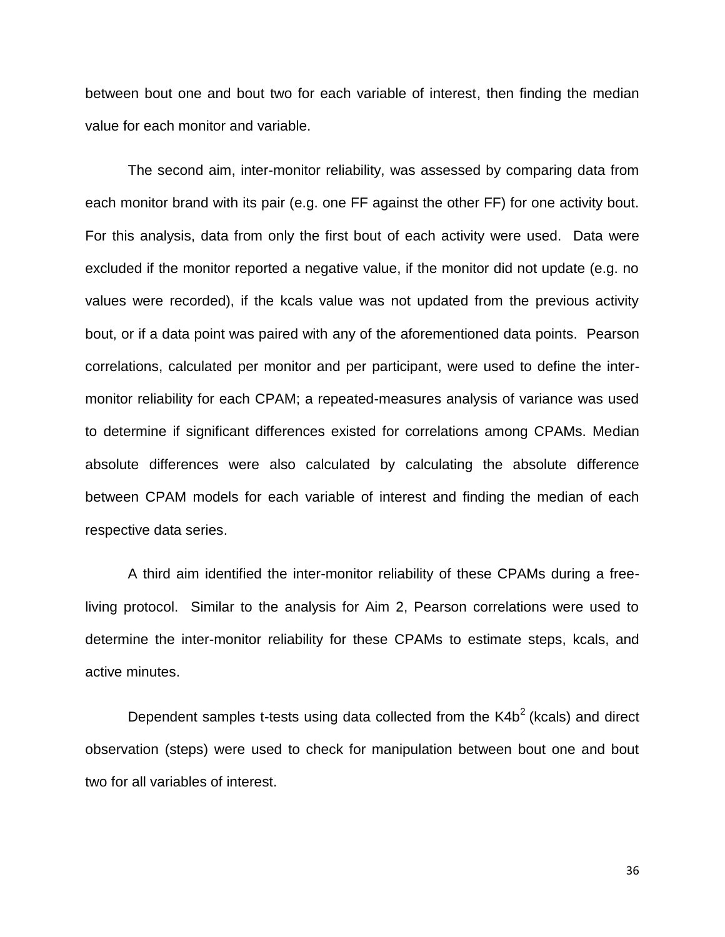between bout one and bout two for each variable of interest, then finding the median value for each monitor and variable.

The second aim, inter-monitor reliability, was assessed by comparing data from each monitor brand with its pair (e.g. one FF against the other FF) for one activity bout. For this analysis, data from only the first bout of each activity were used. Data were excluded if the monitor reported a negative value, if the monitor did not update (e.g. no values were recorded), if the kcals value was not updated from the previous activity bout, or if a data point was paired with any of the aforementioned data points. Pearson correlations, calculated per monitor and per participant, were used to define the intermonitor reliability for each CPAM; a repeated-measures analysis of variance was used to determine if significant differences existed for correlations among CPAMs. Median absolute differences were also calculated by calculating the absolute difference between CPAM models for each variable of interest and finding the median of each respective data series.

A third aim identified the inter-monitor reliability of these CPAMs during a freeliving protocol. Similar to the analysis for Aim 2, Pearson correlations were used to determine the inter-monitor reliability for these CPAMs to estimate steps, kcals, and active minutes.

Dependent samples t-tests using data collected from the  $K4b<sup>2</sup>$  (kcals) and direct observation (steps) were used to check for manipulation between bout one and bout two for all variables of interest.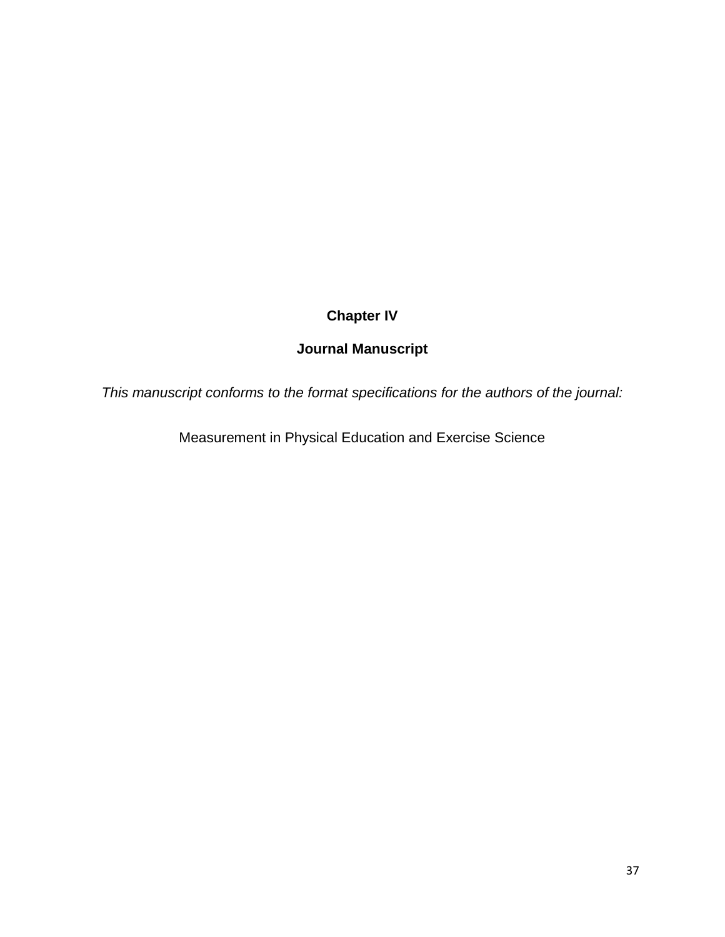# **Chapter IV**

# **Journal Manuscript**

*This manuscript conforms to the format specifications for the authors of the journal:*

Measurement in Physical Education and Exercise Science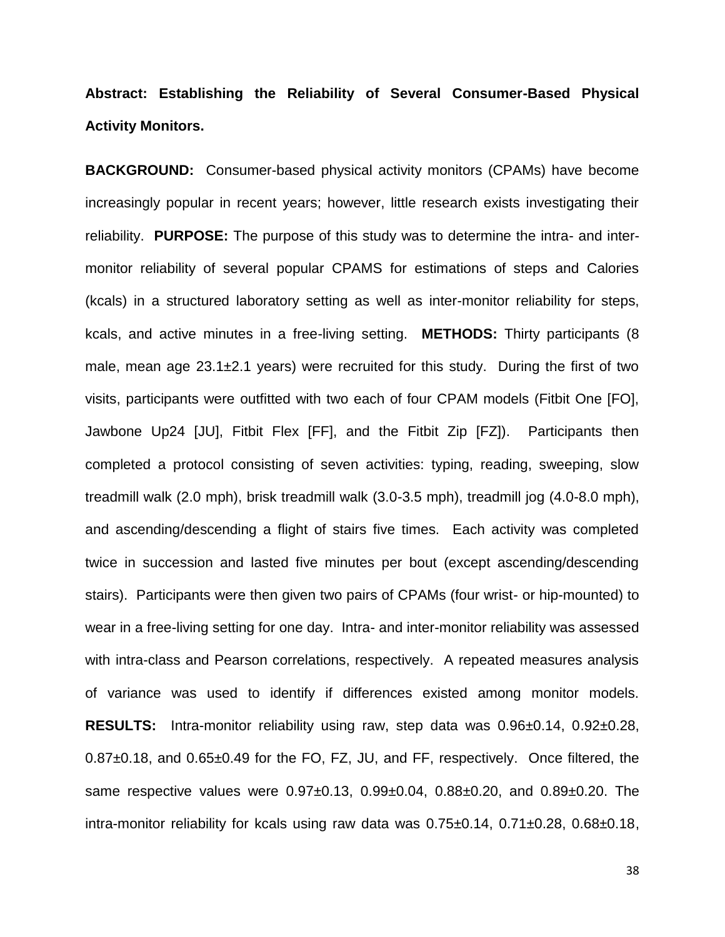# **Abstract: Establishing the Reliability of Several Consumer-Based Physical Activity Monitors.**

**BACKGROUND:** Consumer-based physical activity monitors (CPAMs) have become increasingly popular in recent years; however, little research exists investigating their reliability. **PURPOSE:** The purpose of this study was to determine the intra- and intermonitor reliability of several popular CPAMS for estimations of steps and Calories (kcals) in a structured laboratory setting as well as inter-monitor reliability for steps, kcals, and active minutes in a free-living setting. **METHODS:** Thirty participants (8 male, mean age 23.1±2.1 years) were recruited for this study. During the first of two visits, participants were outfitted with two each of four CPAM models (Fitbit One [FO], Jawbone Up24 [JU], Fitbit Flex [FF], and the Fitbit Zip [FZ]). Participants then completed a protocol consisting of seven activities: typing, reading, sweeping, slow treadmill walk (2.0 mph), brisk treadmill walk (3.0-3.5 mph), treadmill jog (4.0-8.0 mph), and ascending/descending a flight of stairs five times. Each activity was completed twice in succession and lasted five minutes per bout (except ascending/descending stairs). Participants were then given two pairs of CPAMs (four wrist- or hip-mounted) to wear in a free-living setting for one day. Intra- and inter-monitor reliability was assessed with intra-class and Pearson correlations, respectively. A repeated measures analysis of variance was used to identify if differences existed among monitor models. **RESULTS:** Intra-monitor reliability using raw, step data was 0.96±0.14, 0.92±0.28, 0.87±0.18, and 0.65±0.49 for the FO, FZ, JU, and FF, respectively. Once filtered, the same respective values were 0.97±0.13, 0.99±0.04, 0.88±0.20, and 0.89±0.20. The intra-monitor reliability for kcals using raw data was 0.75±0.14, 0.71±0.28, 0.68±0.18,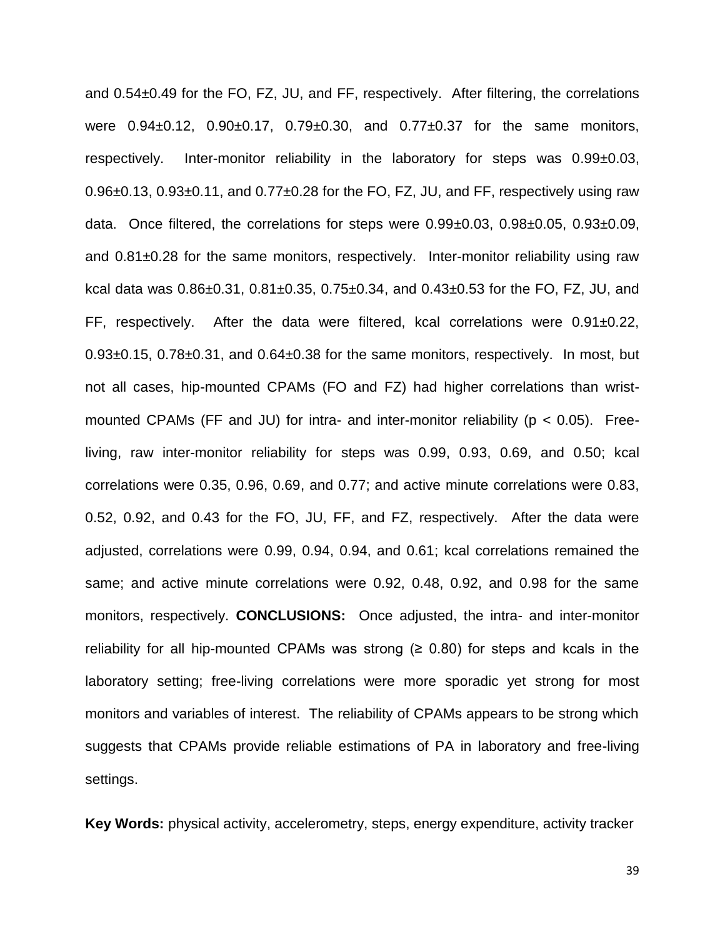and 0.54±0.49 for the FO, FZ, JU, and FF, respectively. After filtering, the correlations were  $0.94\pm0.12$ ,  $0.90\pm0.17$ ,  $0.79\pm0.30$ , and  $0.77\pm0.37$  for the same monitors, respectively. Inter-monitor reliability in the laboratory for steps was 0.99±0.03,  $0.96\pm0.13$ ,  $0.93\pm0.11$ , and  $0.77\pm0.28$  for the FO, FZ, JU, and FF, respectively using raw data. Once filtered, the correlations for steps were 0.99±0.03, 0.98±0.05, 0.93±0.09, and 0.81±0.28 for the same monitors, respectively. Inter-monitor reliability using raw kcal data was 0.86±0.31, 0.81±0.35, 0.75±0.34, and 0.43±0.53 for the FO, FZ, JU, and FF, respectively. After the data were filtered, kcal correlations were 0.91±0.22,  $0.93\pm0.15$ ,  $0.78\pm0.31$ , and  $0.64\pm0.38$  for the same monitors, respectively. In most, but not all cases, hip-mounted CPAMs (FO and FZ) had higher correlations than wristmounted CPAMs (FF and JU) for intra- and inter-monitor reliability ( $p < 0.05$ ). Freeliving, raw inter-monitor reliability for steps was 0.99, 0.93, 0.69, and 0.50; kcal correlations were 0.35, 0.96, 0.69, and 0.77; and active minute correlations were 0.83, 0.52, 0.92, and 0.43 for the FO, JU, FF, and FZ, respectively. After the data were adjusted, correlations were 0.99, 0.94, 0.94, and 0.61; kcal correlations remained the same; and active minute correlations were 0.92, 0.48, 0.92, and 0.98 for the same monitors, respectively. **CONCLUSIONS:** Once adjusted, the intra- and inter-monitor reliability for all hip-mounted CPAMs was strong  $(≥ 0.80)$  for steps and kcals in the laboratory setting; free-living correlations were more sporadic yet strong for most monitors and variables of interest. The reliability of CPAMs appears to be strong which suggests that CPAMs provide reliable estimations of PA in laboratory and free-living settings.

**Key Words:** physical activity, accelerometry, steps, energy expenditure, activity tracker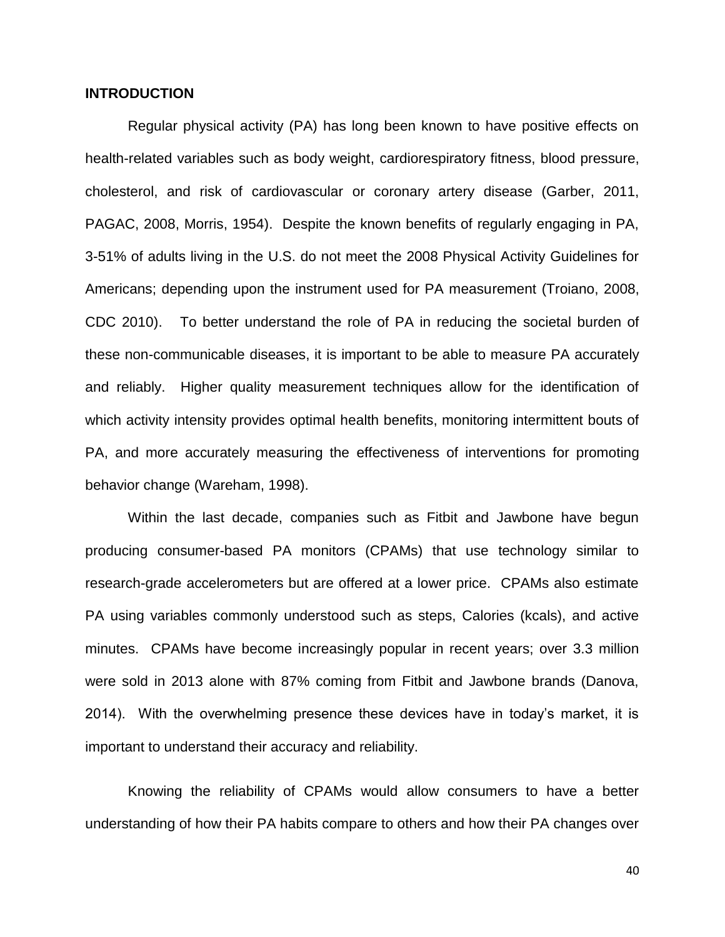# **INTRODUCTION**

Regular physical activity (PA) has long been known to have positive effects on health-related variables such as body weight, cardiorespiratory fitness, blood pressure, cholesterol, and risk of cardiovascular or coronary artery disease (Garber, 2011, PAGAC, 2008, Morris, 1954). Despite the known benefits of regularly engaging in PA, 3-51% of adults living in the U.S. do not meet the 2008 Physical Activity Guidelines for Americans; depending upon the instrument used for PA measurement (Troiano, 2008, CDC 2010). To better understand the role of PA in reducing the societal burden of these non-communicable diseases, it is important to be able to measure PA accurately and reliably. Higher quality measurement techniques allow for the identification of which activity intensity provides optimal health benefits, monitoring intermittent bouts of PA, and more accurately measuring the effectiveness of interventions for promoting behavior change (Wareham, 1998).

Within the last decade, companies such as Fitbit and Jawbone have begun producing consumer-based PA monitors (CPAMs) that use technology similar to research-grade accelerometers but are offered at a lower price. CPAMs also estimate PA using variables commonly understood such as steps, Calories (kcals), and active minutes. CPAMs have become increasingly popular in recent years; over 3.3 million were sold in 2013 alone with 87% coming from Fitbit and Jawbone brands (Danova, 2014). With the overwhelming presence these devices have in today's market, it is important to understand their accuracy and reliability.

Knowing the reliability of CPAMs would allow consumers to have a better understanding of how their PA habits compare to others and how their PA changes over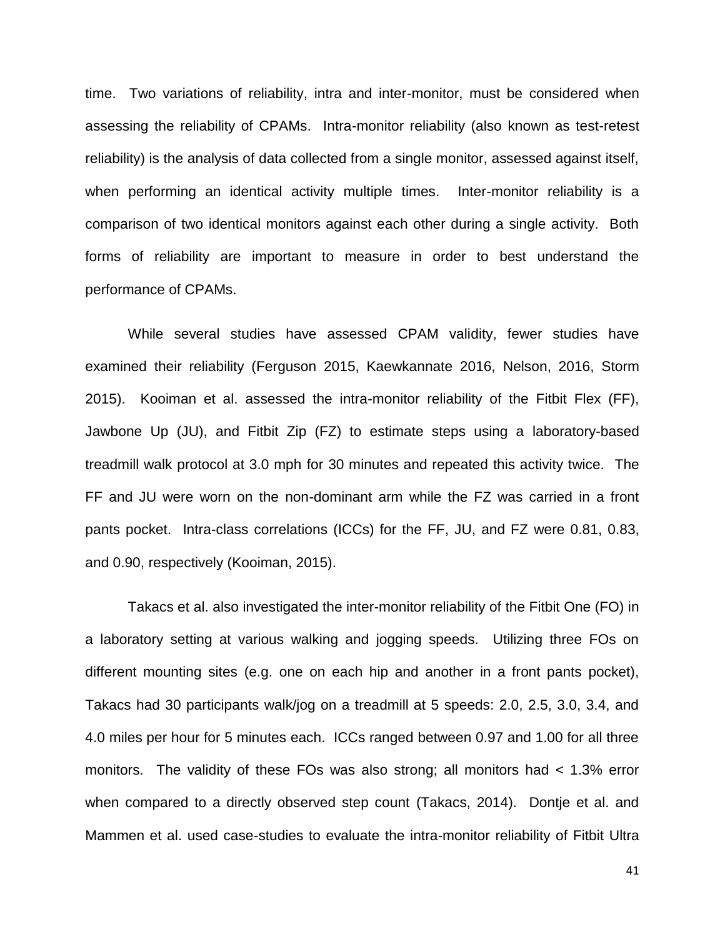time. Two variations of reliability, intra and inter-monitor, must be considered when assessing the reliability of CPAMs. Intra-monitor reliability (also known as test-retest reliability) is the analysis of data collected from a single monitor, assessed against itself, when performing an identical activity multiple times. Inter-monitor reliability is a comparison of two identical monitors against each other during a single activity. Both forms of reliability are important to measure in order to best understand the performance of CPAMs.

While several studies have assessed CPAM validity, fewer studies have examined their reliability (Ferguson 2015, Kaewkannate 2016, Nelson, 2016, Storm 2015). Kooiman et al. assessed the intra-monitor reliability of the Fitbit Flex (FF), Jawbone Up (JU), and Fitbit Zip (FZ) to estimate steps using a laboratory-based treadmill walk protocol at 3.0 mph for 30 minutes and repeated this activity twice. The FF and JU were worn on the non-dominant arm while the FZ was carried in a front pants pocket. Intra-class correlations (ICCs) for the FF, JU, and FZ were 0.81, 0.83, and 0.90, respectively (Kooiman, 2015).

Takacs et al. also investigated the inter-monitor reliability of the Fitbit One (FO) in a laboratory setting at various walking and jogging speeds. Utilizing three FOs on different mounting sites (e.g. one on each hip and another in a front pants pocket), Takacs had 30 participants walk/jog on a treadmill at 5 speeds: 2.0, 2.5, 3.0, 3.4, and 4.0 miles per hour for 5 minutes each. ICCs ranged between 0.97 and 1.00 for all three monitors. The validity of these FOs was also strong; all monitors had < 1.3% error when compared to a directly observed step count (Takacs, 2014). Dontje et al. and Mammen et al. used case-studies to evaluate the intra-monitor reliability of Fitbit Ultra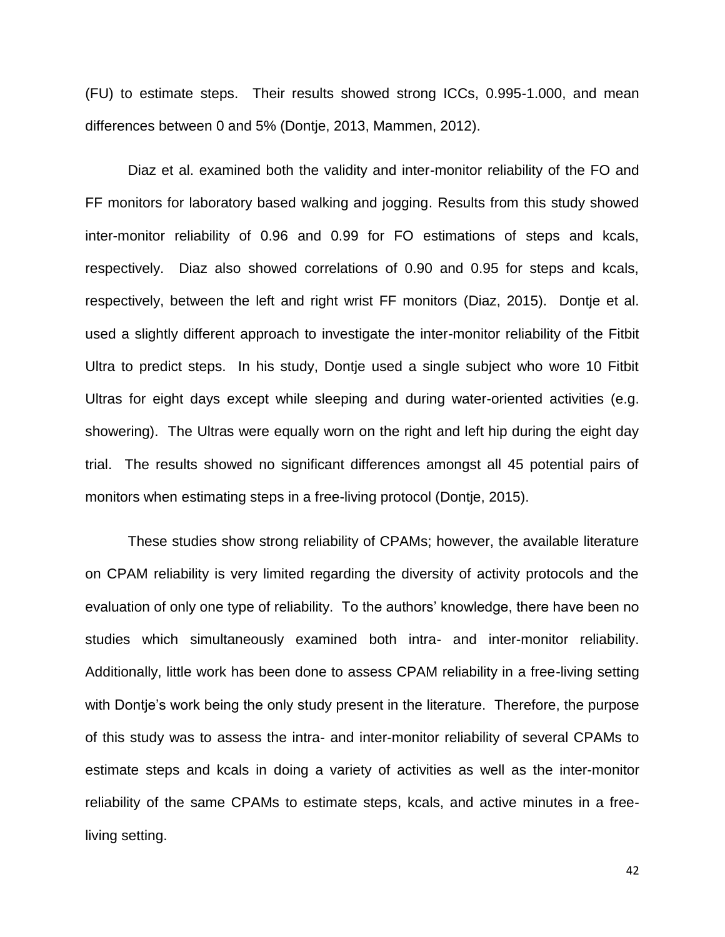(FU) to estimate steps. Their results showed strong ICCs, 0.995-1.000, and mean differences between 0 and 5% (Dontje, 2013, Mammen, 2012).

Diaz et al. examined both the validity and inter-monitor reliability of the FO and FF monitors for laboratory based walking and jogging. Results from this study showed inter-monitor reliability of 0.96 and 0.99 for FO estimations of steps and kcals, respectively. Diaz also showed correlations of 0.90 and 0.95 for steps and kcals, respectively, between the left and right wrist FF monitors (Diaz, 2015). Dontje et al. used a slightly different approach to investigate the inter-monitor reliability of the Fitbit Ultra to predict steps. In his study, Dontje used a single subject who wore 10 Fitbit Ultras for eight days except while sleeping and during water-oriented activities (e.g. showering). The Ultras were equally worn on the right and left hip during the eight day trial. The results showed no significant differences amongst all 45 potential pairs of monitors when estimating steps in a free-living protocol (Dontje, 2015).

These studies show strong reliability of CPAMs; however, the available literature on CPAM reliability is very limited regarding the diversity of activity protocols and the evaluation of only one type of reliability. To the authors' knowledge, there have been no studies which simultaneously examined both intra- and inter-monitor reliability. Additionally, little work has been done to assess CPAM reliability in a free-living setting with Dontje's work being the only study present in the literature. Therefore, the purpose of this study was to assess the intra- and inter-monitor reliability of several CPAMs to estimate steps and kcals in doing a variety of activities as well as the inter-monitor reliability of the same CPAMs to estimate steps, kcals, and active minutes in a freeliving setting.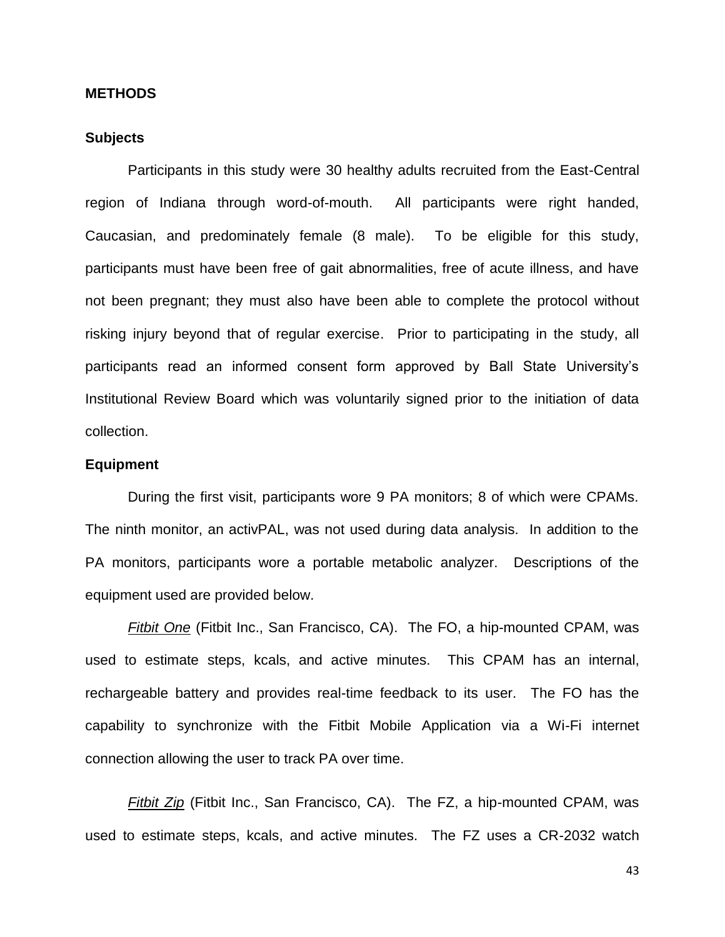#### **METHODS**

## **Subjects**

Participants in this study were 30 healthy adults recruited from the East-Central region of Indiana through word-of-mouth. All participants were right handed, Caucasian, and predominately female (8 male). To be eligible for this study, participants must have been free of gait abnormalities, free of acute illness, and have not been pregnant; they must also have been able to complete the protocol without risking injury beyond that of regular exercise. Prior to participating in the study, all participants read an informed consent form approved by Ball State University's Institutional Review Board which was voluntarily signed prior to the initiation of data collection.

#### **Equipment**

During the first visit, participants wore 9 PA monitors; 8 of which were CPAMs. The ninth monitor, an activPAL, was not used during data analysis. In addition to the PA monitors, participants wore a portable metabolic analyzer. Descriptions of the equipment used are provided below.

*Fitbit One* (Fitbit Inc., San Francisco, CA). The FO, a hip-mounted CPAM, was used to estimate steps, kcals, and active minutes. This CPAM has an internal, rechargeable battery and provides real-time feedback to its user. The FO has the capability to synchronize with the Fitbit Mobile Application via a Wi-Fi internet connection allowing the user to track PA over time.

*Fitbit Zip* (Fitbit Inc., San Francisco, CA). The FZ, a hip-mounted CPAM, was used to estimate steps, kcals, and active minutes. The FZ uses a CR-2032 watch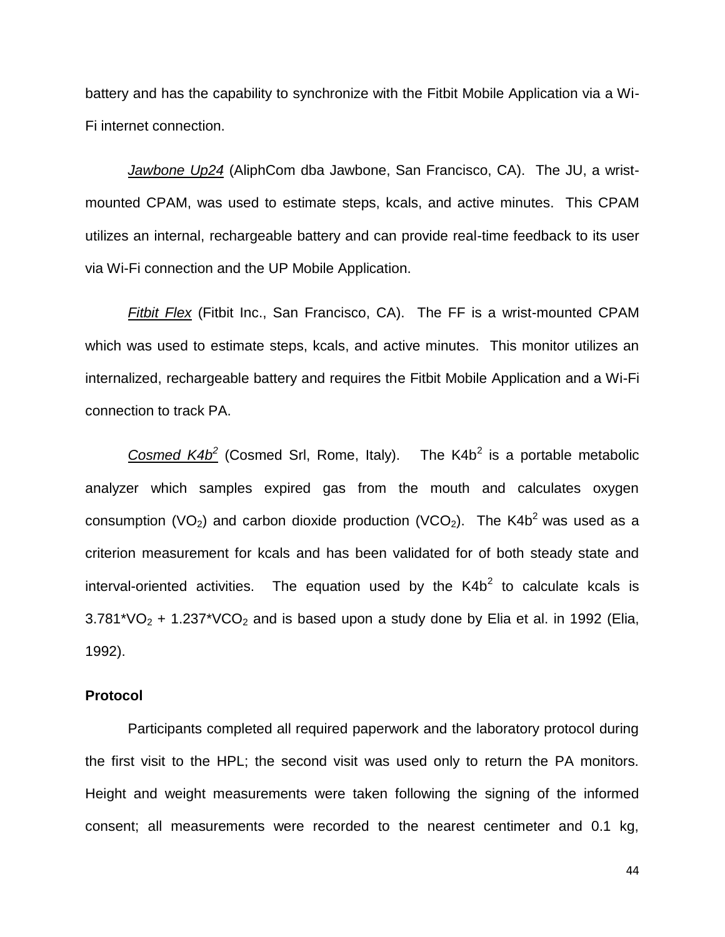battery and has the capability to synchronize with the Fitbit Mobile Application via a Wi-Fi internet connection.

*Jawbone Up24* (AliphCom dba Jawbone, San Francisco, CA). The JU, a wristmounted CPAM, was used to estimate steps, kcals, and active minutes. This CPAM utilizes an internal, rechargeable battery and can provide real-time feedback to its user via Wi-Fi connection and the UP Mobile Application.

*Fitbit Flex* (Fitbit Inc., San Francisco, CA). The FF is a wrist-mounted CPAM which was used to estimate steps, kcals, and active minutes. This monitor utilizes an internalized, rechargeable battery and requires the Fitbit Mobile Application and a Wi-Fi connection to track PA.

*Cosmed K4b*<sup>2</sup> (Cosmed Srl, Rome, Italy). The K4b<sup>2</sup> is a portable metabolic analyzer which samples expired gas from the mouth and calculates oxygen consumption (VO<sub>2</sub>) and carbon dioxide production (VCO<sub>2</sub>). The K4b<sup>2</sup> was used as a criterion measurement for kcals and has been validated for of both steady state and interval-oriented activities. The equation used by the  $K4b<sup>2</sup>$  to calculate kcals is  $3.781*VO<sub>2</sub> + 1.237*VCO<sub>2</sub>$  and is based upon a study done by Elia et al. in 1992 (Elia, 1992).

# **Protocol**

Participants completed all required paperwork and the laboratory protocol during the first visit to the HPL; the second visit was used only to return the PA monitors. Height and weight measurements were taken following the signing of the informed consent; all measurements were recorded to the nearest centimeter and 0.1 kg,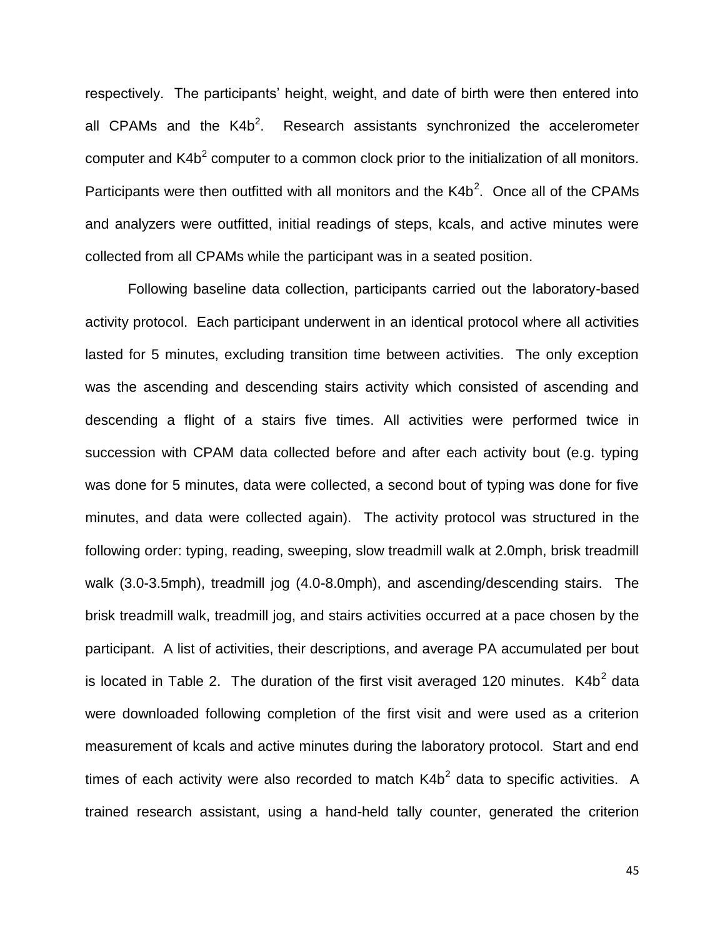respectively. The participants' height, weight, and date of birth were then entered into all CPAMs and the  $K4b^2$ . Research assistants synchronized the accelerometer computer and K4b<sup>2</sup> computer to a common clock prior to the initialization of all monitors. Participants were then outfitted with all monitors and the  $K4b^2$ . Once all of the CPAMs and analyzers were outfitted, initial readings of steps, kcals, and active minutes were collected from all CPAMs while the participant was in a seated position.

Following baseline data collection, participants carried out the laboratory-based activity protocol. Each participant underwent in an identical protocol where all activities lasted for 5 minutes, excluding transition time between activities. The only exception was the ascending and descending stairs activity which consisted of ascending and descending a flight of a stairs five times. All activities were performed twice in succession with CPAM data collected before and after each activity bout (e.g. typing was done for 5 minutes, data were collected, a second bout of typing was done for five minutes, and data were collected again). The activity protocol was structured in the following order: typing, reading, sweeping, slow treadmill walk at 2.0mph, brisk treadmill walk (3.0-3.5mph), treadmill jog (4.0-8.0mph), and ascending/descending stairs. The brisk treadmill walk, treadmill jog, and stairs activities occurred at a pace chosen by the participant. A list of activities, their descriptions, and average PA accumulated per bout is located in Table 2. The duration of the first visit averaged 120 minutes.  $K4b<sup>2</sup>$  data were downloaded following completion of the first visit and were used as a criterion measurement of kcals and active minutes during the laboratory protocol. Start and end times of each activity were also recorded to match  $K4b<sup>2</sup>$  data to specific activities. A trained research assistant, using a hand-held tally counter, generated the criterion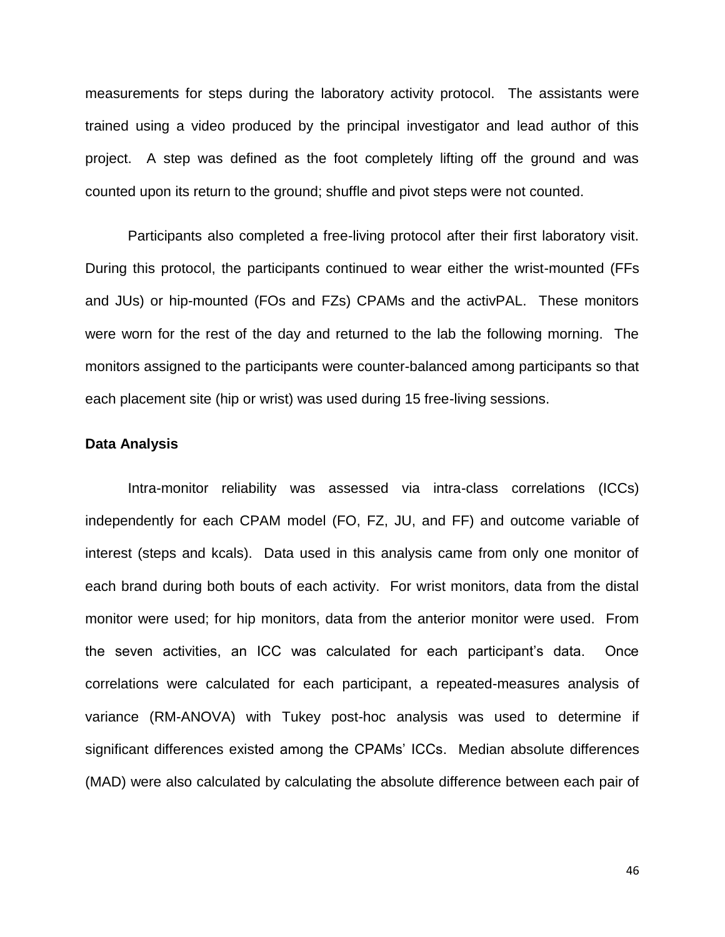measurements for steps during the laboratory activity protocol. The assistants were trained using a video produced by the principal investigator and lead author of this project. A step was defined as the foot completely lifting off the ground and was counted upon its return to the ground; shuffle and pivot steps were not counted.

Participants also completed a free-living protocol after their first laboratory visit. During this protocol, the participants continued to wear either the wrist-mounted (FFs and JUs) or hip-mounted (FOs and FZs) CPAMs and the activPAL. These monitors were worn for the rest of the day and returned to the lab the following morning. The monitors assigned to the participants were counter-balanced among participants so that each placement site (hip or wrist) was used during 15 free-living sessions.

# **Data Analysis**

Intra-monitor reliability was assessed via intra-class correlations (ICCs) independently for each CPAM model (FO, FZ, JU, and FF) and outcome variable of interest (steps and kcals). Data used in this analysis came from only one monitor of each brand during both bouts of each activity. For wrist monitors, data from the distal monitor were used; for hip monitors, data from the anterior monitor were used. From the seven activities, an ICC was calculated for each participant's data. Once correlations were calculated for each participant, a repeated-measures analysis of variance (RM-ANOVA) with Tukey post-hoc analysis was used to determine if significant differences existed among the CPAMs' ICCs. Median absolute differences (MAD) were also calculated by calculating the absolute difference between each pair of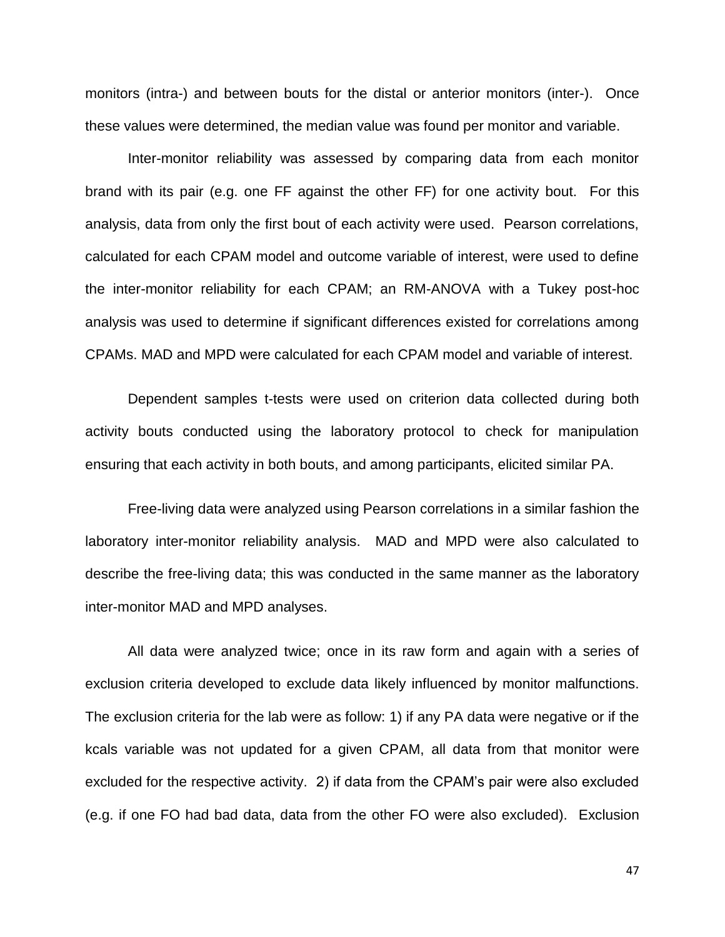monitors (intra-) and between bouts for the distal or anterior monitors (inter-). Once these values were determined, the median value was found per monitor and variable.

Inter-monitor reliability was assessed by comparing data from each monitor brand with its pair (e.g. one FF against the other FF) for one activity bout. For this analysis, data from only the first bout of each activity were used. Pearson correlations, calculated for each CPAM model and outcome variable of interest, were used to define the inter-monitor reliability for each CPAM; an RM-ANOVA with a Tukey post-hoc analysis was used to determine if significant differences existed for correlations among CPAMs. MAD and MPD were calculated for each CPAM model and variable of interest.

Dependent samples t-tests were used on criterion data collected during both activity bouts conducted using the laboratory protocol to check for manipulation ensuring that each activity in both bouts, and among participants, elicited similar PA.

Free-living data were analyzed using Pearson correlations in a similar fashion the laboratory inter-monitor reliability analysis. MAD and MPD were also calculated to describe the free-living data; this was conducted in the same manner as the laboratory inter-monitor MAD and MPD analyses.

All data were analyzed twice; once in its raw form and again with a series of exclusion criteria developed to exclude data likely influenced by monitor malfunctions. The exclusion criteria for the lab were as follow: 1) if any PA data were negative or if the kcals variable was not updated for a given CPAM, all data from that monitor were excluded for the respective activity. 2) if data from the CPAM's pair were also excluded (e.g. if one FO had bad data, data from the other FO were also excluded). Exclusion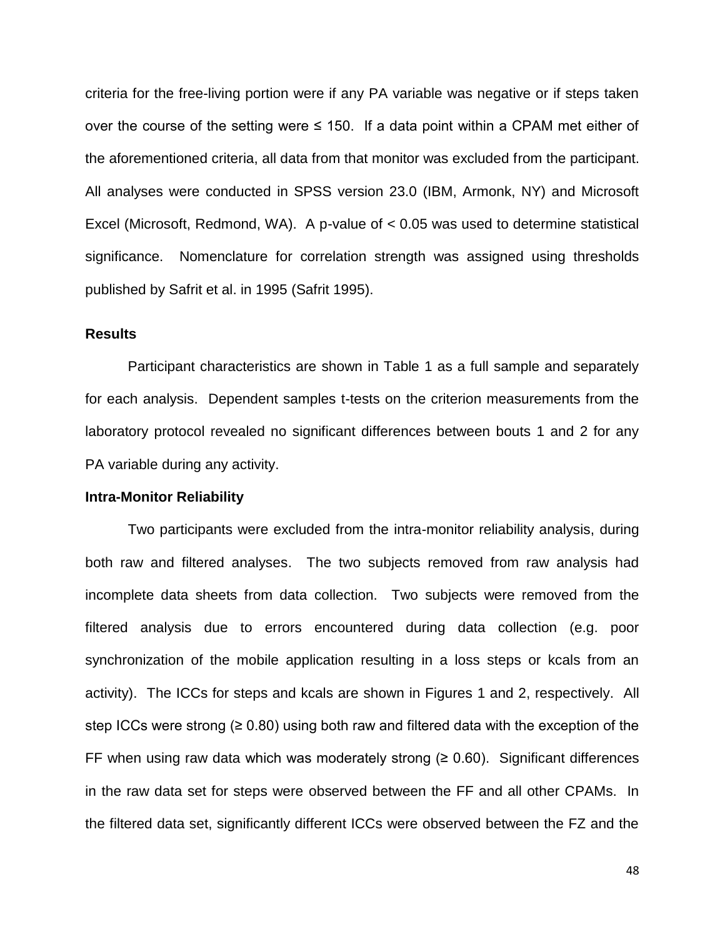criteria for the free-living portion were if any PA variable was negative or if steps taken over the course of the setting were  $\leq$  150. If a data point within a CPAM met either of the aforementioned criteria, all data from that monitor was excluded from the participant. All analyses were conducted in SPSS version 23.0 (IBM, Armonk, NY) and Microsoft Excel (Microsoft, Redmond, WA). A p-value of < 0.05 was used to determine statistical significance. Nomenclature for correlation strength was assigned using thresholds published by Safrit et al. in 1995 (Safrit 1995).

# **Results**

Participant characteristics are shown in Table 1 as a full sample and separately for each analysis. Dependent samples t-tests on the criterion measurements from the laboratory protocol revealed no significant differences between bouts 1 and 2 for any PA variable during any activity.

#### **Intra-Monitor Reliability**

Two participants were excluded from the intra-monitor reliability analysis, during both raw and filtered analyses. The two subjects removed from raw analysis had incomplete data sheets from data collection. Two subjects were removed from the filtered analysis due to errors encountered during data collection (e.g. poor synchronization of the mobile application resulting in a loss steps or kcals from an activity). The ICCs for steps and kcals are shown in Figures 1 and 2, respectively. All step ICCs were strong ( $\geq 0.80$ ) using both raw and filtered data with the exception of the FF when using raw data which was moderately strong  $(≥ 0.60)$ . Significant differences in the raw data set for steps were observed between the FF and all other CPAMs. In the filtered data set, significantly different ICCs were observed between the FZ and the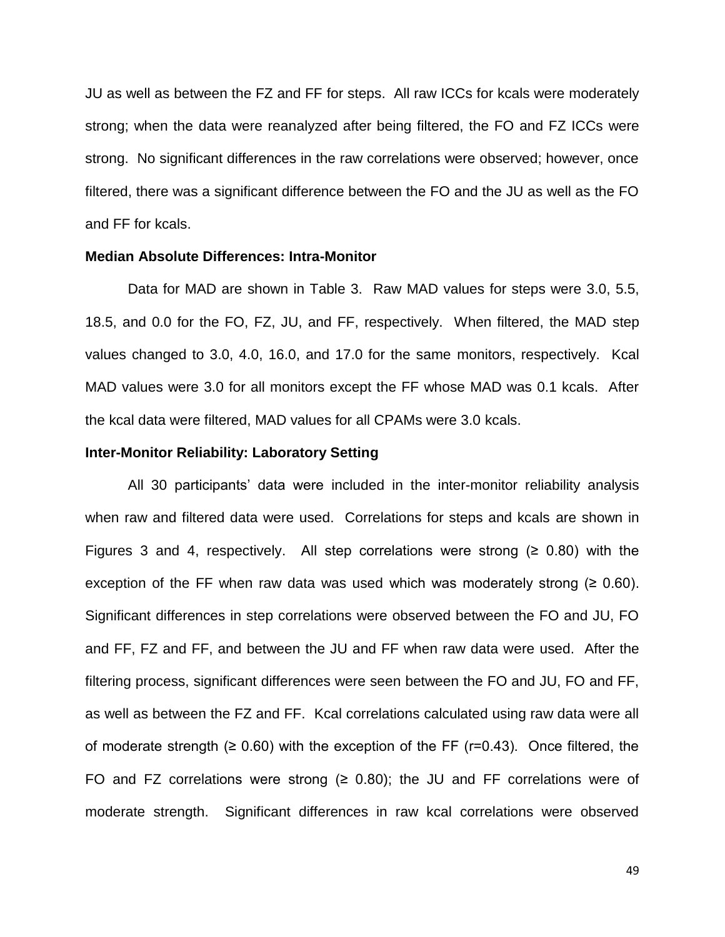JU as well as between the FZ and FF for steps. All raw ICCs for kcals were moderately strong; when the data were reanalyzed after being filtered, the FO and FZ ICCs were strong. No significant differences in the raw correlations were observed; however, once filtered, there was a significant difference between the FO and the JU as well as the FO and FF for kcals.

# **Median Absolute Differences: Intra-Monitor**

Data for MAD are shown in Table 3. Raw MAD values for steps were 3.0, 5.5, 18.5, and 0.0 for the FO, FZ, JU, and FF, respectively. When filtered, the MAD step values changed to 3.0, 4.0, 16.0, and 17.0 for the same monitors, respectively. Kcal MAD values were 3.0 for all monitors except the FF whose MAD was 0.1 kcals. After the kcal data were filtered, MAD values for all CPAMs were 3.0 kcals.

#### **Inter-Monitor Reliability: Laboratory Setting**

All 30 participants' data were included in the inter-monitor reliability analysis when raw and filtered data were used. Correlations for steps and kcals are shown in Figures 3 and 4, respectively. All step correlations were strong  $(≥ 0.80)$  with the exception of the FF when raw data was used which was moderately strong  $(≥ 0.60)$ . Significant differences in step correlations were observed between the FO and JU, FO and FF, FZ and FF, and between the JU and FF when raw data were used. After the filtering process, significant differences were seen between the FO and JU, FO and FF, as well as between the FZ and FF. Kcal correlations calculated using raw data were all of moderate strength ( $\geq 0.60$ ) with the exception of the FF ( $r=0.43$ ). Once filtered, the FO and FZ correlations were strong  $(≥ 0.80)$ ; the JU and FF correlations were of moderate strength. Significant differences in raw kcal correlations were observed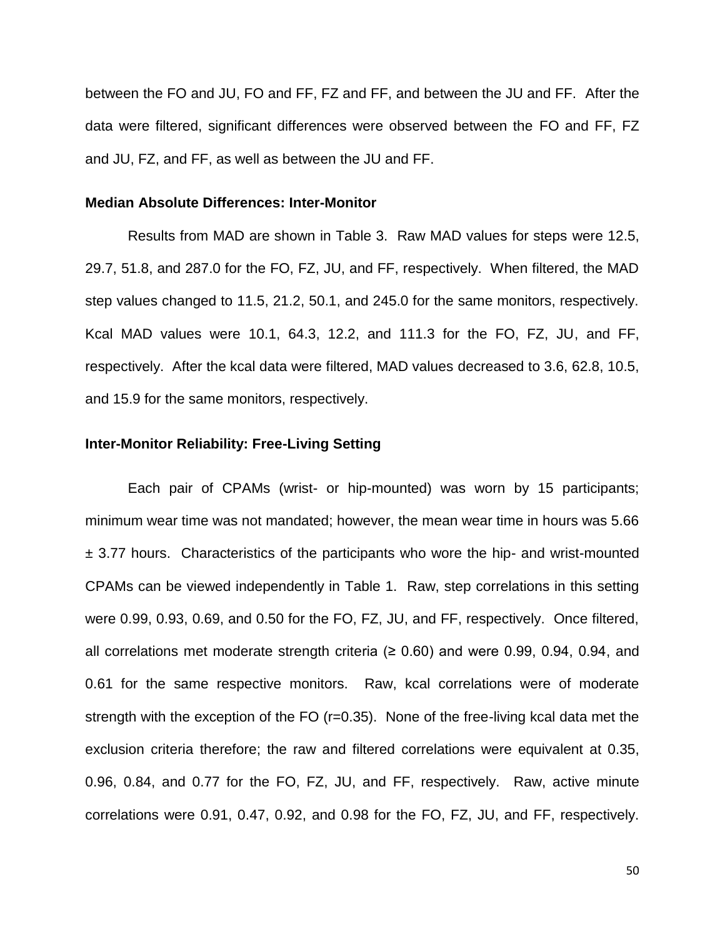between the FO and JU, FO and FF, FZ and FF, and between the JU and FF. After the data were filtered, significant differences were observed between the FO and FF, FZ and JU, FZ, and FF, as well as between the JU and FF.

#### **Median Absolute Differences: Inter-Monitor**

Results from MAD are shown in Table 3. Raw MAD values for steps were 12.5, 29.7, 51.8, and 287.0 for the FO, FZ, JU, and FF, respectively. When filtered, the MAD step values changed to 11.5, 21.2, 50.1, and 245.0 for the same monitors, respectively. Kcal MAD values were 10.1, 64.3, 12.2, and 111.3 for the FO, FZ, JU, and FF, respectively. After the kcal data were filtered, MAD values decreased to 3.6, 62.8, 10.5, and 15.9 for the same monitors, respectively.

# **Inter-Monitor Reliability: Free-Living Setting**

Each pair of CPAMs (wrist- or hip-mounted) was worn by 15 participants; minimum wear time was not mandated; however, the mean wear time in hours was 5.66  $\pm$  3.77 hours. Characteristics of the participants who wore the hip- and wrist-mounted CPAMs can be viewed independently in Table 1. Raw, step correlations in this setting were 0.99, 0.93, 0.69, and 0.50 for the FO, FZ, JU, and FF, respectively. Once filtered, all correlations met moderate strength criteria  $(≥ 0.60)$  and were 0.99, 0.94, 0.94, and 0.61 for the same respective monitors. Raw, kcal correlations were of moderate strength with the exception of the FO (r=0.35). None of the free-living kcal data met the exclusion criteria therefore; the raw and filtered correlations were equivalent at 0.35, 0.96, 0.84, and 0.77 for the FO, FZ, JU, and FF, respectively. Raw, active minute correlations were 0.91, 0.47, 0.92, and 0.98 for the FO, FZ, JU, and FF, respectively.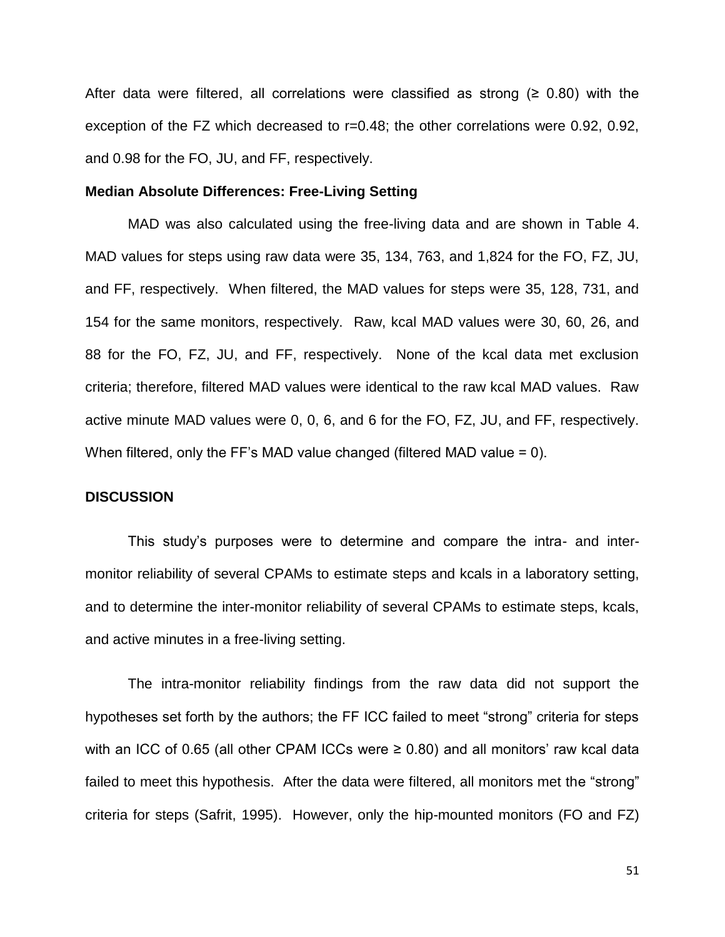After data were filtered, all correlations were classified as strong  $(≥ 0.80)$  with the exception of the FZ which decreased to r=0.48; the other correlations were 0.92, 0.92, and 0.98 for the FO, JU, and FF, respectively.

#### **Median Absolute Differences: Free-Living Setting**

MAD was also calculated using the free-living data and are shown in Table 4. MAD values for steps using raw data were 35, 134, 763, and 1,824 for the FO, FZ, JU, and FF, respectively. When filtered, the MAD values for steps were 35, 128, 731, and 154 for the same monitors, respectively. Raw, kcal MAD values were 30, 60, 26, and 88 for the FO, FZ, JU, and FF, respectively. None of the kcal data met exclusion criteria; therefore, filtered MAD values were identical to the raw kcal MAD values. Raw active minute MAD values were 0, 0, 6, and 6 for the FO, FZ, JU, and FF, respectively. When filtered, only the FF's MAD value changed (filtered MAD value = 0).

#### **DISCUSSION**

This study's purposes were to determine and compare the intra- and intermonitor reliability of several CPAMs to estimate steps and kcals in a laboratory setting, and to determine the inter-monitor reliability of several CPAMs to estimate steps, kcals, and active minutes in a free-living setting.

The intra-monitor reliability findings from the raw data did not support the hypotheses set forth by the authors; the FF ICC failed to meet "strong" criteria for steps with an ICC of 0.65 (all other CPAM ICCs were  $\geq$  0.80) and all monitors' raw kcal data failed to meet this hypothesis. After the data were filtered, all monitors met the "strong" criteria for steps (Safrit, 1995). However, only the hip-mounted monitors (FO and FZ)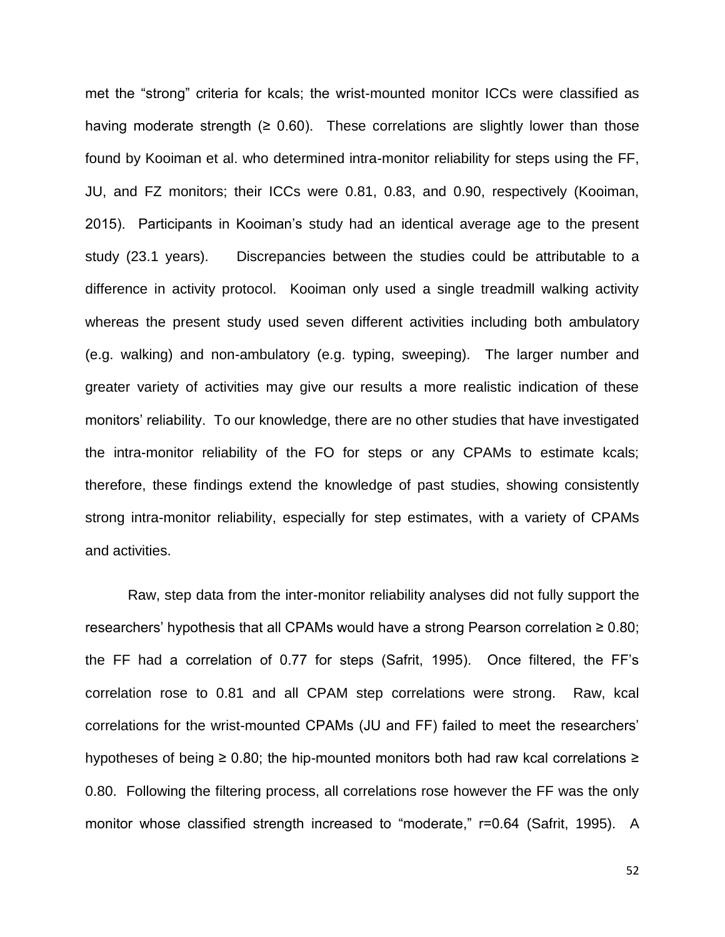met the "strong" criteria for kcals; the wrist-mounted monitor ICCs were classified as having moderate strength  $(≥ 0.60)$ . These correlations are slightly lower than those found by Kooiman et al. who determined intra-monitor reliability for steps using the FF, JU, and FZ monitors; their ICCs were 0.81, 0.83, and 0.90, respectively (Kooiman, 2015). Participants in Kooiman's study had an identical average age to the present study (23.1 years). Discrepancies between the studies could be attributable to a difference in activity protocol. Kooiman only used a single treadmill walking activity whereas the present study used seven different activities including both ambulatory (e.g. walking) and non-ambulatory (e.g. typing, sweeping). The larger number and greater variety of activities may give our results a more realistic indication of these monitors' reliability. To our knowledge, there are no other studies that have investigated the intra-monitor reliability of the FO for steps or any CPAMs to estimate kcals; therefore, these findings extend the knowledge of past studies, showing consistently strong intra-monitor reliability, especially for step estimates, with a variety of CPAMs and activities.

Raw, step data from the inter-monitor reliability analyses did not fully support the researchers' hypothesis that all CPAMs would have a strong Pearson correlation ≥ 0.80; the FF had a correlation of 0.77 for steps (Safrit, 1995). Once filtered, the FF's correlation rose to 0.81 and all CPAM step correlations were strong. Raw, kcal correlations for the wrist-mounted CPAMs (JU and FF) failed to meet the researchers' hypotheses of being  $\geq 0.80$ ; the hip-mounted monitors both had raw kcal correlations  $\geq$ 0.80. Following the filtering process, all correlations rose however the FF was the only monitor whose classified strength increased to "moderate," r=0.64 (Safrit, 1995). A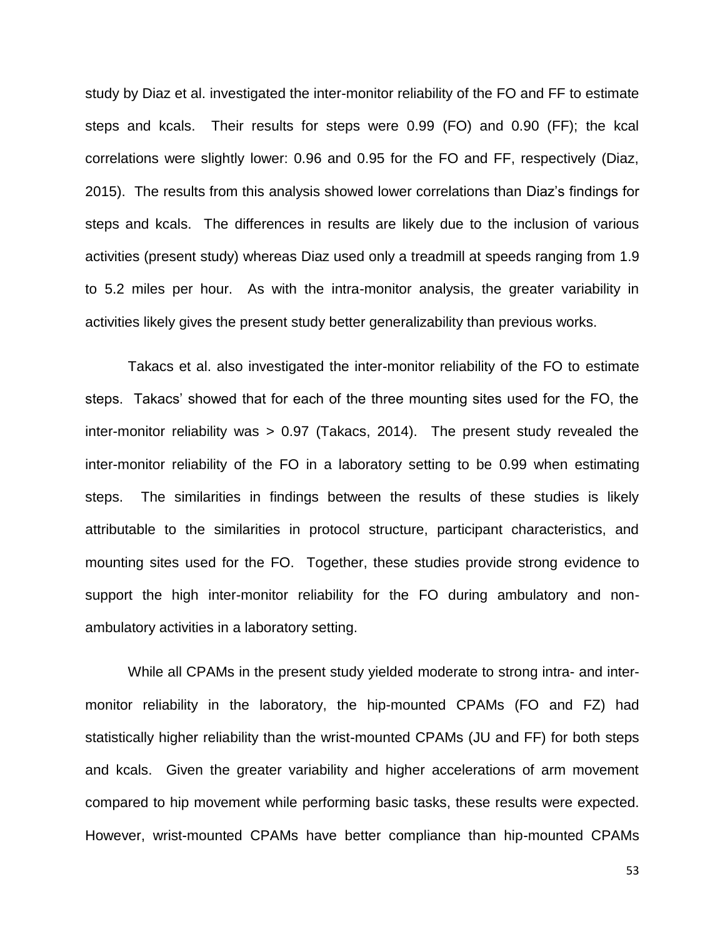study by Diaz et al. investigated the inter-monitor reliability of the FO and FF to estimate steps and kcals. Their results for steps were 0.99 (FO) and 0.90 (FF); the kcal correlations were slightly lower: 0.96 and 0.95 for the FO and FF, respectively (Diaz, 2015). The results from this analysis showed lower correlations than Diaz's findings for steps and kcals. The differences in results are likely due to the inclusion of various activities (present study) whereas Diaz used only a treadmill at speeds ranging from 1.9 to 5.2 miles per hour. As with the intra-monitor analysis, the greater variability in activities likely gives the present study better generalizability than previous works.

Takacs et al. also investigated the inter-monitor reliability of the FO to estimate steps. Takacs' showed that for each of the three mounting sites used for the FO, the inter-monitor reliability was > 0.97 (Takacs, 2014). The present study revealed the inter-monitor reliability of the FO in a laboratory setting to be 0.99 when estimating steps. The similarities in findings between the results of these studies is likely attributable to the similarities in protocol structure, participant characteristics, and mounting sites used for the FO. Together, these studies provide strong evidence to support the high inter-monitor reliability for the FO during ambulatory and nonambulatory activities in a laboratory setting.

While all CPAMs in the present study yielded moderate to strong intra- and intermonitor reliability in the laboratory, the hip-mounted CPAMs (FO and FZ) had statistically higher reliability than the wrist-mounted CPAMs (JU and FF) for both steps and kcals. Given the greater variability and higher accelerations of arm movement compared to hip movement while performing basic tasks, these results were expected. However, wrist-mounted CPAMs have better compliance than hip-mounted CPAMs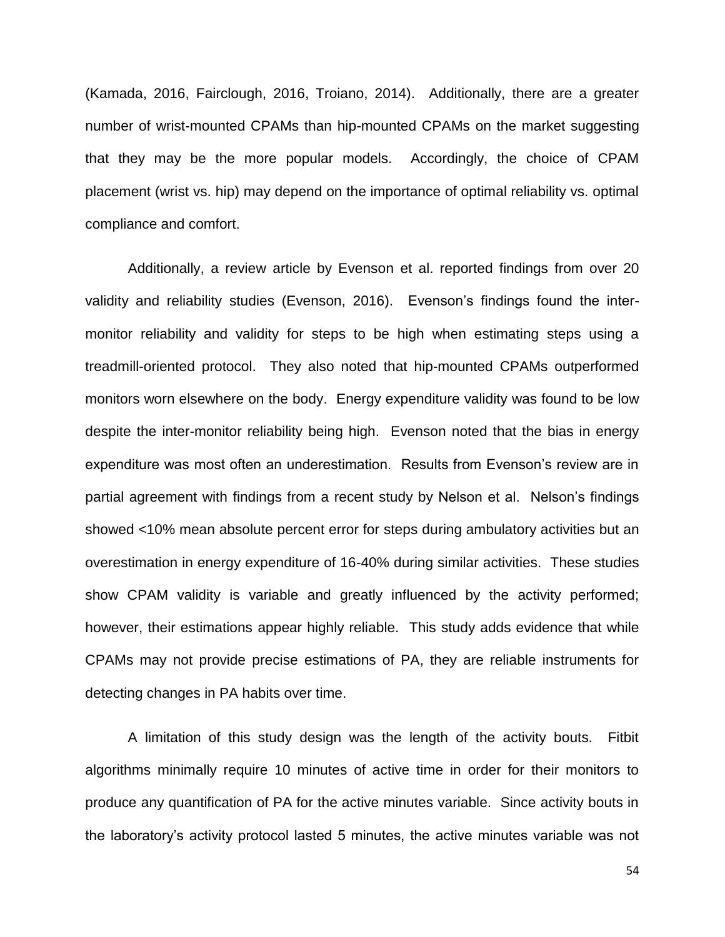(Kamada, 2016, Fairclough, 2016, Troiano, 2014). Additionally, there are a greater number of wrist-mounted CPAMs than hip-mounted CPAMs on the market suggesting that they may be the more popular models. Accordingly, the choice of CPAM placement (wrist vs. hip) may depend on the importance of optimal reliability vs. optimal compliance and comfort.

Additionally, a review article by Evenson et al. reported findings from over 20 validity and reliability studies (Evenson, 2016). Evenson's findings found the intermonitor reliability and validity for steps to be high when estimating steps using a treadmill-oriented protocol. They also noted that hip-mounted CPAMs outperformed monitors worn elsewhere on the body. Energy expenditure validity was found to be low despite the inter-monitor reliability being high. Evenson noted that the bias in energy expenditure was most often an underestimation. Results from Evenson's review are in partial agreement with findings from a recent study by Nelson et al. Nelson's findings showed <10% mean absolute percent error for steps during ambulatory activities but an overestimation in energy expenditure of 16-40% during similar activities. These studies show CPAM validity is variable and greatly influenced by the activity performed; however, their estimations appear highly reliable. This study adds evidence that while CPAMs may not provide precise estimations of PA, they are reliable instruments for detecting changes in PA habits over time.

A limitation of this study design was the length of the activity bouts. Fitbit algorithms minimally require 10 minutes of active time in order for their monitors to produce any quantification of PA for the active minutes variable. Since activity bouts in the laboratory's activity protocol lasted 5 minutes, the active minutes variable was not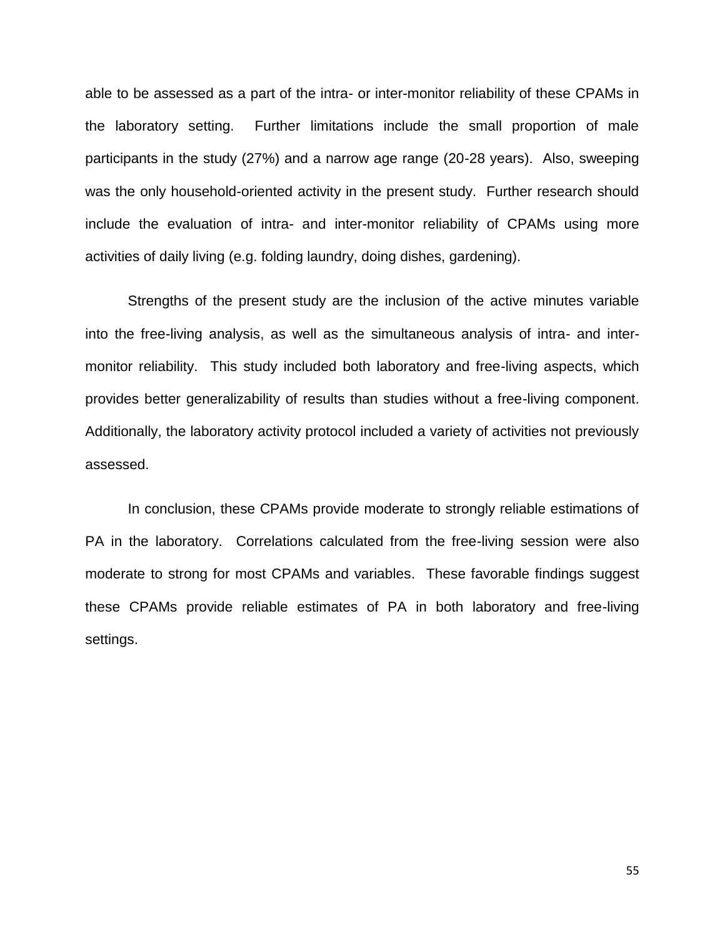able to be assessed as a part of the intra- or inter-monitor reliability of these CPAMs in the laboratory setting. Further limitations include the small proportion of male participants in the study (27%) and a narrow age range (20-28 years). Also, sweeping was the only household-oriented activity in the present study. Further research should include the evaluation of intra- and inter-monitor reliability of CPAMs using more activities of daily living (e.g. folding laundry, doing dishes, gardening).

Strengths of the present study are the inclusion of the active minutes variable into the free-living analysis, as well as the simultaneous analysis of intra- and intermonitor reliability. This study included both laboratory and free-living aspects, which provides better generalizability of results than studies without a free-living component. Additionally, the laboratory activity protocol included a variety of activities not previously assessed.

In conclusion, these CPAMs provide moderate to strongly reliable estimations of PA in the laboratory. Correlations calculated from the free-living session were also moderate to strong for most CPAMs and variables. These favorable findings suggest these CPAMs provide reliable estimates of PA in both laboratory and free-living settings.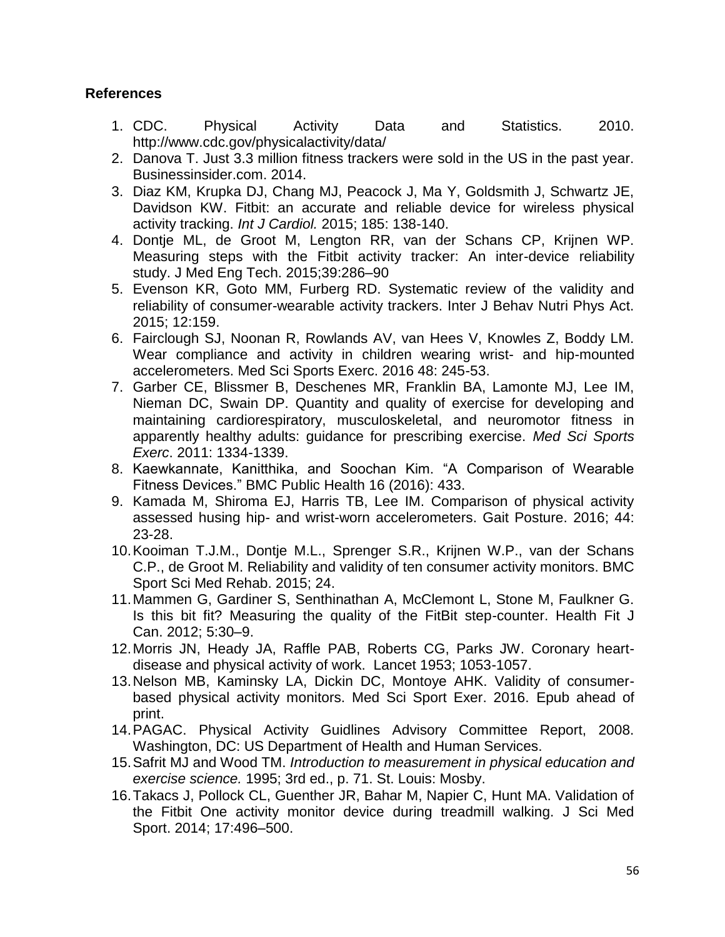# **References**

- 1. CDC. Physical Activity Data and Statistics. 2010. http://www.cdc.gov/physicalactivity/data/
- 2. Danova T. Just 3.3 million fitness trackers were sold in the US in the past year. Businessinsider.com. 2014.
- 3. Diaz KM, Krupka DJ, Chang MJ, Peacock J, Ma Y, Goldsmith J, Schwartz JE, Davidson KW. Fitbit: an accurate and reliable device for wireless physical activity tracking. *Int J Cardiol.* 2015; 185: 138-140.
- 4. Dontje ML, de Groot M, Lengton RR, van der Schans CP, Krijnen WP. Measuring steps with the Fitbit activity tracker: An inter-device reliability study. J Med Eng Tech. 2015;39:286–90
- 5. Evenson KR, Goto MM, Furberg RD. Systematic review of the validity and reliability of consumer-wearable activity trackers. Inter J Behav Nutri Phys Act. 2015; 12:159.
- 6. Fairclough SJ, Noonan R, Rowlands AV, van Hees V, Knowles Z, Boddy LM. Wear compliance and activity in children wearing wrist- and hip-mounted accelerometers. Med Sci Sports Exerc. 2016 48: 245-53.
- 7. Garber CE, Blissmer B, Deschenes MR, Franklin BA, Lamonte MJ, Lee IM, Nieman DC, Swain DP. Quantity and quality of exercise for developing and maintaining cardiorespiratory, musculoskeletal, and neuromotor fitness in apparently healthy adults: guidance for prescribing exercise. *Med Sci Sports Exerc*. 2011: 1334-1339.
- 8. Kaewkannate, Kanitthika, and Soochan Kim. "A Comparison of Wearable Fitness Devices." BMC Public Health 16 (2016): 433.
- 9. Kamada M, Shiroma EJ, Harris TB, Lee IM. Comparison of physical activity assessed husing hip- and wrist-worn accelerometers. Gait Posture. 2016; 44: 23-28.
- 10.Kooiman T.J.M., Dontje M.L., Sprenger S.R., Krijnen W.P., van der Schans C.P., de Groot M. Reliability and validity of ten consumer activity monitors. BMC Sport Sci Med Rehab. 2015; 24.
- 11.Mammen G, Gardiner S, Senthinathan A, McClemont L, Stone M, Faulkner G. Is this bit fit? Measuring the quality of the FitBit step-counter. Health Fit J Can. 2012; 5:30–9.
- 12.Morris JN, Heady JA, Raffle PAB, Roberts CG, Parks JW. Coronary heartdisease and physical activity of work. Lancet 1953; 1053-1057.
- 13.Nelson MB, Kaminsky LA, Dickin DC, Montoye AHK. Validity of consumerbased physical activity monitors. Med Sci Sport Exer. 2016. Epub ahead of print.
- 14.PAGAC. Physical Activity Guidlines Advisory Committee Report, 2008. Washington, DC: US Department of Health and Human Services.
- 15.Safrit MJ and Wood TM. *Introduction to measurement in physical education and exercise science.* 1995; 3rd ed., p. 71. St. Louis: Mosby.
- 16.Takacs J, Pollock CL, Guenther JR, Bahar M, Napier C, Hunt MA. Validation of the Fitbit One activity monitor device during treadmill walking. J Sci Med Sport. 2014; 17:496–500.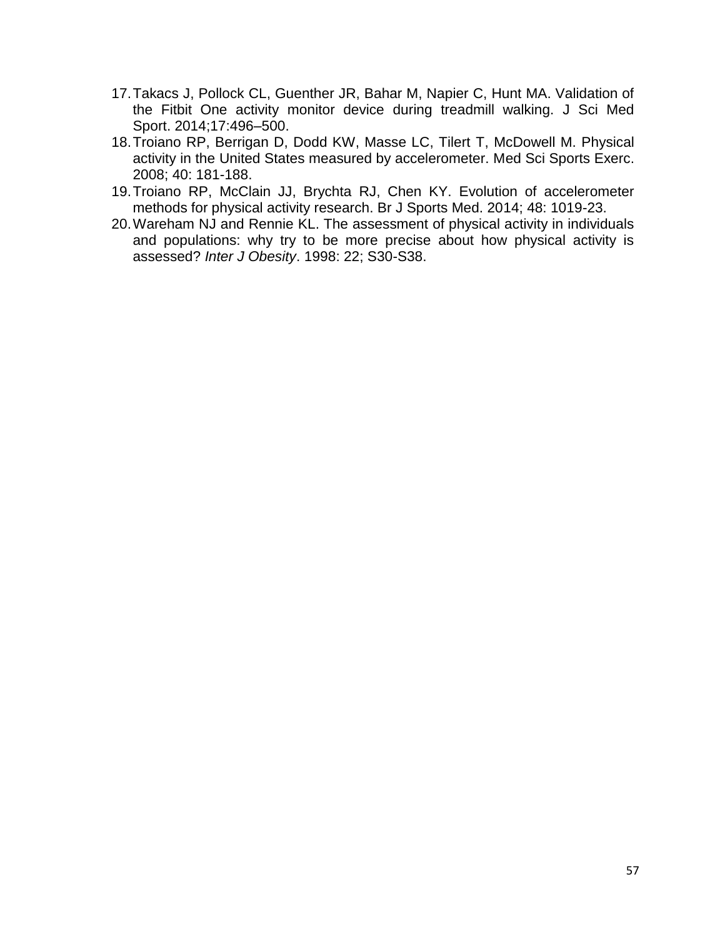- 17.Takacs J, Pollock CL, Guenther JR, Bahar M, Napier C, Hunt MA. Validation of the Fitbit One activity monitor device during treadmill walking. J Sci Med Sport. 2014;17:496–500.
- 18.Troiano RP, Berrigan D, Dodd KW, Masse LC, Tilert T, McDowell M. Physical activity in the United States measured by accelerometer. Med Sci Sports Exerc. 2008; 40: 181-188.
- 19.Troiano RP, McClain JJ, Brychta RJ, Chen KY. Evolution of accelerometer methods for physical activity research. Br J Sports Med. 2014; 48: 1019-23.
- 20.Wareham NJ and Rennie KL. The assessment of physical activity in individuals and populations: why try to be more precise about how physical activity is assessed? *Inter J Obesity*. 1998: 22; S30-S38.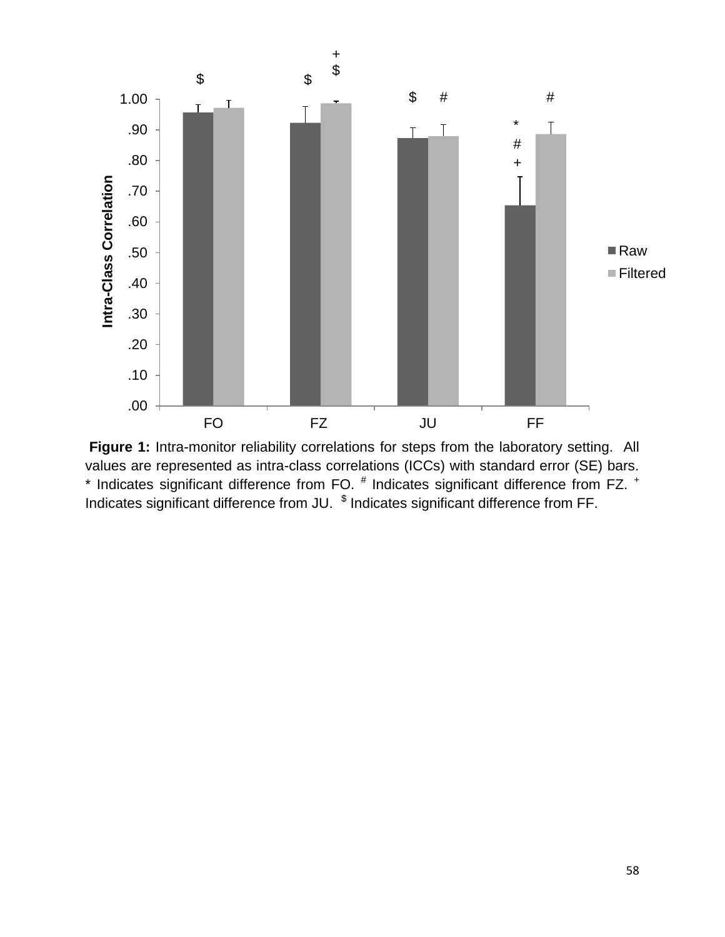

**Figure 1:** Intra-monitor reliability correlations for steps from the laboratory setting. All values are represented as intra-class correlations (ICCs) with standard error (SE) bars.  $*$  Indicates significant difference from FO.  $^{\#}$  Indicates significant difference from FZ.  $^+$ Indicates significant difference from JU.  $\,$ <sup>\$</sup> Indicates significant difference from FF.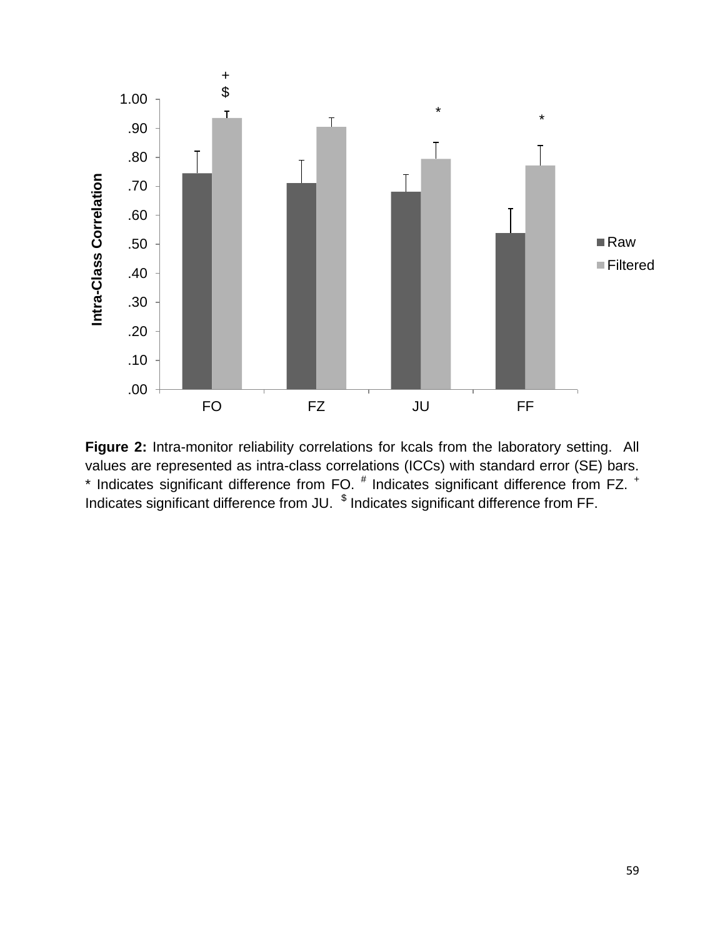

**Figure 2:** Intra-monitor reliability correlations for kcals from the laboratory setting. All values are represented as intra-class correlations (ICCs) with standard error (SE) bars.  $*$  Indicates significant difference from FO.  $^{\#}$  Indicates significant difference from FZ.  $^+$ Indicates significant difference from JU.  $\,$ <sup>\$</sup> Indicates significant difference from FF.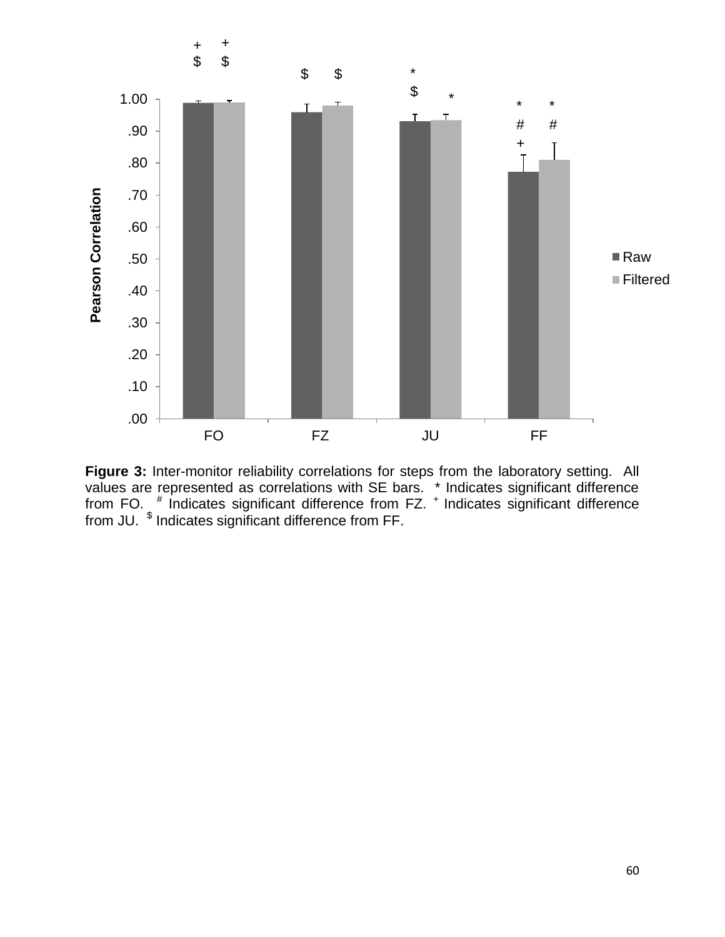

**Figure 3:** Inter-monitor reliability correlations for steps from the laboratory setting. All values are represented as correlations with SE bars. \* Indicates significant difference from FO. <sup>#</sup> Indicates significant difference from FZ. <sup>+</sup> Indicates significant difference from JU. <sup>\$</sup> Indicates significant difference from FF.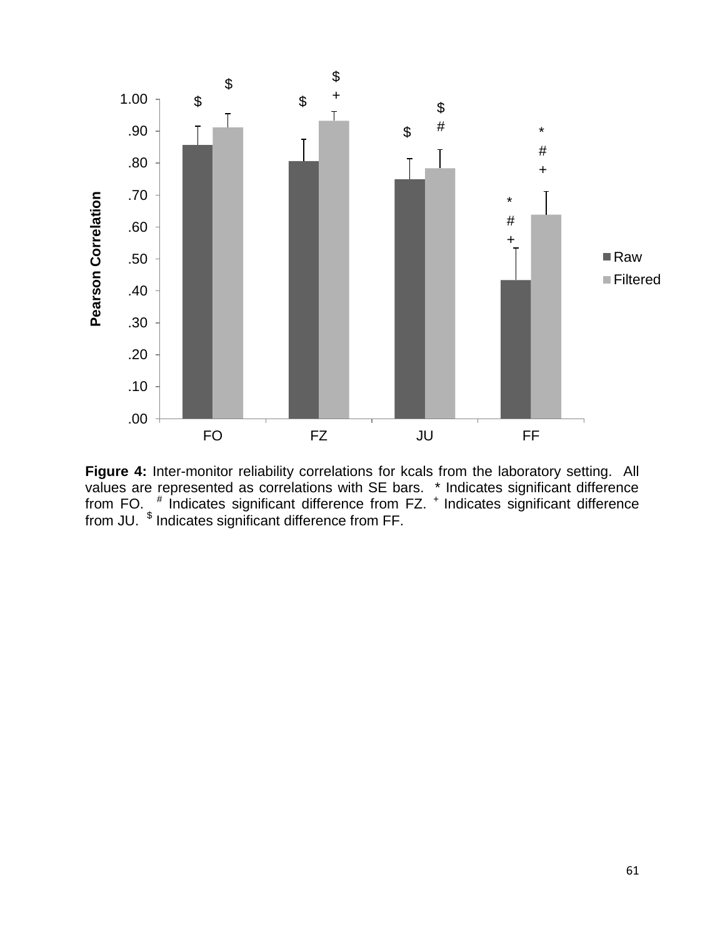

**Figure 4:** Inter-monitor reliability correlations for kcals from the laboratory setting. All values are represented as correlations with SE bars. \* Indicates significant difference from FO. <sup>#</sup> Indicates significant difference from FZ. <sup>+</sup> Indicates significant difference from JU. <sup>\$</sup> Indicates significant difference from FF.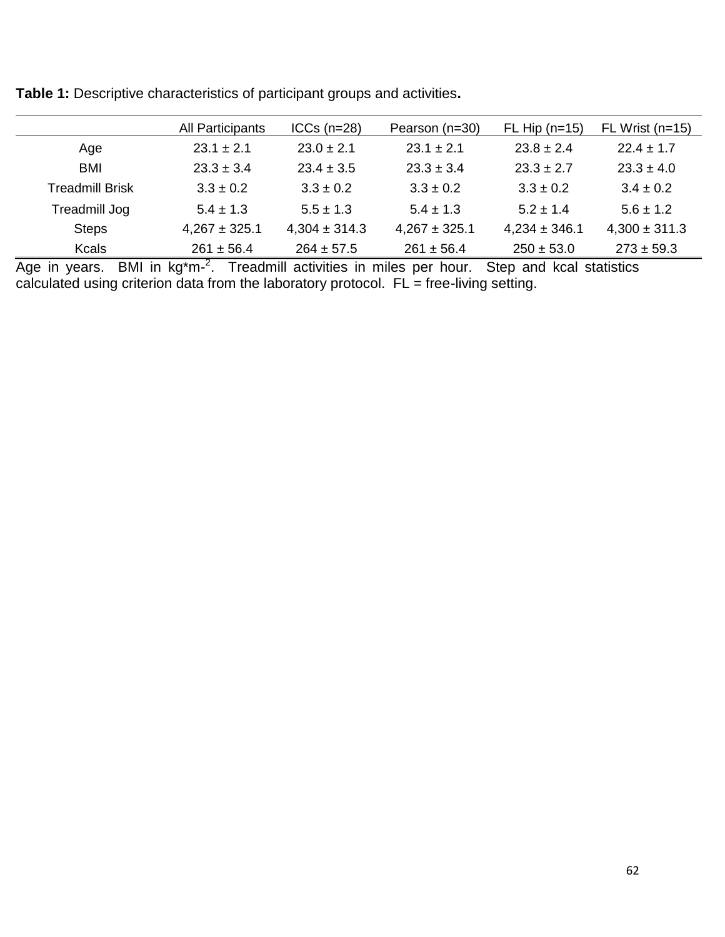|                        | All Participants  | $ICCs$ ( $n=28$ ) | Pearson (n=30)    | $FL$ Hip (n=15)   | FL Wrist (n=15)   |
|------------------------|-------------------|-------------------|-------------------|-------------------|-------------------|
| Age                    | $23.1 \pm 2.1$    | $23.0 \pm 2.1$    | $23.1 \pm 2.1$    | $23.8 \pm 2.4$    | $22.4 \pm 1.7$    |
| <b>BMI</b>             | $23.3 \pm 3.4$    | $23.4 \pm 3.5$    | $23.3 \pm 3.4$    | $23.3 \pm 2.7$    | $23.3 \pm 4.0$    |
| <b>Treadmill Brisk</b> | $3.3 \pm 0.2$     | $3.3 \pm 0.2$     | $3.3 \pm 0.2$     | $3.3 \pm 0.2$     | $3.4 \pm 0.2$     |
| Treadmill Jog          | $5.4 \pm 1.3$     | $5.5 \pm 1.3$     | $5.4 \pm 1.3$     | $5.2 \pm 1.4$     | $5.6 \pm 1.2$     |
| <b>Steps</b>           | $4,267 \pm 325.1$ | $4,304 \pm 314.3$ | $4,267 \pm 325.1$ | $4,234 \pm 346.1$ | $4,300 \pm 311.3$ |
| <b>Kcals</b>           | $261 \pm 56.4$    | $264 \pm 57.5$    | $261 \pm 56.4$    | $250 \pm 53.0$    | $273 \pm 59.3$    |

**Table 1:** Descriptive characteristics of participant groups and activities**.**

Age in years. BMI in kg<sup>\*</sup>m-<sup>2</sup>. Treadmill activities in miles per hour. Step and kcal statistics calculated using criterion data from the laboratory protocol. FL = free-living setting.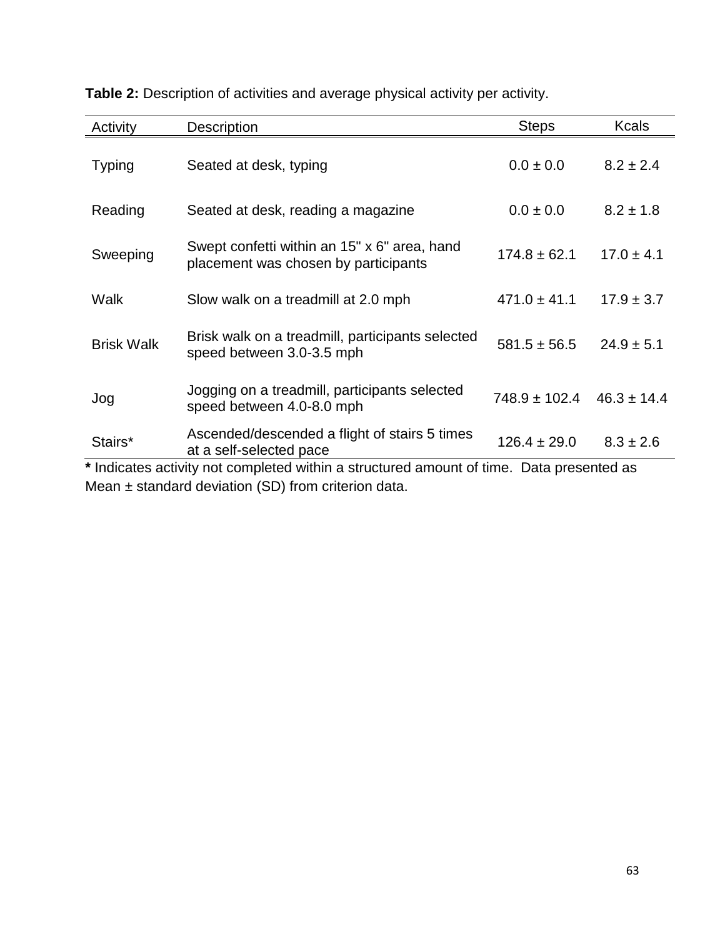| Activity          | <b>Description</b>                                                                       | <b>Steps</b>     | <b>Kcals</b>    |
|-------------------|------------------------------------------------------------------------------------------|------------------|-----------------|
| <b>Typing</b>     | Seated at desk, typing                                                                   | $0.0 \pm 0.0$    | $8.2 \pm 2.4$   |
| Reading           | Seated at desk, reading a magazine                                                       | $0.0 \pm 0.0$    | $8.2 \pm 1.8$   |
| Sweeping          | Swept confetti within an 15" x 6" area, hand<br>placement was chosen by participants     | $174.8 \pm 62.1$ | $17.0 \pm 4.1$  |
| Walk              | Slow walk on a treadmill at 2.0 mph                                                      | $471.0 \pm 41.1$ | $17.9 \pm 3.7$  |
| <b>Brisk Walk</b> | Brisk walk on a treadmill, participants selected<br>speed between 3.0-3.5 mph            | $581.5 \pm 56.5$ | $24.9 \pm 5.1$  |
| Jog               | Jogging on a treadmill, participants selected<br>speed between 4.0-8.0 mph               | 748.9 ± 102.4    | $46.3 \pm 14.4$ |
| Stairs*           | Ascended/descended a flight of stairs 5 times<br>at a self-selected pace                 | $126.4 \pm 29.0$ | $8.3 \pm 2.6$   |
|                   | * Indicates activity not completed within a structured amount of time. Data presented as |                  |                 |
|                   | Mean $\pm$ standard deviation (SD) from criterion data.                                  |                  |                 |

**Table 2:** Description of activities and average physical activity per activity.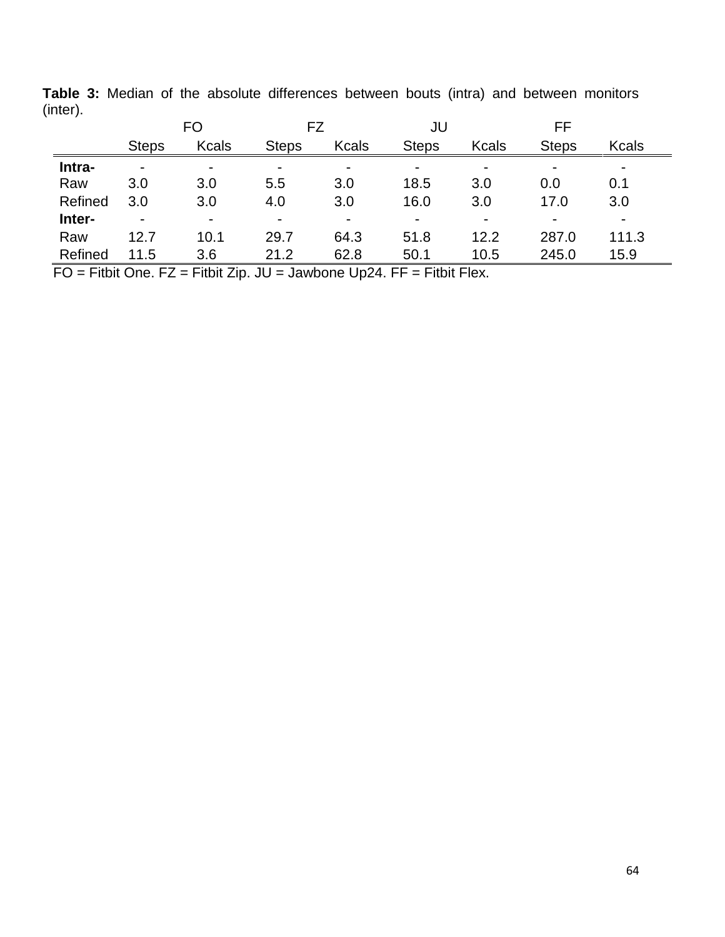|         |                          | FO             | FZ                       |              | JU           |                          | FF             |              |
|---------|--------------------------|----------------|--------------------------|--------------|--------------|--------------------------|----------------|--------------|
|         | <b>Steps</b>             | <b>Kcals</b>   | <b>Steps</b>             | <b>Kcals</b> | <b>Steps</b> | <b>Kcals</b>             | <b>Steps</b>   | <b>Kcals</b> |
| Intra-  | $\overline{\phantom{0}}$ |                | -                        |              |              | $\overline{\phantom{0}}$ | $\blacksquare$ |              |
| Raw     | 3.0                      | 3.0            | 5.5                      | 3.0          | 18.5         | 3.0                      | 0.0            | 0.1          |
| Refined | 3.0                      | 3.0            | 4.0                      | 3.0          | 16.0         | 3.0                      | 17.0           | 3.0          |
| Inter-  | $\overline{\phantom{0}}$ | $\blacksquare$ | $\overline{\phantom{0}}$ |              |              | $\blacksquare$           | $\blacksquare$ |              |
| Raw     | 12.7                     | 10.1           | 29.7                     | 64.3         | 51.8         | 12.2                     | 287.0          | 111.3        |
| Refined | 11.5                     | 3.6            | 21.2                     | 62.8         | 50.1         | 10.5                     | 245.0          | 15.9         |

**Table 3:** Median of the absolute differences between bouts (intra) and between monitors (inter).

 $\overline{FO}$  = Fitbit One. FZ = Fitbit Zip. JU = Jawbone Up24. FF = Fitbit Flex.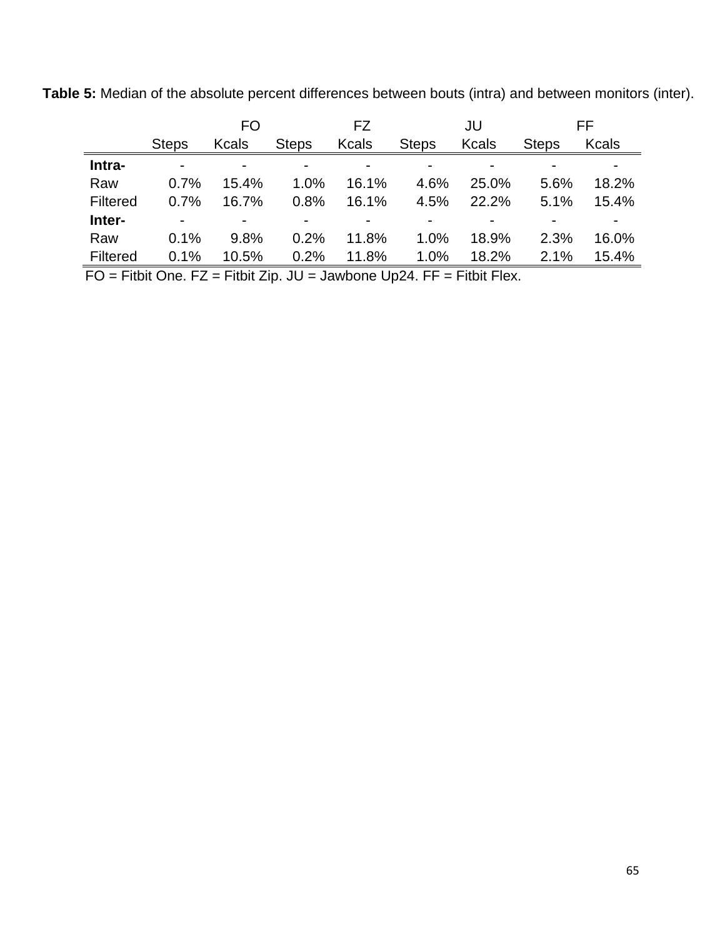**Table 5:** Median of the absolute percent differences between bouts (intra) and between monitors (inter).

|                 |              | FO             |              | FZ           |              | JU           |              | FF           |
|-----------------|--------------|----------------|--------------|--------------|--------------|--------------|--------------|--------------|
|                 | <b>Steps</b> | Kcals          | <b>Steps</b> | <b>Kcals</b> | <b>Steps</b> | <b>Kcals</b> | <b>Steps</b> | <b>Kcals</b> |
| Intra-          | -            | $\blacksquare$ |              |              |              |              |              |              |
| Raw             | 0.7%         | 15.4%          | 1.0%         | 16.1%        | 4.6%         | 25.0%        | 5.6%         | 18.2%        |
| <b>Filtered</b> | 0.7%         | 16.7%          | 0.8%         | 16.1%        | 4.5%         | 22.2%        | 5.1%         | 15.4%        |
| Inter-          |              |                |              |              |              |              |              |              |
| Raw             | 0.1%         | 9.8%           | 0.2%         | 11.8%        | 1.0%         | 18.9%        | 2.3%         | 16.0%        |
| Filtered        | 0.1%         | 10.5%          | 0.2%         | 11.8%        | 1.0%         | 18.2%        | 2.1%         | 15.4%        |

 $FO$  = Fitbit One. FZ = Fitbit Zip. JU = Jawbone Up24. FF = Fitbit Flex.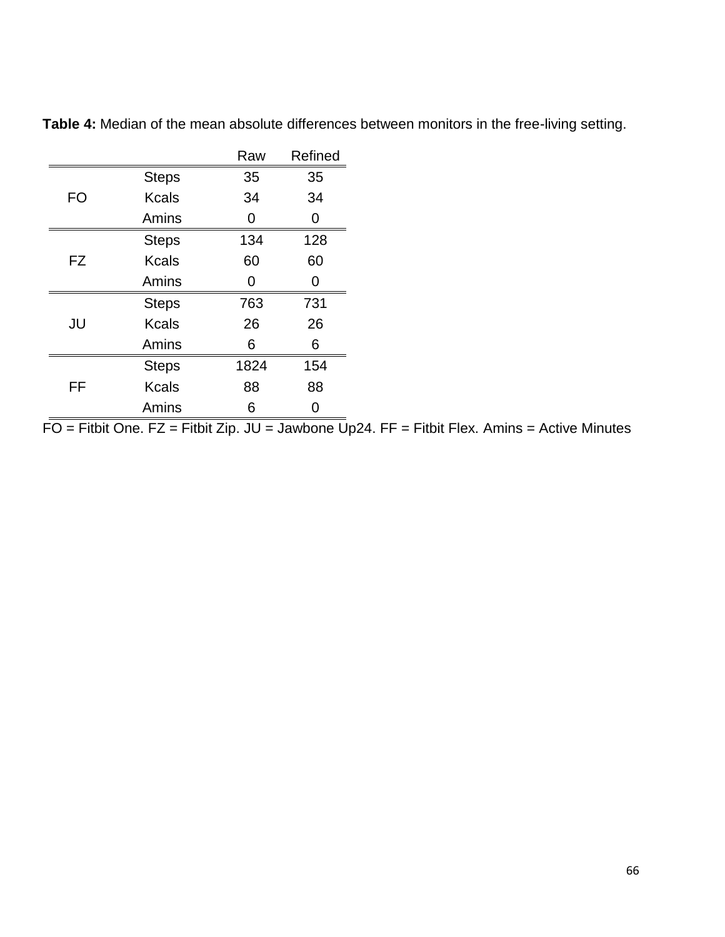|           |              | Raw  | Refined |
|-----------|--------------|------|---------|
|           | <b>Steps</b> | 35   | 35      |
| <b>FO</b> | <b>Kcals</b> | 34   | 34      |
|           | Amins        | 0    | 0       |
|           | <b>Steps</b> | 134  | 128     |
| FZ        | <b>Kcals</b> | 60   | 60      |
|           | Amins        | ∩    | O       |
|           | <b>Steps</b> | 763  | 731     |
| JU        | <b>Kcals</b> | 26   | 26      |
|           | Amins        | 6    | 6       |
|           | <b>Steps</b> | 1824 | 154     |
| FF        | <b>Kcals</b> | 88   | 88      |
|           | Amins        | 6    |         |

**Table 4:** Median of the mean absolute differences between monitors in the free-living setting.

 $\overline{FO}$  = Fitbit One. FZ = Fitbit Zip. JU = Jawbone Up24. FF = Fitbit Flex. Amins = Active Minutes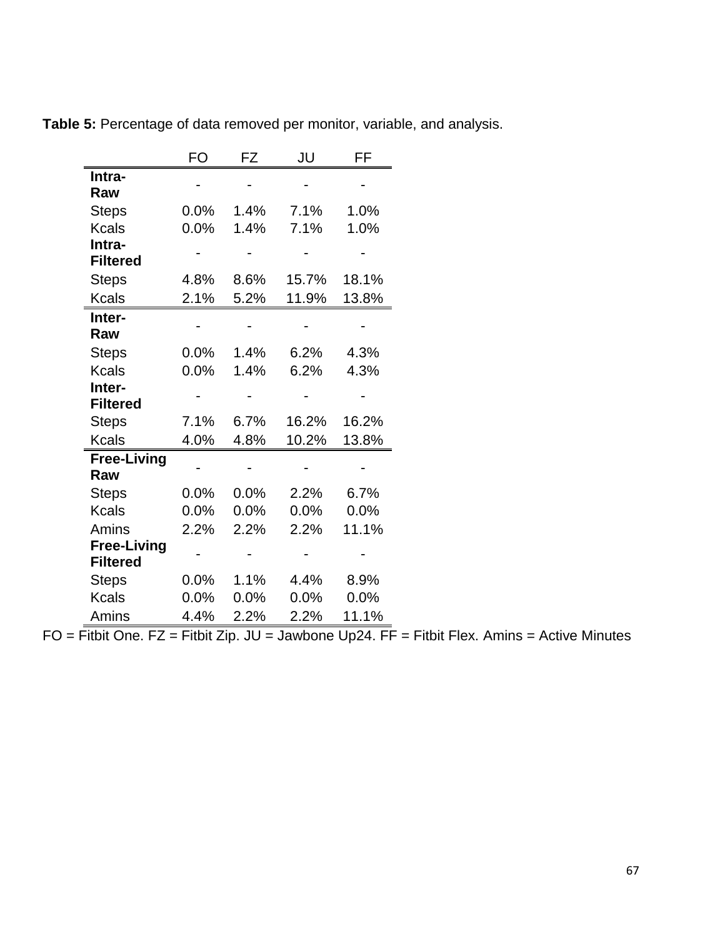|                    | FO   | FZ   | JU    | FF    |
|--------------------|------|------|-------|-------|
| Intra-             |      |      |       |       |
| Raw                |      |      |       |       |
| <b>Steps</b>       | 0.0% | 1.4% | 7.1%  | 1.0%  |
| <b>Kcals</b>       | 0.0% | 1.4% | 7.1%  | 1.0%  |
| Intra-             |      |      |       |       |
| <b>Filtered</b>    |      |      |       |       |
| <b>Steps</b>       | 4.8% | 8.6% | 15.7% | 18.1% |
| <b>Kcals</b>       | 2.1% | 5.2% | 11.9% | 13.8% |
| Inter-             |      |      |       |       |
| Raw                |      |      |       |       |
| <b>Steps</b>       | 0.0% | 1.4% | 6.2%  | 4.3%  |
| <b>Kcals</b>       | 0.0% | 1.4% | 6.2%  | 4.3%  |
| Inter-             |      |      |       |       |
| <b>Filtered</b>    |      |      |       |       |
| <b>Steps</b>       | 7.1% | 6.7% | 16.2% | 16.2% |
| <b>Kcals</b>       | 4.0% | 4.8% | 10.2% | 13.8% |
| <b>Free-Living</b> |      |      |       |       |
| Raw                |      |      |       |       |
| <b>Steps</b>       | 0.0% | 0.0% | 2.2%  | 6.7%  |
| <b>Kcals</b>       | 0.0% | 0.0% | 0.0%  | 0.0%  |
| Amins              | 2.2% | 2.2% | 2.2%  | 11.1% |
| <b>Free-Living</b> |      |      |       |       |
| <b>Filtered</b>    |      |      |       |       |
| <b>Steps</b>       | 0.0% | 1.1% | 4.4%  | 8.9%  |
| <b>Kcals</b>       | 0.0% | 0.0% | 0.0%  | 0.0%  |
| Amins              | 4.4% | 2.2% | 2.2%  | 11.1% |

**Table 5:** Percentage of data removed per monitor, variable, and analysis.

 $FO = \overline{Fitbit One}$ .  $FZ = \overline{Fitbit Zip}$ . JU = Jawbone Up24.  $\overline{FF} = \overline{Fitbit}$  Flex. Amins = Active Minutes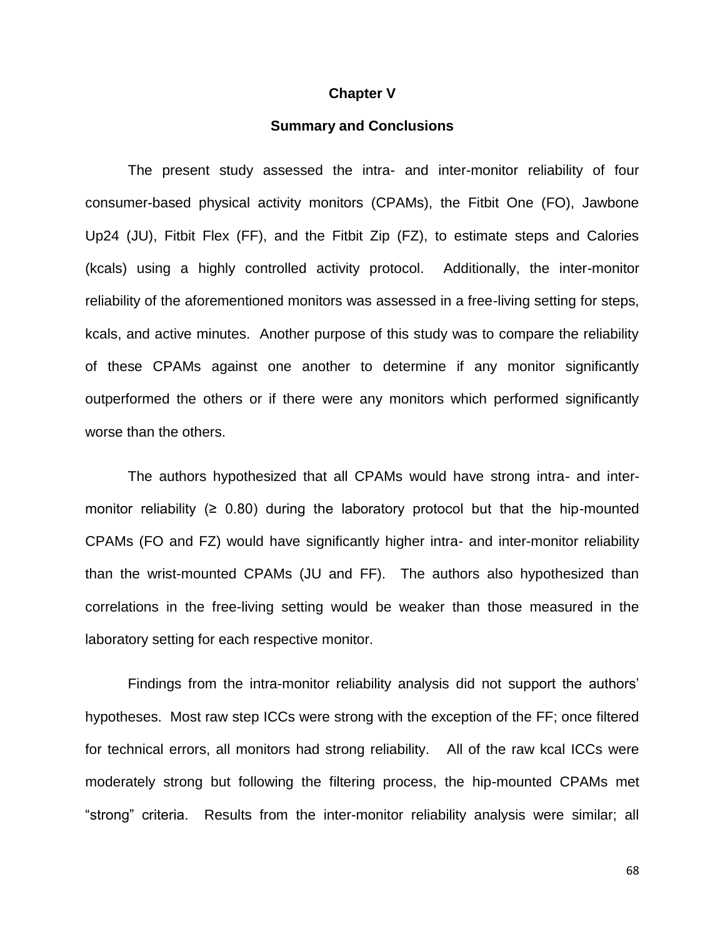#### **Chapter V**

## **Summary and Conclusions**

The present study assessed the intra- and inter-monitor reliability of four consumer-based physical activity monitors (CPAMs), the Fitbit One (FO), Jawbone Up24 (JU), Fitbit Flex (FF), and the Fitbit Zip (FZ), to estimate steps and Calories (kcals) using a highly controlled activity protocol. Additionally, the inter-monitor reliability of the aforementioned monitors was assessed in a free-living setting for steps, kcals, and active minutes. Another purpose of this study was to compare the reliability of these CPAMs against one another to determine if any monitor significantly outperformed the others or if there were any monitors which performed significantly worse than the others.

The authors hypothesized that all CPAMs would have strong intra- and intermonitor reliability  $(≥ 0.80)$  during the laboratory protocol but that the hip-mounted CPAMs (FO and FZ) would have significantly higher intra- and inter-monitor reliability than the wrist-mounted CPAMs (JU and FF). The authors also hypothesized than correlations in the free-living setting would be weaker than those measured in the laboratory setting for each respective monitor.

Findings from the intra-monitor reliability analysis did not support the authors' hypotheses. Most raw step ICCs were strong with the exception of the FF; once filtered for technical errors, all monitors had strong reliability. All of the raw kcal ICCs were moderately strong but following the filtering process, the hip-mounted CPAMs met "strong" criteria. Results from the inter-monitor reliability analysis were similar; all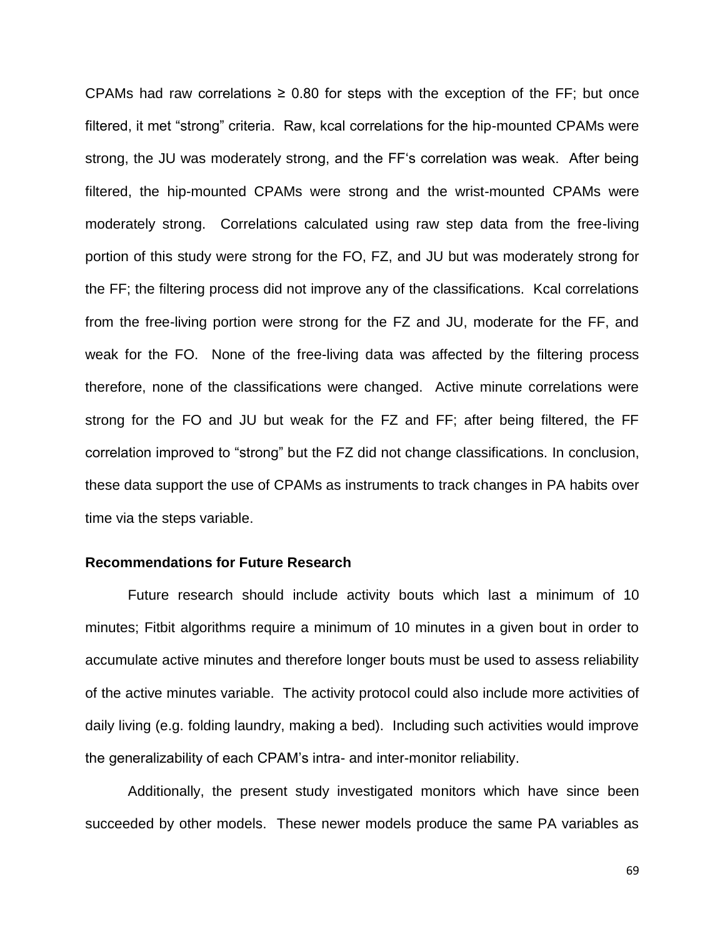CPAMs had raw correlations  $\geq 0.80$  for steps with the exception of the FF; but once filtered, it met "strong" criteria. Raw, kcal correlations for the hip-mounted CPAMs were strong, the JU was moderately strong, and the FF's correlation was weak. After being filtered, the hip-mounted CPAMs were strong and the wrist-mounted CPAMs were moderately strong. Correlations calculated using raw step data from the free-living portion of this study were strong for the FO, FZ, and JU but was moderately strong for the FF; the filtering process did not improve any of the classifications. Kcal correlations from the free-living portion were strong for the FZ and JU, moderate for the FF, and weak for the FO. None of the free-living data was affected by the filtering process therefore, none of the classifications were changed. Active minute correlations were strong for the FO and JU but weak for the FZ and FF; after being filtered, the FF correlation improved to "strong" but the FZ did not change classifications. In conclusion, these data support the use of CPAMs as instruments to track changes in PA habits over time via the steps variable.

#### **Recommendations for Future Research**

Future research should include activity bouts which last a minimum of 10 minutes; Fitbit algorithms require a minimum of 10 minutes in a given bout in order to accumulate active minutes and therefore longer bouts must be used to assess reliability of the active minutes variable. The activity protocol could also include more activities of daily living (e.g. folding laundry, making a bed). Including such activities would improve the generalizability of each CPAM's intra- and inter-monitor reliability.

Additionally, the present study investigated monitors which have since been succeeded by other models. These newer models produce the same PA variables as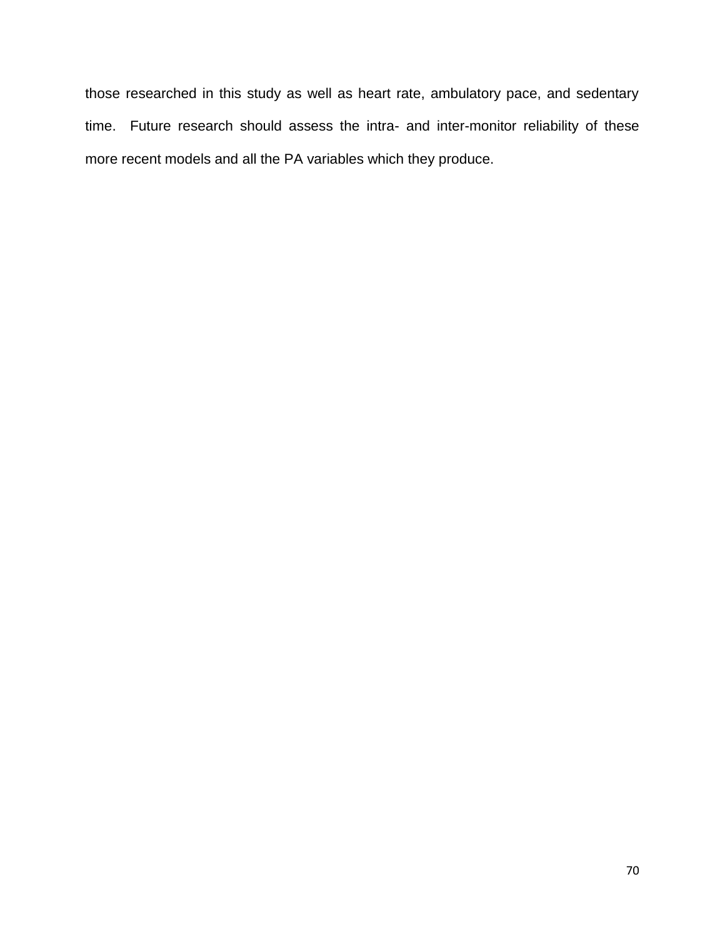those researched in this study as well as heart rate, ambulatory pace, and sedentary time. Future research should assess the intra- and inter-monitor reliability of these more recent models and all the PA variables which they produce.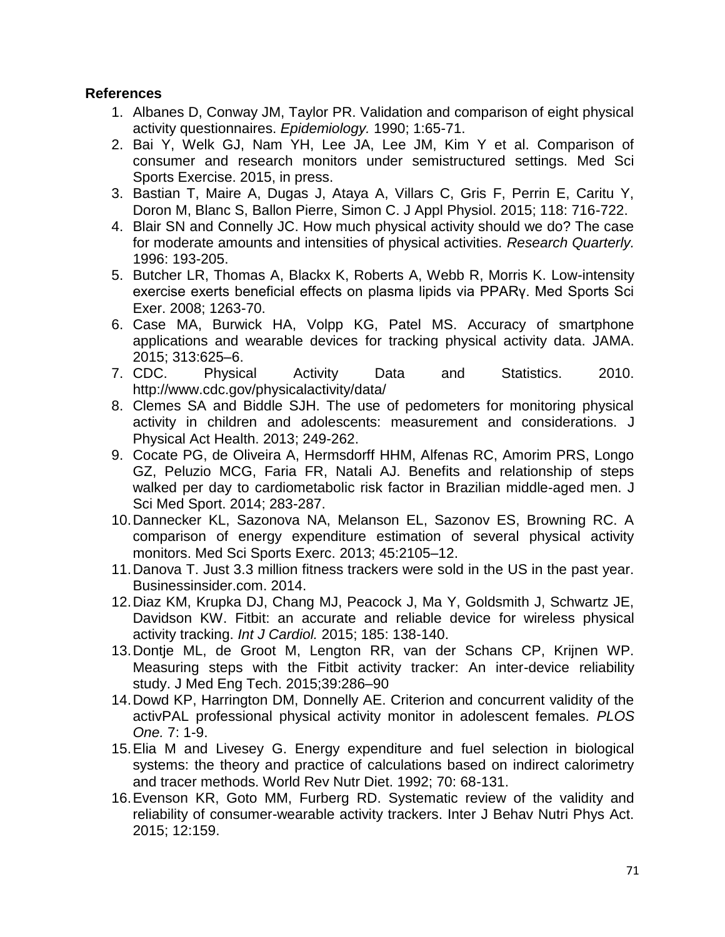# **References**

- 1. Albanes D, Conway JM, Taylor PR. Validation and comparison of eight physical activity questionnaires. *Epidemiology.* 1990; 1:65-71.
- 2. Bai Y, Welk GJ, Nam YH, Lee JA, Lee JM, Kim Y et al. Comparison of consumer and research monitors under semistructured settings. Med Sci Sports Exercise. 2015, in press.
- 3. Bastian T, Maire A, Dugas J, Ataya A, Villars C, Gris F, Perrin E, Caritu Y, Doron M, Blanc S, Ballon Pierre, Simon C. J Appl Physiol. 2015; 118: 716-722.
- 4. Blair SN and Connelly JC. How much physical activity should we do? The case for moderate amounts and intensities of physical activities. *Research Quarterly.*  1996: 193-205.
- 5. Butcher LR, Thomas A, Blackx K, Roberts A, Webb R, Morris K. Low-intensity exercise exerts beneficial effects on plasma lipids via PPARγ. Med Sports Sci Exer. 2008; 1263-70.
- 6. Case MA, Burwick HA, Volpp KG, Patel MS. Accuracy of smartphone applications and wearable devices for tracking physical activity data. JAMA. 2015; 313:625–6.
- 7. CDC. Physical Activity Data and Statistics. 2010. http://www.cdc.gov/physicalactivity/data/
- 8. Clemes SA and Biddle SJH. The use of pedometers for monitoring physical activity in children and adolescents: measurement and considerations. J Physical Act Health. 2013; 249-262.
- 9. Cocate PG, de Oliveira A, Hermsdorff HHM, Alfenas RC, Amorim PRS, Longo GZ, Peluzio MCG, Faria FR, Natali AJ. Benefits and relationship of steps walked per day to cardiometabolic risk factor in Brazilian middle-aged men. J Sci Med Sport. 2014; 283-287.
- 10.Dannecker KL, Sazonova NA, Melanson EL, Sazonov ES, Browning RC. A comparison of energy expenditure estimation of several physical activity monitors. Med Sci Sports Exerc. 2013; 45:2105–12.
- 11.Danova T. Just 3.3 million fitness trackers were sold in the US in the past year. Businessinsider.com. 2014.
- 12.Diaz KM, Krupka DJ, Chang MJ, Peacock J, Ma Y, Goldsmith J, Schwartz JE, Davidson KW. Fitbit: an accurate and reliable device for wireless physical activity tracking. *Int J Cardiol.* 2015; 185: 138-140.
- 13.Dontje ML, de Groot M, Lengton RR, van der Schans CP, Krijnen WP. Measuring steps with the Fitbit activity tracker: An inter-device reliability study. J Med Eng Tech. 2015;39:286–90
- 14.Dowd KP, Harrington DM, Donnelly AE. Criterion and concurrent validity of the activPAL professional physical activity monitor in adolescent females. *PLOS One.* 7: 1-9.
- 15.Elia M and Livesey G. Energy expenditure and fuel selection in biological systems: the theory and practice of calculations based on indirect calorimetry and tracer methods. World Rev Nutr Diet. 1992; 70: 68-131.
- 16.Evenson KR, Goto MM, Furberg RD. Systematic review of the validity and reliability of consumer-wearable activity trackers. Inter J Behav Nutri Phys Act. 2015; 12:159.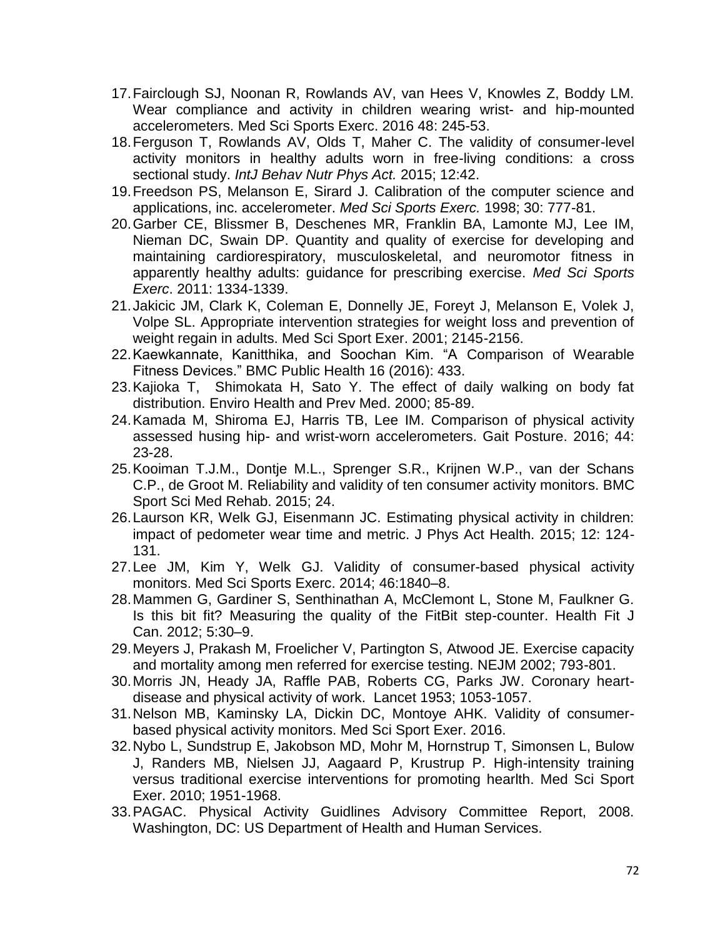- 17.Fairclough SJ, Noonan R, Rowlands AV, van Hees V, Knowles Z, Boddy LM. Wear compliance and activity in children wearing wrist- and hip-mounted accelerometers. Med Sci Sports Exerc. 2016 48: 245-53.
- 18.Ferguson T, Rowlands AV, Olds T, Maher C. The validity of consumer-level activity monitors in healthy adults worn in free-living conditions: a cross sectional study. *IntJ Behav Nutr Phys Act.* 2015; 12:42.
- 19.Freedson PS, Melanson E, Sirard J. Calibration of the computer science and applications, inc. accelerometer. *Med Sci Sports Exerc.* 1998; 30: 777-81.
- 20.Garber CE, Blissmer B, Deschenes MR, Franklin BA, Lamonte MJ, Lee IM, Nieman DC, Swain DP. Quantity and quality of exercise for developing and maintaining cardiorespiratory, musculoskeletal, and neuromotor fitness in apparently healthy adults: guidance for prescribing exercise. *Med Sci Sports Exerc*. 2011: 1334-1339.
- 21.Jakicic JM, Clark K, Coleman E, Donnelly JE, Foreyt J, Melanson E, Volek J, Volpe SL. Appropriate intervention strategies for weight loss and prevention of weight regain in adults. Med Sci Sport Exer. 2001; 2145-2156.
- 22.Kaewkannate, Kanitthika, and Soochan Kim. "A Comparison of Wearable Fitness Devices." BMC Public Health 16 (2016): 433.
- 23.Kajioka T, Shimokata H, Sato Y. The effect of daily walking on body fat distribution. Enviro Health and Prev Med. 2000; 85-89.
- 24.Kamada M, Shiroma EJ, Harris TB, Lee IM. Comparison of physical activity assessed husing hip- and wrist-worn accelerometers. Gait Posture. 2016; 44: 23-28.
- 25.Kooiman T.J.M., Dontje M.L., Sprenger S.R., Krijnen W.P., van der Schans C.P., de Groot M. Reliability and validity of ten consumer activity monitors. BMC Sport Sci Med Rehab. 2015; 24.
- 26.Laurson KR, Welk GJ, Eisenmann JC. Estimating physical activity in children: impact of pedometer wear time and metric. J Phys Act Health. 2015; 12: 124- 131.
- 27.Lee JM, Kim Y, Welk GJ. Validity of consumer-based physical activity monitors. Med Sci Sports Exerc. 2014; 46:1840–8.
- 28.Mammen G, Gardiner S, Senthinathan A, McClemont L, Stone M, Faulkner G. Is this bit fit? Measuring the quality of the FitBit step-counter. Health Fit J Can. 2012; 5:30–9.
- 29.Meyers J, Prakash M, Froelicher V, Partington S, Atwood JE. Exercise capacity and mortality among men referred for exercise testing. NEJM 2002; 793-801.
- 30.Morris JN, Heady JA, Raffle PAB, Roberts CG, Parks JW. Coronary heartdisease and physical activity of work. Lancet 1953; 1053-1057.
- 31.Nelson MB, Kaminsky LA, Dickin DC, Montoye AHK. Validity of consumerbased physical activity monitors. Med Sci Sport Exer. 2016.
- 32.Nybo L, Sundstrup E, Jakobson MD, Mohr M, Hornstrup T, Simonsen L, Bulow J, Randers MB, Nielsen JJ, Aagaard P, Krustrup P. High-intensity training versus traditional exercise interventions for promoting hearlth. Med Sci Sport Exer. 2010; 1951-1968.
- 33.PAGAC. Physical Activity Guidlines Advisory Committee Report, 2008. Washington, DC: US Department of Health and Human Services.